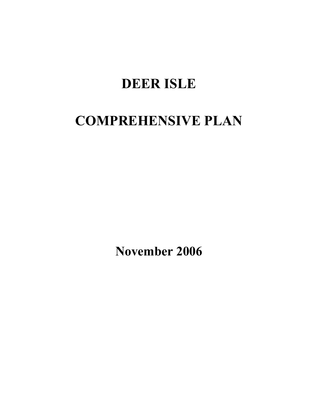# DEER ISLE

# COMPREHENSIVE PLAN

November 2006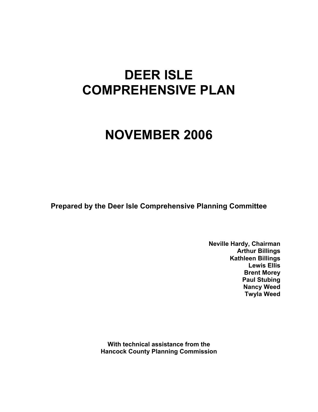# DEER ISLE COMPREHENSIVE PLAN

# NOVEMBER 2006

Prepared by the Deer Isle Comprehensive Planning Committee

Neville Hardy, Chairman Arthur Billings Kathleen Billings Lewis Ellis Brent Morey Paul Stubing Nancy Weed Twyla Weed

With technical assistance from the Hancock County Planning Commission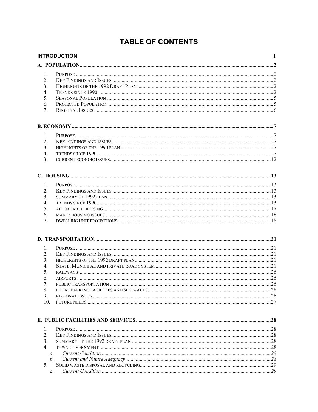# **TABLE OF CONTENTS**

| 1.<br>2.<br>$\overline{3}$ .<br>4.<br>5.<br>6.<br>7.<br>$\mathbf{1}$ .<br>$\mathfrak{2}$ .<br>3.<br>$\overline{4}$ .<br>3.<br>$\mathbf{1}$ .<br>2.<br>3.<br>4.<br>5.<br>6.<br>7.<br>$1_{-}$<br>2.<br>3.<br>4.<br>5.<br>6.<br>7.<br>8.<br>9.<br>10.<br>$\mathbf{1}$ .<br>$\mathfrak{2}_{\cdot}$<br>3.<br>4.<br>$\mathfrak{a}$ .<br>h.<br>5.<br>a. | <b>INTRODUCTION</b> | $\mathbf{1}$ |
|--------------------------------------------------------------------------------------------------------------------------------------------------------------------------------------------------------------------------------------------------------------------------------------------------------------------------------------------------|---------------------|--------------|
|                                                                                                                                                                                                                                                                                                                                                  |                     |              |
|                                                                                                                                                                                                                                                                                                                                                  |                     |              |
|                                                                                                                                                                                                                                                                                                                                                  |                     |              |
|                                                                                                                                                                                                                                                                                                                                                  |                     |              |
|                                                                                                                                                                                                                                                                                                                                                  |                     |              |
|                                                                                                                                                                                                                                                                                                                                                  |                     |              |
|                                                                                                                                                                                                                                                                                                                                                  |                     |              |
|                                                                                                                                                                                                                                                                                                                                                  |                     |              |
|                                                                                                                                                                                                                                                                                                                                                  |                     |              |
|                                                                                                                                                                                                                                                                                                                                                  |                     |              |
|                                                                                                                                                                                                                                                                                                                                                  |                     |              |
|                                                                                                                                                                                                                                                                                                                                                  |                     |              |
|                                                                                                                                                                                                                                                                                                                                                  |                     |              |
|                                                                                                                                                                                                                                                                                                                                                  |                     |              |
|                                                                                                                                                                                                                                                                                                                                                  |                     |              |
|                                                                                                                                                                                                                                                                                                                                                  |                     |              |
|                                                                                                                                                                                                                                                                                                                                                  |                     |              |
|                                                                                                                                                                                                                                                                                                                                                  |                     |              |
|                                                                                                                                                                                                                                                                                                                                                  |                     |              |
|                                                                                                                                                                                                                                                                                                                                                  |                     |              |
|                                                                                                                                                                                                                                                                                                                                                  |                     |              |
|                                                                                                                                                                                                                                                                                                                                                  |                     |              |
|                                                                                                                                                                                                                                                                                                                                                  |                     |              |
|                                                                                                                                                                                                                                                                                                                                                  |                     |              |
|                                                                                                                                                                                                                                                                                                                                                  |                     |              |
|                                                                                                                                                                                                                                                                                                                                                  |                     |              |
|                                                                                                                                                                                                                                                                                                                                                  |                     |              |
|                                                                                                                                                                                                                                                                                                                                                  |                     |              |
|                                                                                                                                                                                                                                                                                                                                                  |                     |              |
|                                                                                                                                                                                                                                                                                                                                                  |                     |              |
|                                                                                                                                                                                                                                                                                                                                                  |                     |              |
|                                                                                                                                                                                                                                                                                                                                                  |                     |              |
|                                                                                                                                                                                                                                                                                                                                                  |                     |              |
|                                                                                                                                                                                                                                                                                                                                                  |                     |              |
|                                                                                                                                                                                                                                                                                                                                                  |                     |              |
|                                                                                                                                                                                                                                                                                                                                                  |                     |              |
|                                                                                                                                                                                                                                                                                                                                                  |                     |              |
|                                                                                                                                                                                                                                                                                                                                                  |                     |              |
|                                                                                                                                                                                                                                                                                                                                                  |                     |              |
|                                                                                                                                                                                                                                                                                                                                                  |                     |              |
|                                                                                                                                                                                                                                                                                                                                                  |                     |              |
|                                                                                                                                                                                                                                                                                                                                                  |                     |              |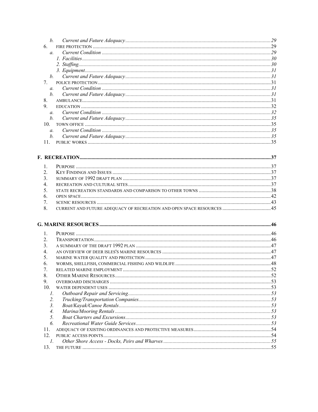| $h_{\cdot}$      |             |    |
|------------------|-------------|----|
| 6                |             |    |
| $\overline{a}$   |             |    |
|                  |             |    |
|                  |             |    |
|                  |             |    |
|                  | $h_{\cdot}$ |    |
| $7^{\circ}$      |             |    |
| $\mathfrak{a}$ . |             |    |
| $h_{\cdot}$      |             |    |
| 8                |             |    |
| 9                |             |    |
| $\overline{a}$   |             |    |
| $h$ .            |             |    |
| 10               |             |    |
| $\mathfrak{a}$ . |             |    |
| $h_{\cdot}$      |             |    |
| 11               |             |    |
|                  | DECDE ATIAN | 27 |

| $2^{\circ}$    |  |
|----------------|--|
| $\mathcal{F}$  |  |
| 4 <sub>1</sub> |  |
| 5.             |  |
| 6              |  |
| 7 <sub>1</sub> |  |
| 8.             |  |

# 

| $\mathcal{D}_{\mathcal{L}}$ |            |    |
|-----------------------------|------------|----|
| 3.                          |            |    |
| 4.                          |            |    |
| 5.                          |            |    |
| 6.                          |            |    |
| 7.                          |            |    |
| 8.                          |            |    |
| 9.                          |            |    |
| 10.                         |            |    |
| $\mathcal{I}$ .             |            |    |
| 2.                          |            |    |
| 3.                          |            |    |
| $\overline{4}$ .            |            |    |
| $\mathcal{F}$               |            |    |
| 6                           |            |    |
| 11.                         |            |    |
| 12 <sub>1</sub>             |            |    |
|                             |            |    |
| 13                          | THE FUTURE | 55 |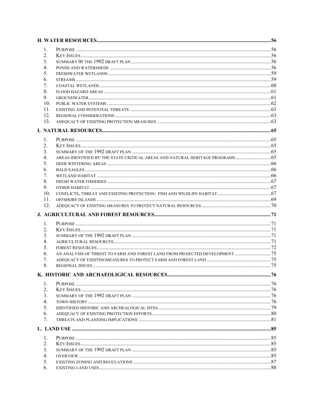| 1.<br>2.<br>3.<br>4.<br>5.<br>6.<br>7.<br>8.<br>9.<br>10 <sub>1</sub><br>11.<br>12.<br>13.<br>1.<br>2. |  |
|--------------------------------------------------------------------------------------------------------|--|
|                                                                                                        |  |
|                                                                                                        |  |
|                                                                                                        |  |
|                                                                                                        |  |
|                                                                                                        |  |
|                                                                                                        |  |
|                                                                                                        |  |
|                                                                                                        |  |
|                                                                                                        |  |
|                                                                                                        |  |
|                                                                                                        |  |
|                                                                                                        |  |
|                                                                                                        |  |
|                                                                                                        |  |
|                                                                                                        |  |
|                                                                                                        |  |
|                                                                                                        |  |
| 3.                                                                                                     |  |
| AREAS IDENTIFIED BY THE STATE CRITICAL AREAS AND NATURAL HERITAGE PROGRAMS 65<br>4.                    |  |
| 5.                                                                                                     |  |
| 6.                                                                                                     |  |
| 7.                                                                                                     |  |
| 8.                                                                                                     |  |
| 9.                                                                                                     |  |
| 10.                                                                                                    |  |
| 11.                                                                                                    |  |
| 12.                                                                                                    |  |
|                                                                                                        |  |
| 1.                                                                                                     |  |
| $2_{-}$                                                                                                |  |
| 3.                                                                                                     |  |
| 4.                                                                                                     |  |
| 5.                                                                                                     |  |
| AN ANALYSIS OF THREST TO FARM AND FOREST LAND FROM PROJECTED DEVELOPMENT 75<br>6.                      |  |
| 7.                                                                                                     |  |
| 8.                                                                                                     |  |
|                                                                                                        |  |
|                                                                                                        |  |
| 1.                                                                                                     |  |
| 2.                                                                                                     |  |
| 3.                                                                                                     |  |
| $\overline{4}$ .                                                                                       |  |
| 5.                                                                                                     |  |
| 6.                                                                                                     |  |
| 7.                                                                                                     |  |
|                                                                                                        |  |
| 1.                                                                                                     |  |
| 2.                                                                                                     |  |
| 3.                                                                                                     |  |
| $\overline{4}$ .                                                                                       |  |
| 5.                                                                                                     |  |
| 6.                                                                                                     |  |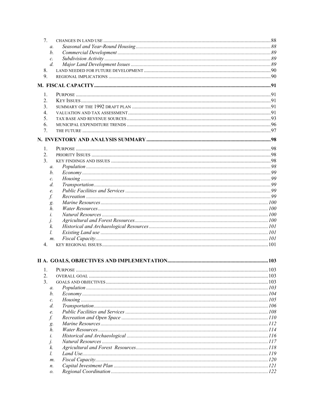| 7.             |                 |     |
|----------------|-----------------|-----|
|                | $\mathfrak{a}.$ |     |
|                | b.              |     |
|                | $\mathcal{C}$ . |     |
|                | $d_{\cdot}$     |     |
| 8.             |                 |     |
| 9.             |                 |     |
|                |                 |     |
|                |                 |     |
| 1.             |                 |     |
| 2.             |                 |     |
| 3.<br>4.       |                 |     |
| 5.             |                 |     |
| 6.             |                 |     |
| 7.             |                 |     |
|                |                 |     |
|                |                 |     |
| $\mathbf{1}$ . |                 |     |
| 2.             |                 |     |
| 3.             |                 |     |
|                | a.              |     |
|                | b.              |     |
|                | c.              |     |
|                | d.              |     |
|                | e.              |     |
|                | f.              |     |
|                | g.              |     |
|                | h.              |     |
|                | i.              |     |
|                | j.              |     |
|                | k.              |     |
|                | l.              |     |
|                | $m$ .           |     |
| 4.             |                 |     |
|                |                 |     |
|                |                 |     |
| $\mathbf{L}$   | <b>PURPOSE</b>  | 103 |
| 2.             |                 |     |
| 3.             |                 |     |
|                | a.              |     |
|                | b.              |     |
|                | $\mathcal{C}$ . |     |
|                | d.              |     |
|                | e.              |     |
|                | f.              |     |
|                | g.              |     |
|                | h.              |     |
|                | i.              |     |
|                | Í.              |     |
|                | k.              |     |
|                | l.              |     |
|                | m.              |     |
|                | n.              |     |
|                | о.              |     |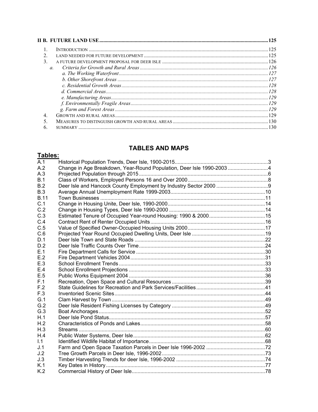| $\mathcal{E}$    |  |
|------------------|--|
| $\mathfrak{a}$ . |  |
|                  |  |
|                  |  |
|                  |  |
|                  |  |
|                  |  |
|                  |  |
|                  |  |
|                  |  |
|                  |  |
|                  |  |
|                  |  |

# **TABLES AND MAPS**

# Tables:

| A.1         |                                                                      |  |
|-------------|----------------------------------------------------------------------|--|
| A.2         | Change in Age Breakdown, Year-Round Population, Deer Isle 1990-20034 |  |
| A.3         |                                                                      |  |
| B.1         |                                                                      |  |
| B.2         |                                                                      |  |
| B.3         |                                                                      |  |
| <b>B.11</b> |                                                                      |  |
| C.1         |                                                                      |  |
| C.2         |                                                                      |  |
| C.3         |                                                                      |  |
| C.4         |                                                                      |  |
| C.5         |                                                                      |  |
| C.6         |                                                                      |  |
| D.1         |                                                                      |  |
| D.2         |                                                                      |  |
| E.1         |                                                                      |  |
| E.2         |                                                                      |  |
| E.3         |                                                                      |  |
| E.4         |                                                                      |  |
| E.5         |                                                                      |  |
| F.1         |                                                                      |  |
| F.2         |                                                                      |  |
| F.3         |                                                                      |  |
| G.1         |                                                                      |  |
| G.2         |                                                                      |  |
| G.3         |                                                                      |  |
| H.1         |                                                                      |  |
| H.2         |                                                                      |  |
| H.3         |                                                                      |  |
| H.4         |                                                                      |  |
| 1.1         |                                                                      |  |
| J.1         |                                                                      |  |
| J.2         |                                                                      |  |
| J.3         |                                                                      |  |
| K.1         |                                                                      |  |
| K.2         |                                                                      |  |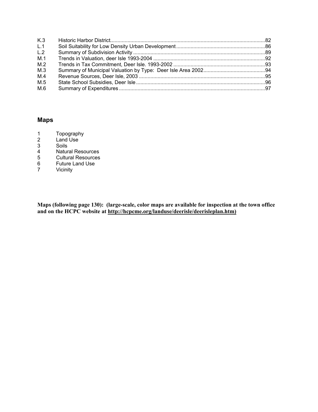| K.3 |  |
|-----|--|
| L.1 |  |
| L.2 |  |
| M.1 |  |
| M.2 |  |
| M.3 |  |
| M.4 |  |
| M.5 |  |
| M.6 |  |

# Maps

- 1 Topography<br>2 Land Use
- 2 Land Use<br>3 Soils
- 3 Soils
- 4 Natural Resources<br>5 Cultural Resources
- 5 Cultural Resources<br>6 Future Land Use
- 6 Future Land Use<br>7 Vicinity
- **Vicinity**

Maps (following page 130): (large-scale, color maps are available for inspection at the town office and on the HCPC website at http://hcpcme.org/landuse/deerisle/deerisleplan.htm)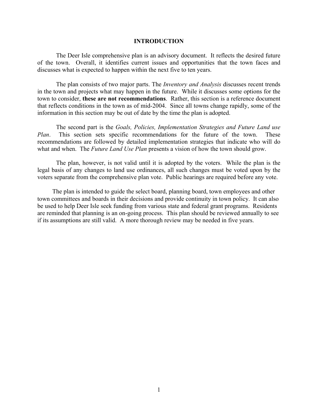#### INTRODUCTION

 The Deer Isle comprehensive plan is an advisory document. It reflects the desired future of the town. Overall, it identifies current issues and opportunities that the town faces and discusses what is expected to happen within the next five to ten years.

The plan consists of two major parts. The *Inventory and Analysis* discusses recent trends in the town and projects what may happen in the future. While it discusses some options for the town to consider, these are not recommendations. Rather, this section is a reference document that reflects conditions in the town as of mid-2004. Since all towns change rapidly, some of the information in this section may be out of date by the time the plan is adopted.

 The second part is the Goals, Policies, Implementation Strategies and Future Land use Plan. This section sets specific recommendations for the future of the town. These recommendations are followed by detailed implementation strategies that indicate who will do what and when. The *Future Land Use Plan* presents a vision of how the town should grow.

The plan, however, is not valid until it is adopted by the voters. While the plan is the legal basis of any changes to land use ordinances, all such changes must be voted upon by the voters separate from the comprehensive plan vote. Public hearings are required before any vote.

 The plan is intended to guide the select board, planning board, town employees and other town committees and boards in their decisions and provide continuity in town policy. It can also be used to help Deer Isle seek funding from various state and federal grant programs. Residents are reminded that planning is an on-going process. This plan should be reviewed annually to see if its assumptions are still valid. A more thorough review may be needed in five years.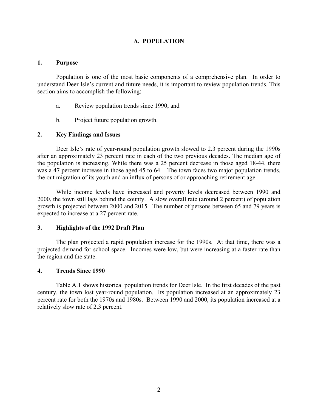## A. POPULATION

#### 1. Purpose

Population is one of the most basic components of a comprehensive plan. In order to understand Deer Isle's current and future needs, it is important to review population trends. This section aims to accomplish the following:

- a. Review population trends since 1990; and
- b. Project future population growth.

#### 2. Key Findings and Issues

Deer Isle's rate of year-round population growth slowed to 2.3 percent during the 1990s after an approximately 23 percent rate in each of the two previous decades. The median age of the population is increasing. While there was a 25 percent decrease in those aged 18-44, there was a 47 percent increase in those aged 45 to 64. The town faces two major population trends, the out migration of its youth and an influx of persons of or approaching retirement age.

While income levels have increased and poverty levels decreased between 1990 and 2000, the town still lags behind the county. A slow overall rate (around 2 percent) of population growth is projected between 2000 and 2015. The number of persons between 65 and 79 years is expected to increase at a 27 percent rate.

#### 3. Highlights of the 1992 Draft Plan

The plan projected a rapid population increase for the 1990s. At that time, there was a projected demand for school space. Incomes were low, but were increasing at a faster rate than the region and the state.

#### 4. Trends Since 1990

Table A.1 shows historical population trends for Deer Isle. In the first decades of the past century, the town lost year-round population. Its population increased at an approximately 23 percent rate for both the 1970s and 1980s. Between 1990 and 2000, its population increased at a relatively slow rate of 2.3 percent.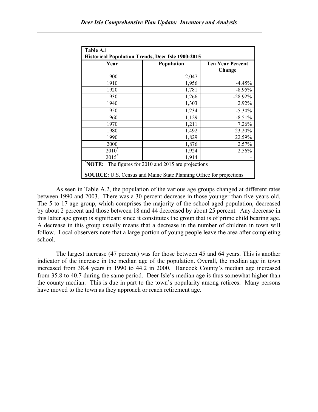| Table A.1<br><b>Historical Population Trends, Deer Isle 1900-2015</b>                                                                |                   |                                   |  |  |  |
|--------------------------------------------------------------------------------------------------------------------------------------|-------------------|-----------------------------------|--|--|--|
| Year                                                                                                                                 | <b>Population</b> | <b>Ten Year Percent</b><br>Change |  |  |  |
| 1900                                                                                                                                 | 2,047             |                                   |  |  |  |
| 1910                                                                                                                                 | 1,956             | $-4.45%$                          |  |  |  |
| 1920                                                                                                                                 | 1,781             | $-8.95%$                          |  |  |  |
| 1930                                                                                                                                 | 1,266             | $-28.92\%$                        |  |  |  |
| 1940                                                                                                                                 | 1,303             | 2.92%                             |  |  |  |
| 1950                                                                                                                                 | 1,234             | $-5.30\%$                         |  |  |  |
| 1960                                                                                                                                 | 1,129             | $-8.51%$                          |  |  |  |
| 1970                                                                                                                                 | 1,211             | 7.26%                             |  |  |  |
| 1980                                                                                                                                 | 1,492             | 23.20%                            |  |  |  |
| 1990                                                                                                                                 | 1,829             | 22.59%                            |  |  |  |
| 2000                                                                                                                                 | 1,876             | 2.57%                             |  |  |  |
| $2010^{*}$                                                                                                                           | 1,924             | 2.56%                             |  |  |  |
| $2015^{*}$                                                                                                                           | 1,914             |                                   |  |  |  |
| NOTE:<br>The figures for 2010 and 2015 are projections<br><b>SOURCE:</b> U.S. Census and Maine State Planning Office for projections |                   |                                   |  |  |  |

As seen in Table A.2, the population of the various age groups changed at different rates between 1990 and 2003. There was a 30 percent decrease in those younger than five-years-old. The 5 to 17 age group, which comprises the majority of the school-aged population, decreased by about 2 percent and those between 18 and 44 decreased by about 25 percent. Any decrease in this latter age group is significant since it constitutes the group that is of prime child bearing age. A decrease in this group usually means that a decrease in the number of children in town will follow. Local observers note that a large portion of young people leave the area after completing school.

The largest increase (47 percent) was for those between 45 and 64 years. This is another indicator of the increase in the median age of the population. Overall, the median age in town increased from 38.4 years in 1990 to 44.2 in 2000. Hancock County's median age increased from 35.8 to 40.7 during the same period. Deer Isle's median age is thus somewhat higher than the county median. This is due in part to the town's popularity among retirees. Many persons have moved to the town as they approach or reach retirement age.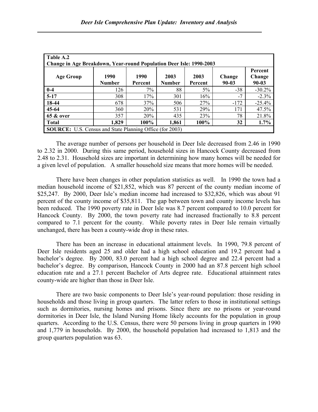| Table A.2<br><b>Change in Age Breakdown, Year-round Population Deer Isle: 1990-2003</b> |                       |                 |                       |                 |                     |                            |  |
|-----------------------------------------------------------------------------------------|-----------------------|-----------------|-----------------------|-----------------|---------------------|----------------------------|--|
| <b>Age Group</b>                                                                        | 1990<br><b>Number</b> | 1990<br>Percent | 2003<br><b>Number</b> | 2003<br>Percent | Change<br>$90 - 03$ | Percent<br>Change<br>90-03 |  |
| $0-4$                                                                                   | 126                   | 7%              | 88                    | 5%              | $-38$               | $-30.2\%$                  |  |
| $5-17$                                                                                  | 308                   | 17%             | 301                   | 16%             | $-7$                | $-2.3\%$                   |  |
| 18-44                                                                                   | 678                   | 37%             | 506                   | 27%             | $-172$              | $-25.4%$                   |  |
| 45-64                                                                                   | 360                   | 20%             | 531                   | 29%             | 171                 | 47.5%                      |  |
| <b>65 &amp; over</b>                                                                    | 357                   | 20%             | 435                   | 23%             | 78                  | 21.8%                      |  |
| <b>Total</b>                                                                            | 1,829                 | 100%            | 1,861                 | 100%            | 32                  | $1.7\%$                    |  |
| <b>SOURCE:</b> U.S. Census and State Planning Office (for 2003)                         |                       |                 |                       |                 |                     |                            |  |

The average number of persons per household in Deer Isle decreased from 2.46 in 1990 to 2.32 in 2000. During this same period, household sizes in Hancock County decreased from 2.48 to 2.31. Household sizes are important in determining how many homes will be needed for a given level of population. A smaller household size means that more homes will be needed.

There have been changes in other population statistics as well. In 1990 the town had a median household income of \$21,852, which was 87 percent of the county median income of \$25,247. By 2000, Deer Isle's median income had increased to \$32,826, which was about 91 percent of the county income of \$35,811. The gap between town and county income levels has been reduced. The 1990 poverty rate in Deer Isle was 8.7 percent compared to 10.0 percent for Hancock County. By 2000, the town poverty rate had increased fractionally to 8.8 percent compared to 7.1 percent for the county. While poverty rates in Deer Isle remain virtually unchanged, there has been a county-wide drop in these rates.

There has been an increase in educational attainment levels. In 1990, 79.8 percent of Deer Isle residents aged 25 and older had a high school education and 19.2 percent had a bachelor's degree. By 2000, 83.0 percent had a high school degree and 22.4 percent had a bachelor's degree. By comparison, Hancock County in 2000 had an 87.8 percent high school education rate and a 27.1 percent Bachelor of Arts degree rate. Educational attainment rates county-wide are higher than those in Deer Isle.

There are two basic components to Deer Isle's year-round population: those residing in households and those living in group quarters. The latter refers to those in institutional settings such as dormitories, nursing homes and prisons. Since there are no prisons or year-round dormitories in Deer Isle, the Island Nursing Home likely accounts for the population in group quarters. According to the U.S. Census, there were 50 persons living in group quarters in 1990 and 1,779 in households. By 2000, the household population had increased to 1,813 and the group quarters population was 63.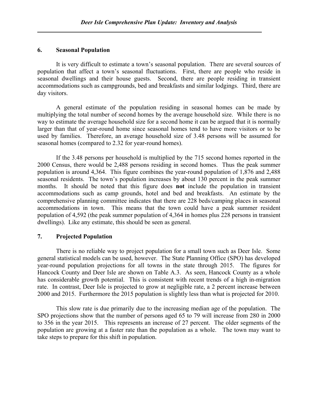#### 6. Seasonal Population

 It is very difficult to estimate a town's seasonal population. There are several sources of population that affect a town's seasonal fluctuations. First, there are people who reside in seasonal dwellings and their house guests. Second, there are people residing in transient accommodations such as campgrounds, bed and breakfasts and similar lodgings. Third, there are day visitors.

 A general estimate of the population residing in seasonal homes can be made by multiplying the total number of second homes by the average household size. While there is no way to estimate the average household size for a second home it can be argued that it is normally larger than that of year-round home since seasonal homes tend to have more visitors or to be used by families. Therefore, an average household size of 3.48 persons will be assumed for seasonal homes (compared to 2.32 for year-round homes).

 If the 3.48 persons per household is multiplied by the 715 second homes reported in the 2000 Census, there would be 2,488 persons residing in second homes. Thus the peak summer population is around 4,364. This figure combines the year-round population of 1,876 and 2,488 seasonal residents. The town's population increases by about 130 percent in the peak summer months. It should be noted that this figure does not include the population in transient accommodations such as camp grounds, hotel and bed and breakfasts. An estimate by the comprehensive planning committee indicates that there are 228 beds/camping places in seasonal accommodations in town. This means that the town could have a peak summer resident population of 4,592 (the peak summer population of 4,364 in homes plus 228 persons in transient dwellings). Like any estimate, this should be seen as general.

#### 7. Projected Population

There is no reliable way to project population for a small town such as Deer Isle. Some general statistical models can be used, however. The State Planning Office (SPO) has developed year-round population projections for all towns in the state through 2015. The figures for Hancock County and Deer Isle are shown on Table A.3. As seen, Hancock County as a whole has considerable growth potential. This is consistent with recent trends of a high in-migration rate. In contrast, Deer Isle is projected to grow at negligible rate, a 2 percent increase between 2000 and 2015. Furthermore the 2015 population is slightly less than what is projected for 2010.

This slow rate is due primarily due to the increasing median age of the population. The SPO projections show that the number of persons aged 65 to 79 will increase from 280 in 2000 to 356 in the year 2015. This represents an increase of 27 percent. The older segments of the population are growing at a faster rate than the population as a whole. The town may want to take steps to prepare for this shift in population.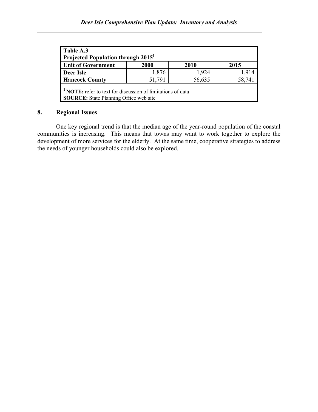| Table A.3<br>Projected Population through 2015 <sup>1</sup>                                                             |        |        |        |  |  |  |  |
|-------------------------------------------------------------------------------------------------------------------------|--------|--------|--------|--|--|--|--|
| <b>Unit of Government</b><br>2000<br>2010<br>2015                                                                       |        |        |        |  |  |  |  |
| Deer Isle                                                                                                               | 1,876  | 1,924  | 1,914  |  |  |  |  |
| <b>Hancock County</b>                                                                                                   | 51,791 | 56,635 | 58,741 |  |  |  |  |
| <sup>1</sup> NOTE: refer to text for discussion of limitations of data<br><b>SOURCE:</b> State Planning Office web site |        |        |        |  |  |  |  |

# 8. Regional Issues

One key regional trend is that the median age of the year-round population of the coastal communities is increasing. This means that towns may want to work together to explore the development of more services for the elderly. At the same time, cooperative strategies to address the needs of younger households could also be explored.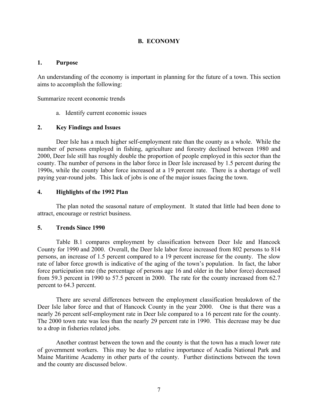#### B. ECONOMY

#### 1. Purpose

An understanding of the economy is important in planning for the future of a town. This section aims to accomplish the following:

Summarize recent economic trends

a. Identify current economic issues

#### 2. Key Findings and Issues

Deer Isle has a much higher self-employment rate than the county as a whole. While the number of persons employed in fishing, agriculture and forestry declined between 1980 and 2000, Deer Isle still has roughly double the proportion of people employed in this sector than the county. The number of persons in the labor force in Deer Isle increased by 1.5 percent during the 1990s, while the county labor force increased at a 19 percent rate. There is a shortage of well paying year-round jobs. This lack of jobs is one of the major issues facing the town.

#### 4. Highlights of the 1992 Plan

The plan noted the seasonal nature of employment. It stated that little had been done to attract, encourage or restrict business.

#### 5. Trends Since 1990

Table B.1 compares employment by classification between Deer Isle and Hancock County for 1990 and 2000. Overall, the Deer Isle labor force increased from 802 persons to 814 persons, an increase of 1.5 percent compared to a 19 percent increase for the county. The slow rate of labor force growth is indicative of the aging of the town's population. In fact, the labor force participation rate (the percentage of persons age 16 and older in the labor force) decreased from 59.3 percent in 1990 to 57.5 percent in 2000. The rate for the county increased from 62.7 percent to 64.3 percent.

There are several differences between the employment classification breakdown of the Deer Isle labor force and that of Hancock County in the year 2000. One is that there was a nearly 26 percent self-employment rate in Deer Isle compared to a 16 percent rate for the county. The 2000 town rate was less than the nearly 29 percent rate in 1990. This decrease may be due to a drop in fisheries related jobs.

Another contrast between the town and the county is that the town has a much lower rate of government workers. This may be due to relative importance of Acadia National Park and Maine Maritime Academy in other parts of the county. Further distinctions between the town and the county are discussed below.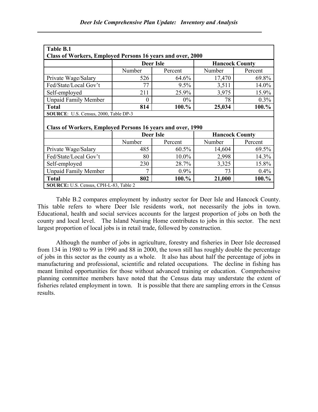| Table B.1                                                  |                                                                   |         |                       |          |  |  |  |  |  |
|------------------------------------------------------------|-------------------------------------------------------------------|---------|-----------------------|----------|--|--|--|--|--|
| Class of Workers, Employed Persons 16 years and over, 2000 |                                                                   |         |                       |          |  |  |  |  |  |
|                                                            | <b>Deer Isle</b>                                                  |         | <b>Hancock County</b> |          |  |  |  |  |  |
|                                                            | Number                                                            | Percent | Number                | Percent  |  |  |  |  |  |
| Private Wage/Salary                                        | 526                                                               | 64.6%   |                       | 69.8%    |  |  |  |  |  |
| Fed/State/Local Gov't                                      | 77                                                                | 9.5%    | 3,511                 | 14.0%    |  |  |  |  |  |
| Self-employed                                              | 211                                                               | 25.9%   | 3,975                 | 15.9%    |  |  |  |  |  |
| <b>Unpaid Family Member</b>                                | $_{0}$                                                            | $0\%$   | 78                    | $0.3\%$  |  |  |  |  |  |
| <b>Total</b>                                               | 814                                                               | 100.%   | 25,034                | 100.%    |  |  |  |  |  |
| SOURCE: U.S. Census, 2000, Table DP-3                      |                                                                   |         |                       |          |  |  |  |  |  |
|                                                            |                                                                   |         |                       |          |  |  |  |  |  |
|                                                            | <b>Class of Workers, Employed Persons 16 years and over, 1990</b> |         |                       |          |  |  |  |  |  |
|                                                            |                                                                   |         |                       |          |  |  |  |  |  |
|                                                            | <b>Deer Isle</b>                                                  |         | <b>Hancock County</b> |          |  |  |  |  |  |
|                                                            | Number                                                            | Percent | Number                | Percent  |  |  |  |  |  |
| Private Wage/Salary                                        | 485                                                               | 60.5%   | 14,604                | 69.5%    |  |  |  |  |  |
| Fed/State/Local Gov't                                      | 80                                                                | 10.0%   | 2,998                 | $14.3\%$ |  |  |  |  |  |
| Self-employed                                              | 230                                                               | 28.7%   | 3,325                 | 15.8%    |  |  |  |  |  |
| <b>Unpaid Family Member</b>                                | 7                                                                 | 0.9%    | 73                    | 0.4%     |  |  |  |  |  |
| <b>Total</b>                                               | 802                                                               | 100.%   | 21,000                | 100.%    |  |  |  |  |  |

Table B.2 compares employment by industry sector for Deer Isle and Hancock County. This table refers to where Deer Isle residents work, not necessarily the jobs in town. Educational, health and social services accounts for the largest proportion of jobs on both the county and local level. The Island Nursing Home contributes to jobs in this sector. The next largest proportion of local jobs is in retail trade, followed by construction.

Although the number of jobs in agriculture, forestry and fisheries in Deer Isle decreased from 134 in 1980 to 99 in 1990 and 88 in 2000, the town still has roughly double the percentage of jobs in this sector as the county as a whole. It also has about half the percentage of jobs in manufacturing and professional, scientific and related occupations. The decline in fishing has meant limited opportunities for those without advanced training or education. Comprehensive planning committee members have noted that the Census data may understate the extent of fisheries related employment in town. It is possible that there are sampling errors in the Census results.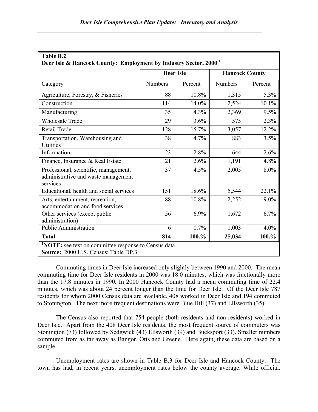| Deer Isle & Hancock County: Employment by Industry Sector, 2000 <sup>1</sup>                       |                  |         |                       |         |  |  |
|----------------------------------------------------------------------------------------------------|------------------|---------|-----------------------|---------|--|--|
|                                                                                                    | <b>Deer Isle</b> |         | <b>Hancock County</b> |         |  |  |
| Category                                                                                           | <b>Numbers</b>   | Percent | Numbers               | Percent |  |  |
| Agriculture, Forestry, & Fisheries                                                                 | 88               | 10.8%   | 1,315                 | 5.3%    |  |  |
| Construction                                                                                       | 114              | 14.0%   | 2,524                 | 10.1%   |  |  |
| Manufacturing                                                                                      | 35               | 4.3%    | 2,369                 | 9.5%    |  |  |
| <b>Wholesale Trade</b>                                                                             | 29               | 3.6%    | 575                   | 2.3%    |  |  |
| Retail Trade                                                                                       | 128              | 15.7%   | 3,057                 | 12.2%   |  |  |
| Transportation, Warehousing and<br><b>Utilities</b>                                                | 38               | 4.7%    | 883                   | 3.5%    |  |  |
| Information                                                                                        | 23               | 2.8%    | 644                   | 2.6%    |  |  |
| Finance, Insurance & Real Estate                                                                   | 21               | 2.6%    | 1,191                 | 4.8%    |  |  |
| Professional, scientific, management,<br>administrative and waste management<br>services           | 37               | 4.5%    | 2,005                 | 8.0%    |  |  |
| Educational, health and social services                                                            | 151              | 18.6%   | 5,544                 | 22.1%   |  |  |
| Arts, entertainment, recreation,<br>accommodation and food services                                | 88               | 10.8%   | 2,252                 | $9.0\%$ |  |  |
| Other services (except public<br>administration)                                                   | 56               | 6.9%    | 1,672                 | 6.7%    |  |  |
| Public Administration                                                                              | 6                | 0.7%    | 1,003                 | 4.0%    |  |  |
| <b>Total</b>                                                                                       | 814              | 100.%   | 25,034                | 100.%   |  |  |
| <b>NOTE:</b> see text on committee response to Census data<br>Source: 2000 U.S. Census: Table DP.3 |                  |         |                       |         |  |  |

# Table B.2

Commuting times in Deer Isle increased only slightly between 1990 and 2000. The mean commuting time for Deer Isle residents in 2000 was 18.0 minutes, which was fractionally more than the 17.8 minutes in 1990. In 2000 Hancock County had a mean commuting time of 22.4 minutes, which was about 24 percent longer than the time for Deer Isle. Of the Deer Isle 787 residents for whom 2000 Census data are available, 408 worked in Deer Isle and 194 commuted to Stonington. The next more frequent destinations were Blue Hill (37) and Ellsworth (35).

The Census also reported that 754 people (both residents and non-residents) worked in Deer Isle. Apart from the 408 Deer Isle residents, the most frequent source of commuters was Stonington (73) followed by Sedgwick (43) Ellsworth (39) and Bucksport (33). Smaller numbers commuted from as far away as Bangor, Otis and Greene. Here again, these data are based on a sample.

Unemployment rates are shown in Table B.3 for Deer Isle and Hancock County. The town has had, in recent years, unemployment rates below the county average. While official.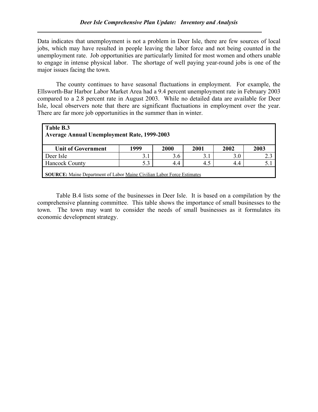Data indicates that unemployment is not a problem in Deer Isle, there are few sources of local jobs, which may have resulted in people leaving the labor force and not being counted in the unemployment rate. Job opportunities are particularly limited for most women and others unable to engage in intense physical labor. The shortage of well paying year-round jobs is one of the major issues facing the town.

The county continues to have seasonal fluctuations in employment. For example, the Ellsworth-Bar Harbor Labor Market Area had a 9.4 percent unemployment rate in February 2003 compared to a 2.8 percent rate in August 2003. While no detailed data are available for Deer Isle, local observers note that there are significant fluctuations in employment over the year. There are far more job opportunities in the summer than in winter.

| Table B.3<br><b>Average Annual Unemployment Rate, 1999-2003</b> |                                                                               |      |      |      |      |  |
|-----------------------------------------------------------------|-------------------------------------------------------------------------------|------|------|------|------|--|
| <b>Unit of Government</b>                                       | 1999                                                                          | 2000 | 2001 | 2002 | 2003 |  |
| Deer Isle                                                       | 3.1                                                                           | 3.6  | 3.1  | 3.0  | 2.3  |  |
| <b>Hancock County</b><br>5.3<br>4.5<br>4.4<br>5.<br>4.4         |                                                                               |      |      |      |      |  |
|                                                                 | <b>SOURCE:</b> Maine Department of Labor Maine Civilian Labor Force Estimates |      |      |      |      |  |

Table B.4 lists some of the businesses in Deer Isle. It is based on a compilation by the comprehensive planning committee. This table shows the importance of small businesses to the town. The town may want to consider the needs of small businesses as it formulates its economic development strategy.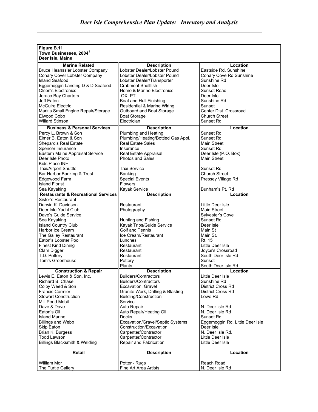| Figure B.11                                    |                                                             |                                              |
|------------------------------------------------|-------------------------------------------------------------|----------------------------------------------|
| Town Businesses, 2004 <sup>1</sup>             |                                                             |                                              |
| Deer Isle, Maine                               |                                                             |                                              |
| <b>Marine Related</b>                          | <b>Description</b>                                          | Location                                     |
| Bruce Heanssler Lobster Company                | Lobster Dealer/Lobster Pound                                | Eastside Rd. Sunshine                        |
| Conary Cover Lobster Company                   | Lobster Dealer/Lobster Pound                                | Conary Cove Rd Sunshine                      |
| Island Seafood                                 | Lobster Dealer/Transporter                                  | Sunshine Rd                                  |
| Eggemoggin Landing D & D Seafood               | <b>Crabmeat Shellfish</b>                                   | Deer Isle                                    |
| <b>Olsen's Electronics</b>                     | Home & Marine Electronics<br>OX PT                          | Sunset Road<br>Deer Isle                     |
| Jeraco Bay Charters<br>Jeff Eaton              | Boat and Hull Finishing                                     | Sunshine Rd                                  |
| <b>McGuire Electric</b>                        | Residential & Marine Wiring                                 | Sunset                                       |
| Mark's Small Engine Repair/Storage             | Outboard and Boat Storage                                   | Center Dist. Crossroad                       |
| Elwood Cobb                                    | <b>Boat Storage</b>                                         | <b>Church Street</b>                         |
| <b>Willard Stinson</b>                         | Electrician                                                 | Sunset Rd                                    |
| <b>Business &amp; Personal Services</b>        | <b>Description</b>                                          | Location                                     |
| Percy L. Brown & Son                           | Plumbing and Heating                                        | Sunset Rd                                    |
| Elmer B. Eaton & Son                           | Plumbing/Heating/Bottled Gas Appl.                          | Sunset Rd                                    |
| <b>Shepard's Real Estate</b>                   | <b>Real Estate Sales</b>                                    | Main Street                                  |
| Spencer Insurance                              | Insurance                                                   | Sunset Rd                                    |
| Eastern Maine Appraisal Service                | Real Estate Appraisal                                       | Deer Isle (P.O. Box)                         |
| Deer Isle Photo                                | <b>Photos and Sales</b>                                     | Main Street                                  |
| Kids Place INH                                 |                                                             |                                              |
| <b>Taxi/Airport Shuttle</b>                    | <b>Taxi Service</b>                                         | Sunset Rd                                    |
| Bar Harbor Banking & Trust                     | Banking                                                     | <b>Church Street</b>                         |
| Edgewood Farm                                  | <b>Special Events</b>                                       | Pressey Village Rd                           |
| <b>Island Florist</b>                          | <b>Flowers</b>                                              |                                              |
| Sea Kayaking                                   | Kayak Service                                               | Bunham's Pt. Rd                              |
| <b>Restaurants &amp; Recreational Services</b> | <b>Description</b>                                          | Location                                     |
| Sister's Restaurant                            |                                                             |                                              |
| Darwin K. Davidson                             | Restaurant                                                  | Little Deer Isle                             |
| Deer Isle Yacht Club                           | Photography                                                 | <b>Main Street</b>                           |
| Dave's Guide Service                           |                                                             | <b>Sylvester's Cove</b>                      |
| Sea Kayaking<br><b>Island Country Club</b>     | Hunting and Fishing<br>Kayak Trips/Guide Service            | Sunset Rd<br>Deer Isle                       |
| Harbor Ice Cream                               | <b>Golf and Tennis</b>                                      | Main St                                      |
| The Galley Restaurant                          | Ice Cream/Restaurant                                        | Main St.                                     |
| Eaton's Lobster Pool                           | Lunches                                                     | Rt. 15                                       |
| <b>Finest Kind Dining</b>                      | Restaurant                                                  | Little Deer Isle                             |
| Clam Digger                                    | Restaurant                                                  | Joyce's Crossroad                            |
| T.D. Pottery                                   | Restaurant                                                  | South Deer Isle Rd                           |
| Tom's Greenhouse                               | Pottery                                                     | Sunset                                       |
|                                                | Plants                                                      | South Deer Isle Rd                           |
| <b>Construction &amp; Repair</b>               | <b>Description</b>                                          | Location                                     |
| Lewis E. Eaton & Son, Inc.                     | Builders/Contractors                                        | Little Deer Isle                             |
| Richard B. Chase                               | <b>Builders/Contractors</b>                                 | Sunshine Rd                                  |
| Colby Weed & Son                               | Excavation, Gravel                                          | <b>District Cross Rd</b>                     |
| <b>Francis Cormier</b>                         | Granite Work, Drilling & Blasting                           | District Cross Rd                            |
| <b>Stewart Construction</b>                    | Building/Construction                                       | Lowe Rd                                      |
| Mill Pond Mobil                                | Service                                                     |                                              |
| Dave & Dave                                    | Auto Repair                                                 | N. Deer Isle Rd                              |
| Eaton's Oil                                    | Auto Repair/Heating Oil                                     | N. Deer Isle Rd                              |
| <b>Island Marine</b>                           | Docks                                                       | Sunset Rd<br>Eggemoggin Rd. Little Deer Isle |
| <b>Billings and Webb</b><br>Skip Eaton         | Excavation/Gravel/Septic Systems<br>Construction/Excavation | Deer Isle                                    |
| Brian K. Burgess                               | Carpenter/Contractor                                        | N. Deer Isle Rd.                             |
| <b>Todd Lawson</b>                             | Carpenter/Contractor                                        | Little Deer Isle                             |
| Billings Blacksmith & Welding                  | Repair and Fabrication                                      | Little Deer Isle                             |
|                                                |                                                             |                                              |
| Retail                                         | <b>Description</b>                                          | Location                                     |
| <b>William Mor</b>                             | Potter - Rugs                                               | Reach Road                                   |
| The Turtle Gallery                             | Fine Art Area Artists                                       | N. Deer Isle Rd                              |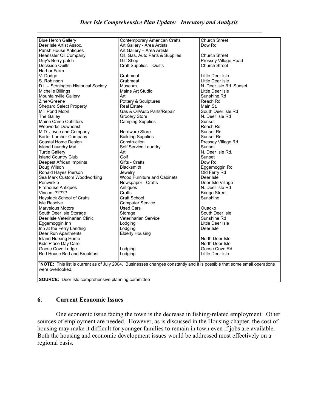| <b>Blue Heron Gallery</b>            | <b>Contemporary American Crafts</b>                                                                                                  | <b>Church Street</b>    |
|--------------------------------------|--------------------------------------------------------------------------------------------------------------------------------------|-------------------------|
| Deer Isle Artist Assoc.              | Art Gallery - Area Artists                                                                                                           | Dow Rd                  |
| Parish House Antiques                | Art Gallery - Area Artists                                                                                                           |                         |
| Heanssler Oil Company                | Oil, Gas, Auto Parts & Supplies                                                                                                      | <b>Church Street</b>    |
| Guy's Berry patch                    | Gift Shop                                                                                                                            | Pressey Village Road    |
| Dockside Quilts                      | <b>Craft Supplies - Quilts</b>                                                                                                       | <b>Church Street</b>    |
| Harbor Farm                          |                                                                                                                                      |                         |
| V. Dodge                             | Crabmeat                                                                                                                             | Little Deer Isle        |
| S. Robinson                          | Crabmeat                                                                                                                             | Little Deer Isle        |
| D.I. - Stonington Historical Society | Museum                                                                                                                               | N. Deer Isle Rd. Sunset |
| Michelle Billings                    | Maine Art Studio                                                                                                                     | Little Deer Isle        |
| Mountainville Gallery                | Art                                                                                                                                  | Sunshine Rd             |
| Ziner/Greene                         | Pottery & Sculptures                                                                                                                 | Reach Rd                |
|                                      | <b>Real Estate</b>                                                                                                                   | Main St.                |
| <b>Shepard Select Property</b>       |                                                                                                                                      |                         |
| l Mill Pond Mobil                    | Gas & Oil/Auto Parts/Repair                                                                                                          | South Deer Isle Rd      |
| The Galley                           | <b>Grocery Store</b>                                                                                                                 | N. Deer Isle Rd         |
| Maine Camp Outfitters                | <b>Camping Supplies</b>                                                                                                              | Sunset                  |
| <b>Webworks Downeast</b>             |                                                                                                                                      | Reach Rd                |
| M.D. Joyce and Company               | <b>Hardware Store</b>                                                                                                                | Sunset Rd               |
| Barter Lumber Company                | <b>Building Supplies</b>                                                                                                             | Sunset Rd               |
| Coastal Home Design                  | Construction                                                                                                                         | Pressey Village Rd      |
| <b>Island Laundry Mat</b>            | Self Service Laundry                                                                                                                 | Sunset                  |
| <b>Turtle Gallery</b>                | Art                                                                                                                                  | N. Deer Isle Rd.        |
| <b>Island Country Club</b>           | Golf                                                                                                                                 | Sunset                  |
| Deepest African Imprints             | Gifts - Crafts                                                                                                                       | Dow Rd                  |
| Doug Wilson                          | Blacksmith                                                                                                                           | Eggemoggin Rd           |
| Ronald Hayes Pierson                 | Jewelry                                                                                                                              | Old Ferry Rd            |
| Sea Mark Custom Woodworking          | <b>Wood Furniture and Cabinets</b>                                                                                                   | Deer Isle               |
| Periwinkle                           | Newspaper - Crafts                                                                                                                   | Deer Isle Village       |
| <b>Firehouse Antiques</b>            | Antiques                                                                                                                             | N. Deer Isle Rd         |
| Vincent ?????                        | Crafts                                                                                                                               | <b>Bridge Street</b>    |
| Haystack School of Crafts            | Craft School                                                                                                                         | Sunshine                |
| Isle Resolve                         | <b>Computer Service</b>                                                                                                              |                         |
| Marvelous Motors                     | Used Cars                                                                                                                            | Ouacko                  |
| South Deer Isle Storage              | Storage                                                                                                                              | South Deer Isle         |
| Deer Isle Veterinarian Clinic        | Veterinarian Service                                                                                                                 | Sunshine Rd             |
| Eggemoggin Inn                       | Lodging                                                                                                                              | Little Deer Isle        |
| Inn at the Ferry Landing             | Lodging                                                                                                                              | Deer Isle               |
|                                      |                                                                                                                                      |                         |
| Deer Run Apartments                  | <b>Elderly Housing</b>                                                                                                               |                         |
| <b>Island Nursing Home</b>           |                                                                                                                                      | North Deer Isle         |
| Kids Place Day Care                  |                                                                                                                                      | North Deer Isle         |
| Goose Cove Lodge                     | Lodging                                                                                                                              | Goose Cove Rd           |
| Red House Bed and Breakfast          | Lodging                                                                                                                              | Little Deer Isle        |
|                                      |                                                                                                                                      |                         |
|                                      | <sup>1</sup> NOTE: This list is current as of July 2004. Businesses changes constantly and it is possible that some small operations |                         |
| were overlooked.                     |                                                                                                                                      |                         |
|                                      |                                                                                                                                      |                         |

SOURCE: Deer Isle comprehensive planning committee

### 6. Current Economic Issues

 One economic issue facing the town is the decrease in fishing-related employment. Other sources of employment are needed. However, as is discussed in the Housing chapter, the cost of housing may make it difficult for younger families to remain in town even if jobs are available. Both the housing and economic development issues would be addressed most effectively on a regional basis.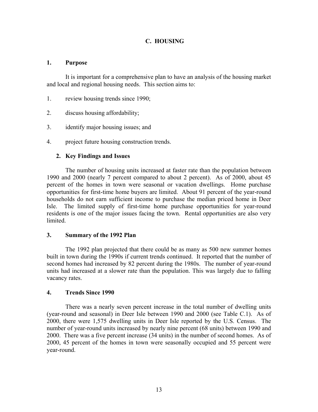## C. HOUSING

#### 1. Purpose

 It is important for a comprehensive plan to have an analysis of the housing market and local and regional housing needs. This section aims to:

- 1. review housing trends since 1990;
- 2. discuss housing affordability;
- 3. identify major housing issues; and
- 4. project future housing construction trends.

#### 2. Key Findings and Issues

The number of housing units increased at faster rate than the population between 1990 and 2000 (nearly 7 percent compared to about 2 percent). As of 2000, about 45 percent of the homes in town were seasonal or vacation dwellings. Home purchase opportunities for first-time home buyers are limited. About 91 percent of the year-round households do not earn sufficient income to purchase the median priced home in Deer Isle. The limited supply of first-time home purchase opportunities for year-round residents is one of the major issues facing the town. Rental opportunities are also very limited.

#### 3. Summary of the 1992 Plan

The 1992 plan projected that there could be as many as 500 new summer homes built in town during the 1990s if current trends continued. It reported that the number of second homes had increased by 82 percent during the 1980s. The number of year-round units had increased at a slower rate than the population. This was largely due to falling vacancy rates.

#### 4. Trends Since 1990

There was a nearly seven percent increase in the total number of dwelling units (year-round and seasonal) in Deer Isle between 1990 and 2000 (see Table C.1). As of 2000, there were 1,575 dwelling units in Deer Isle reported by the U.S. Census. The number of year-round units increased by nearly nine percent (68 units) between 1990 and 2000. There was a five percent increase (34 units) in the number of second homes. As of 2000, 45 percent of the homes in town were seasonally occupied and 55 percent were year-round.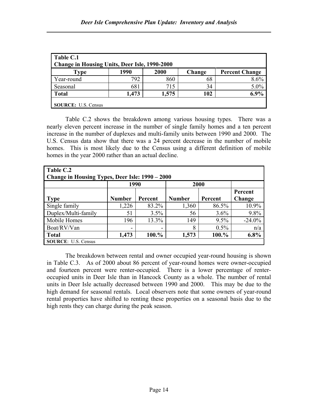| Table C.1<br><b>Change in Housing Units, Deer Isle, 1990-2000</b> |       |       |        |                       |  |
|-------------------------------------------------------------------|-------|-------|--------|-----------------------|--|
| <b>Type</b>                                                       | 1990  | 2000  | Change | <b>Percent Change</b> |  |
| Year-round                                                        | 792   | 860   | 68     | 8.6%                  |  |
| Seasonal                                                          | 681   | 715   | 34     | 5.0%                  |  |
| <b>Total</b>                                                      | 1,473 | 1,575 | 102    | $6.9\%$               |  |
| <b>SOURCE:</b> U.S. Census                                        |       |       |        |                       |  |

Table C.2 shows the breakdown among various housing types. There was a nearly eleven percent increase in the number of single family homes and a ten percent increase in the number of duplexes and multi-family units between 1990 and 2000. The U.S. Census data show that there was a 24 percent decrease in the number of mobile homes. This is most likely due to the Census using a different definition of mobile homes in the year 2000 rather than an actual decline.

| Table C.2                                       |                          |                          |               |         |           |  |  |  |
|-------------------------------------------------|--------------------------|--------------------------|---------------|---------|-----------|--|--|--|
| Change in Housing Types, Deer Isle: 1990 - 2000 |                          |                          |               |         |           |  |  |  |
|                                                 | 1990<br>2000             |                          |               |         |           |  |  |  |
|                                                 | Percent                  |                          |               |         |           |  |  |  |
| <b>Type</b>                                     | <b>Number</b>            | Percent                  | <b>Number</b> | Percent | Change    |  |  |  |
| Single family                                   | 1,226                    | 83.2%                    | 1,360         | 86.5%   | 10.9%     |  |  |  |
| Duplex/Multi-family                             | 51                       | 3.5%                     | 56            | 3.6%    | 9.8%      |  |  |  |
| Mobile Homes                                    | 196                      | 13.3%                    | 149           | 9.5%    | $-24.0\%$ |  |  |  |
| Boat/RV/Van                                     | $\overline{\phantom{0}}$ | $\overline{\phantom{0}}$ | 8             | 0.5%    | n/a       |  |  |  |
| <b>Total</b>                                    | 1,473                    | 100.%                    | 1,573         | 100.%   | 6.8%      |  |  |  |
| <b>SOURCE:</b> U.S. Census                      |                          |                          |               |         |           |  |  |  |

The breakdown between rental and owner occupied year-round housing is shown in Table C.3. As of 2000 about 86 percent of year-round homes were owner-occupied and fourteen percent were renter-occupied. There is a lower percentage of renteroccupied units in Deer Isle than in Hancock County as a whole. The number of rental units in Deer Isle actually decreased between 1990 and 2000. This may be due to the high demand for seasonal rentals. Local observers note that some owners of year-round rental properties have shifted to renting these properties on a seasonal basis due to the high rents they can charge during the peak season.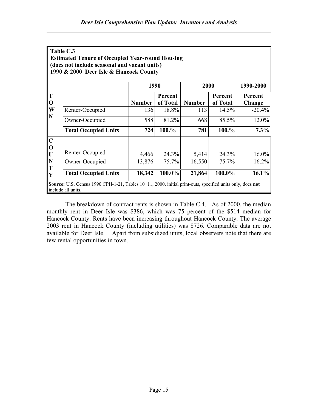|             | Table C.3                                                                                                                       |               |          |               |          |           |
|-------------|---------------------------------------------------------------------------------------------------------------------------------|---------------|----------|---------------|----------|-----------|
|             | <b>Estimated Tenure of Occupied Year-round Housing</b>                                                                          |               |          |               |          |           |
|             | (does not include seasonal and vacant units)                                                                                    |               |          |               |          |           |
|             | 1990 & 2000 Deer Isle & Hancock County                                                                                          |               |          |               |          |           |
|             |                                                                                                                                 |               |          |               |          |           |
|             |                                                                                                                                 | 1990          |          | 2000          |          | 1990-2000 |
| T           |                                                                                                                                 |               | Percent  |               | Percent  | Percent   |
| $\mathbf 0$ |                                                                                                                                 | <b>Number</b> | of Total | <b>Number</b> | of Total | Change    |
| W           | Renter-Occupied                                                                                                                 | 136           | 18.8%    | 113           | 14.5%    | $-20.4%$  |
| $\mathbf N$ | Owner-Occupied                                                                                                                  | 588           | 81.2%    | 668           | 85.5%    | $12.0\%$  |
|             | <b>Total Occupied Units</b>                                                                                                     | 724           | 100.%    | 781           | 100.%    | 7.3%      |
| $\mathbf C$ |                                                                                                                                 |               |          |               |          |           |
| $\mathbf 0$ |                                                                                                                                 |               |          |               |          |           |
| $\mathbf U$ | Renter-Occupied                                                                                                                 | 4,466         | 24.3%    | 5,414         | 24.3%    | $16.0\%$  |
| N           | Owner-Occupied                                                                                                                  | 13,876        | 75.7%    | 16,550        | 75.7%    | 16.2%     |
| T<br>Y      | <b>Total Occupied Units</b>                                                                                                     | 18,342        | 100.0%   | 21,864        | 100.0%   | $16.1\%$  |
|             | Source: U.S. Census 1990 CPH-1-21, Tables 10+11, 2000, initial print-outs, specified units only, does not<br>include all units. |               |          |               |          |           |

The breakdown of contract rents is shown in Table C.4. As of 2000, the median monthly rent in Deer Isle was \$386, which was 75 percent of the \$514 median for Hancock County. Rents have been increasing throughout Hancock County. The average 2003 rent in Hancock County (including utilities) was \$726. Comparable data are not available for Deer Isle. Apart from subsidized units, local observers note that there are few rental opportunities in town.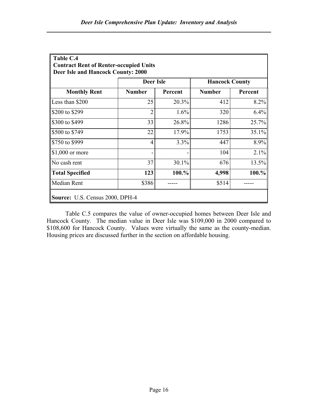| Table C.4                                     |                                           |         |               |         |  |  |  |
|-----------------------------------------------|-------------------------------------------|---------|---------------|---------|--|--|--|
| <b>Contract Rent of Renter-occupied Units</b> |                                           |         |               |         |  |  |  |
| Deer Isle and Hancock County: 2000            |                                           |         |               |         |  |  |  |
|                                               | <b>Deer Isle</b><br><b>Hancock County</b> |         |               |         |  |  |  |
| <b>Monthly Rent</b>                           | <b>Number</b>                             | Percent | <b>Number</b> | Percent |  |  |  |
| Less than \$200                               | 25                                        | 20.3%   | 412           | 8.2%    |  |  |  |
| \$200 to \$299                                | $\overline{2}$                            | 1.6%    | 320           | 6.4%    |  |  |  |
| \$300 to \$499                                | 33                                        | 26.8%   | 1286          | 25.7%   |  |  |  |
| \$500 to \$749                                | 22                                        | 17.9%   | 1753          | 35.1%   |  |  |  |
| S750 to \$999                                 | 4                                         | 3.3%    | 447           | 8.9%    |  |  |  |
| $\vert$ \$1,000 or more                       |                                           |         | 104           | 2.1%    |  |  |  |
| No cash rent                                  | 37                                        | 30.1%   | 676           | 13.5%   |  |  |  |
| Total Specified                               | 123                                       | 100.%   | 4,998         | 100.%   |  |  |  |
| Median Rent                                   | \$386                                     |         | \$514         |         |  |  |  |
|                                               | Source: U.S. Census 2000, DPH-4           |         |               |         |  |  |  |

Table C.5 compares the value of owner-occupied homes between Deer Isle and Hancock County. The median value in Deer Isle was \$109,000 in 2000 compared to \$108,600 for Hancock County. Values were virtually the same as the county-median. Housing prices are discussed further in the section on affordable housing.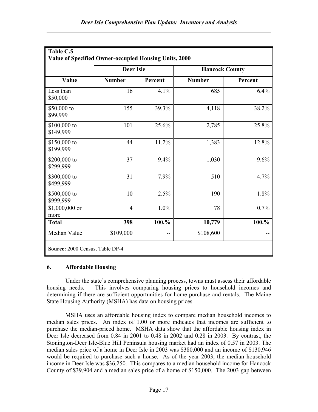|                           | <b>Deer Isle</b> |         | <b>Hancock County</b> |         |  |
|---------------------------|------------------|---------|-----------------------|---------|--|
| Value                     | <b>Number</b>    | Percent | <b>Number</b>         | Percent |  |
| Less than<br>\$50,000     | 16               | 4.1%    | 685                   | 6.4%    |  |
| \$50,000 to<br>\$99,999   | 155              | 39.3%   | 4,118                 | 38.2%   |  |
| \$100,000 to<br>\$149,999 | 101              | 25.6%   | 2,785                 | 25.8%   |  |
| \$150,000 to<br>\$199,999 | 44               | 11.2%   | 1,383                 | 12.8%   |  |
| \$200,000 to<br>\$299,999 | 37               | 9.4%    | 1,030                 | 9.6%    |  |
| \$300,000 to<br>\$499,999 | 31               | 7.9%    | 510                   | 4.7%    |  |
| \$500,000 to<br>\$999,999 | 10               | 2.5%    | 190                   | 1.8%    |  |
| $$1,000,000$ or<br>more   | $\overline{4}$   | 1.0%    | 78                    | 0.7%    |  |
| <b>Total</b>              | 398              | 100.%   | 10,779                | 100.%   |  |
| Median Value              | \$109,000        | --      | \$108,600             |         |  |

#### 6. Affordable Housing

Under the state's comprehensive planning process, towns must assess their affordable housing needs. This involves comparing housing prices to household incomes and determining if there are sufficient opportunities for home purchase and rentals. The Maine State Housing Authority (MSHA) has data on housing prices.

MSHA uses an affordable housing index to compare median household incomes to median sales prices. An index of 1.00 or more indicates that incomes are sufficient to purchase the median-priced home. MSHA data show that the affordable housing index in Deer Isle decreased from 0.84 in 2001 to 0.48 in 2002 and 0.28 in 2003. By contrast, the Stonington-Deer Isle-Blue Hill Peninsula housing market had an index of 0.57 in 2003. The median sales price of a home in Deer Isle in 2003 was \$380,000 and an income of \$130,946 would be required to purchase such a house. As of the year 2003, the median household income in Deer Isle was \$36,250. This compares to a median household income for Hancock County of \$39,904 and a median sales price of a home of \$150,000. The 2003 gap between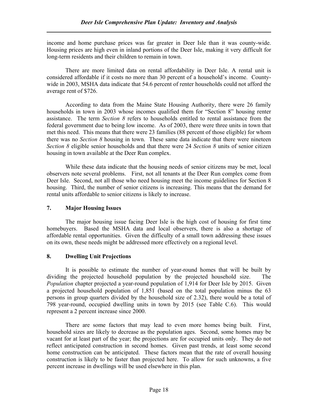income and home purchase prices was far greater in Deer Isle than it was county-wide. Housing prices are high even in inland portions of the Deer Isle, making it very difficult for long-term residents and their children to remain in town.

There are more limited data on rental affordability in Deer Isle. A rental unit is considered affordable if it costs no more than 30 percent of a household's income. Countywide in 2003, MSHA data indicate that 54.6 percent of renter households could not afford the average rent of \$726.

According to data from the Maine State Housing Authority, there were 26 family households in town in 2003 whose incomes qualified them for "Section 8" housing renter assistance. The term Section 8 refers to households entitled to rental assistance from the federal government due to being low income. As of 2003, there were three units in town that met this need. This means that there were 23 families (88 percent of those eligible) for whom there was no *Section 8* housing in town. These same data indicate that there were nineteen Section 8 eligible senior households and that there were 24 Section 8 units of senior citizen housing in town available at the Deer Run complex.

While these data indicate that the housing needs of senior citizens may be met, local observers note several problems. First, not all tenants at the Deer Run complex come from Deer Isle. Second, not all those who need housing meet the income guidelines for Section 8 housing. Third, the number of senior citizens is increasing. This means that the demand for rental units affordable to senior citizens is likely to increase.

#### 7. Major Housing Issues

The major housing issue facing Deer Isle is the high cost of housing for first time homebuyers. Based the MSHA data and local observers, there is also a shortage of affordable rental opportunities. Given the difficulty of a small town addressing these issues on its own, these needs might be addressed more effectively on a regional level.

### 8. Dwelling Unit Projections

It is possible to estimate the number of year-round homes that will be built by dividing the projected household population by the projected household size. The Population chapter projected a year-round population of 1,914 for Deer Isle by 2015. Given a projected household population of 1,851 (based on the total population minus the 63 persons in group quarters divided by the household size of 2.32), there would be a total of 798 year-round, occupied dwelling units in town by 2015 (see Table C.6). This would represent a 2 percent increase since 2000.

There are some factors that may lead to even more homes being built. First, household sizes are likely to decrease as the population ages. Second, some homes may be vacant for at least part of the year; the projections are for occupied units only. They do not reflect anticipated construction in second homes. Given past trends, at least some second home construction can be anticipated. These factors mean that the rate of overall housing construction is likely to be faster than projected here. To allow for such unknowns, a five percent increase in dwellings will be used elsewhere in this plan.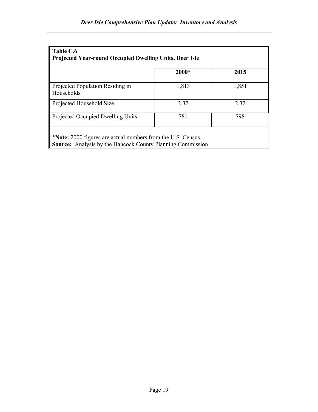| Table C.6<br><b>Projected Year-round Occupied Dwelling Units, Deer Isle</b>                                                       |         |       |  |  |  |  |
|-----------------------------------------------------------------------------------------------------------------------------------|---------|-------|--|--|--|--|
|                                                                                                                                   | $2000*$ | 2015  |  |  |  |  |
| Projected Population Residing in<br>Households                                                                                    | 1,813   | 1,851 |  |  |  |  |
| Projected Household Size                                                                                                          | 2.32    | 2.32  |  |  |  |  |
| Projected Occupied Dwelling Units                                                                                                 | 781     | 798   |  |  |  |  |
| *Note: 2000 figures are actual numbers from the U.S. Census.<br><b>Source:</b> Analysis by the Hancock County Planning Commission |         |       |  |  |  |  |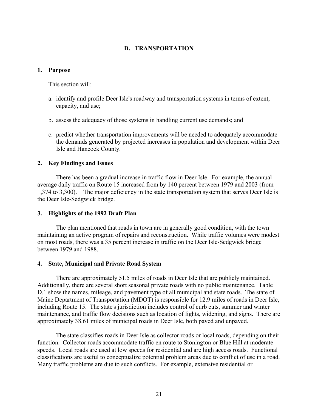## D. TRANSPORTATION

#### 1. Purpose

This section will:

- a. identify and profile Deer Isle's roadway and transportation systems in terms of extent, capacity, and use;
- b. assess the adequacy of those systems in handling current use demands; and
- c. predict whether transportation improvements will be needed to adequately accommodate the demands generated by projected increases in population and development within Deer Isle and Hancock County.

#### 2. Key Findings and Issues

 There has been a gradual increase in traffic flow in Deer Isle. For example, the annual average daily traffic on Route 15 increased from by 140 percent between 1979 and 2003 (from 1,374 to 3,300). The major deficiency in the state transportation system that serves Deer Isle is the Deer Isle-Sedgwick bridge.

#### 3. Highlights of the 1992 Draft Plan

 The plan mentioned that roads in town are in generally good condition, with the town maintaining an active program of repairs and reconstruction. While traffic volumes were modest on most roads, there was a 35 percent increase in traffic on the Deer Isle-Sedgwick bridge between 1979 and 1988.

#### 4. State, Municipal and Private Road System

 There are approximately 51.5 miles of roads in Deer Isle that are publicly maintained. Additionally, there are several short seasonal private roads with no public maintenance. Table D.1 show the names, mileage, and pavement type of all municipal and state roads. The state of Maine Department of Transportation (MDOT) is responsible for 12.9 miles of roads in Deer Isle, including Route 15. The state's jurisdiction includes control of curb cuts, summer and winter maintenance, and traffic flow decisions such as location of lights, widening, and signs. There are approximately 38.61 miles of municipal roads in Deer Isle, both paved and unpaved.

 The state classifies roads in Deer Isle as collector roads or local roads, depending on their function. Collector roads accommodate traffic en route to Stonington or Blue Hill at moderate speeds. Local roads are used at low speeds for residential and are high access roads. Functional classifications are useful to conceptualize potential problem areas due to conflict of use in a road. Many traffic problems are due to such conflicts. For example, extensive residential or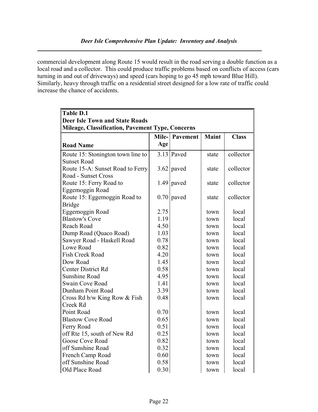commercial development along Route 15 would result in the road serving a double function as a local road and a collector. This could produce traffic problems based on conflicts of access (cars turning in and out of driveways) and speed (cars hoping to go 45 mph toward Blue Hill). Similarly, heavy through traffic on a residential street designed for a low rate of traffic could increase the chance of accidents.

| <b>Table D.1</b>                                 |       |              |              |              |
|--------------------------------------------------|-------|--------------|--------------|--------------|
| <b>Deer Isle Town and State Roads</b>            |       |              |              |              |
| Mileage, Classification, Pavement Type, Concerns |       |              |              |              |
|                                                  | Mile- | Pavement     | <b>Maint</b> | <b>Class</b> |
| <b>Road Name</b>                                 | Age   |              |              |              |
| Route 15: Stonington town line to                |       | $3.13$ Paved | state        | collector    |
| <b>Sunset Road</b>                               |       |              |              |              |
| Route 15-A: Sunset Road to Ferry                 | 3.62  | paved        | state        | collector    |
| Road - Sunset Cross                              |       |              |              |              |
| Route 15: Ferry Road to                          |       | $1.49$ paved | state        | collector    |
| Eggemoggin Road                                  |       |              |              |              |
| Route 15: Eggemoggin Road to                     | 0.70  | paved        | state        | collector    |
| <b>Bridge</b>                                    |       |              |              |              |
| Eggemoggin Road                                  | 2.75  |              | town         | local        |
| <b>Blastow's Cove</b>                            | 1.19  |              | town         | local        |
| Reach Road                                       | 4.50  |              | town         | local        |
| Dump Road (Quaco Road)                           | 1.03  |              | town         | local        |
| Sawyer Road - Haskell Road                       | 0.78  |              | town         | local        |
| Lowe Road                                        | 0.82  |              | town         | local        |
| Fish Creek Road                                  | 4.20  |              | town         | local        |
| Dow Road                                         | 1.45  |              | town         | local        |
| <b>Center District Rd</b>                        | 0.58  |              | town         | local        |
| <b>Sunshine Road</b>                             | 4.95  |              | town         | local        |
| Swain Cove Road                                  | 1.41  |              | town         | local        |
| Dunham Point Road                                | 3.39  |              | town         | local        |
| Cross Rd b/w King Row & Fish                     | 0.48  |              | town         | local        |
| Creek Rd                                         |       |              |              |              |
| Point Road                                       | 0.70  |              | town         | local        |
| <b>Blastow Cove Road</b>                         | 0.65  |              | town         | local        |
| Ferry Road                                       | 0.51  |              | town         | local        |
| off Rte 15, south of New Rd                      | 0.25  |              | town         | local        |
| Goose Cove Road                                  | 0.82  |              | town         | local        |
| off Sunshine Road                                | 0.32  |              | town         | local        |
| French Camp Road                                 | 0.60  |              | town         | local        |
| off Sunshine Road                                | 0.58  |              | town         | local        |
| Old Place Road                                   | 0.30  |              | town         | local        |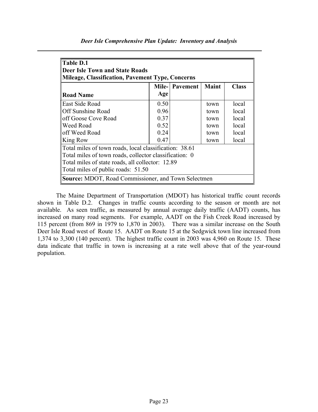| Table D.1<br><b>Deer Isle Town and State Roads</b><br><b>Mileage, Classification, Pavement Type, Concerns</b> |      |                 |              |              |  |  |  |  |
|---------------------------------------------------------------------------------------------------------------|------|-----------------|--------------|--------------|--|--|--|--|
|                                                                                                               |      | Mile-  Pavement | <b>Maint</b> | <b>Class</b> |  |  |  |  |
| <b>Road Name</b>                                                                                              | Age  |                 |              |              |  |  |  |  |
| East Side Road                                                                                                | 0.50 |                 | town         | local        |  |  |  |  |
| Off Sunshine Road                                                                                             | 0.96 |                 | town         | local        |  |  |  |  |
| off Goose Cove Road                                                                                           | 0.37 |                 | town         | local        |  |  |  |  |
| Weed Road                                                                                                     | 0.52 |                 | town         | local        |  |  |  |  |
| off Weed Road                                                                                                 | 0.24 |                 | town         | local        |  |  |  |  |
| King Row                                                                                                      | 0.47 |                 | town         | local        |  |  |  |  |
| Total miles of town roads, local classification: 38.61                                                        |      |                 |              |              |  |  |  |  |
| Total miles of town roads, collector classification: 0                                                        |      |                 |              |              |  |  |  |  |
| Total miles of state roads, all collector: 12.89                                                              |      |                 |              |              |  |  |  |  |
| Total miles of public roads: 51.50                                                                            |      |                 |              |              |  |  |  |  |
| Source: MDOT, Road Commissioner, and Town Selectmen                                                           |      |                 |              |              |  |  |  |  |

 The Maine Department of Transportation (MDOT) has historical traffic count records shown in Table D.2. Changes in traffic counts according to the season or month are not available. As seen traffic, as measured by annual average daily traffic (AADT) counts, has increased on many road segments. For example, AADT on the Fish Creek Road increased by 115 percent (from 869 in 1979 to 1,870 in 2003). There was a similar increase on the South Deer Isle Road west of Route 15. AADT on Route 15 at the Sedgwick town line increased from 1,374 to 3,300 (140 percent). The highest traffic count in 2003 was 4,960 on Route 15. These data indicate that traffic in town is increasing at a rate well above that of the year-round population.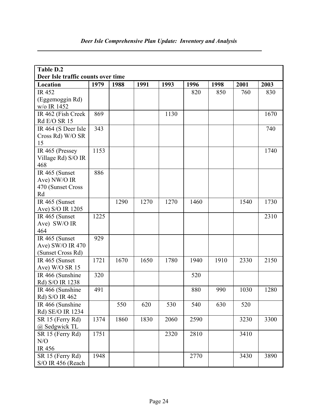| Table D.2                          |      |      |      |      |      |      |      |      |
|------------------------------------|------|------|------|------|------|------|------|------|
| Deer Isle traffic counts over time |      |      |      |      |      |      |      |      |
| Location                           | 1979 | 1988 | 1991 | 1993 | 1996 | 1998 | 2001 | 2003 |
| <b>IR452</b>                       |      |      |      |      | 820  | 850  | 760  | 830  |
| (Eggemoggin Rd)                    |      |      |      |      |      |      |      |      |
| w/o IR 1452                        |      |      |      |      |      |      |      |      |
| IR 462 (Fish Creek                 | 869  |      |      | 1130 |      |      |      | 1670 |
| <b>Rd E/O SR 15</b>                |      |      |      |      |      |      |      |      |
| IR 464 (S Deer Isle                | 343  |      |      |      |      |      |      | 740  |
| Cross Rd) W/O SR                   |      |      |      |      |      |      |      |      |
| 15                                 |      |      |      |      |      |      |      |      |
| IR 465 (Pressey                    | 1153 |      |      |      |      |      |      | 1740 |
| Village Rd) S/O IR                 |      |      |      |      |      |      |      |      |
| 468                                |      |      |      |      |      |      |      |      |
| IR 465 (Sunset                     | 886  |      |      |      |      |      |      |      |
| Ave) NW/O IR                       |      |      |      |      |      |      |      |      |
| 470 (Sunset Cross                  |      |      |      |      |      |      |      |      |
| Rd                                 |      |      |      |      |      |      |      |      |
| IR 465 (Sunset                     |      | 1290 | 1270 | 1270 | 1460 |      | 1540 | 1730 |
| Ave) S/O IR 1205                   |      |      |      |      |      |      |      |      |
| IR 465 (Sunset                     | 1225 |      |      |      |      |      |      | 2310 |
| Ave) SW/O IR                       |      |      |      |      |      |      |      |      |
| 464                                |      |      |      |      |      |      |      |      |
| IR 465 (Sunset                     | 929  |      |      |      |      |      |      |      |
| Ave) SW/O IR 470                   |      |      |      |      |      |      |      |      |
| (Sunset Cross Rd)                  |      |      |      |      |      |      |      |      |
| IR 465 (Sunset                     | 1721 | 1670 | 1650 | 1780 | 1940 | 1910 | 2330 | 2150 |
| Ave) W/O SR 15                     |      |      |      |      |      |      |      |      |
| IR 466 (Sunshine                   | 320  |      |      |      | 520  |      |      |      |
| Rd) S/O IR 1238                    |      |      |      |      |      |      |      |      |
| IR 466 (Sunshine                   | 491  |      |      |      | 880  | 990  | 1030 | 1280 |
| Rd) S/O IR 462                     |      |      |      |      |      |      |      |      |
| IR 466 (Sunshine                   |      | 550  | 620  | 530  | 540  | 630  | 520  |      |
| Rd) SE/O IR 1234                   |      |      |      |      |      |      |      |      |
| SR 15 (Ferry Rd)                   | 1374 | 1860 | 1830 | 2060 | 2590 |      | 3230 | 3300 |
| @ Sedgwick TL                      |      |      |      |      |      |      |      |      |
| SR 15 (Ferry Rd)                   | 1751 |      |      | 2320 | 2810 |      | 3410 |      |
| N/O                                |      |      |      |      |      |      |      |      |
| IR 456                             |      |      |      |      |      |      |      |      |
| SR 15 (Ferry Rd)                   | 1948 |      |      |      | 2770 |      | 3430 | 3890 |
| S/O IR 456 (Reach                  |      |      |      |      |      |      |      |      |

# Deer Isle Comprehensive Plan Update: Inventory and Analysis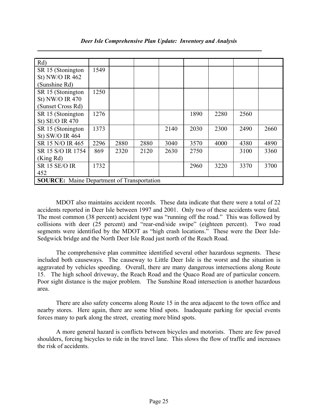| Rd)                                               |      |      |      |      |      |      |      |      |
|---------------------------------------------------|------|------|------|------|------|------|------|------|
| SR 15 (Stonington                                 | 1549 |      |      |      |      |      |      |      |
| St) NW/O IR 462                                   |      |      |      |      |      |      |      |      |
| (Sunshine Rd)                                     |      |      |      |      |      |      |      |      |
| SR 15 (Stonington                                 | 1250 |      |      |      |      |      |      |      |
| St) NW/O IR 470                                   |      |      |      |      |      |      |      |      |
| (Sunset Cross Rd)                                 |      |      |      |      |      |      |      |      |
| SR 15 (Stonington                                 | 1276 |      |      |      | 1890 | 2280 | 2560 |      |
| St) SE/O IR 470                                   |      |      |      |      |      |      |      |      |
| SR 15 (Stonington                                 | 1373 |      |      | 2140 | 2030 | 2300 | 2490 | 2660 |
| St) SW/O IR 464                                   |      |      |      |      |      |      |      |      |
| SR 15 N/O IR 465                                  | 2296 | 2880 | 2880 | 3040 | 3570 | 4000 | 4380 | 4890 |
| SR 15 S/O IR 1754                                 | 869  | 2320 | 2120 | 2630 | 2750 |      | 3100 | 3360 |
| (King Rd)                                         |      |      |      |      |      |      |      |      |
| <b>SR 15 SE/O IR</b>                              | 1732 |      |      |      | 2960 | 3220 | 3370 | 3700 |
| 452                                               |      |      |      |      |      |      |      |      |
| <b>SOURCE:</b> Maine Department of Transportation |      |      |      |      |      |      |      |      |

MDOT also maintains accident records. These data indicate that there were a total of 22 accidents reported in Deer Isle between 1997 and 2001. Only two of these accidents were fatal. The most common (38 percent) accident type was "running off the road." This was followed by collisions with deer (25 percent) and "rear-end/side swipe" (eighteen percent). Two road segments were identified by the MDOT as "high crash locations." These were the Deer Isle-Sedgwick bridge and the North Deer Isle Road just north of the Reach Road.

 The comprehensive plan committee identified several other hazardous segments. These included both causeways. The causeway to Little Deer Isle is the worst and the situation is aggravated by vehicles speeding. Overall, there are many dangerous intersections along Route 15. The high school driveway, the Reach Road and the Quaco Road are of particular concern. Poor sight distance is the major problem. The Sunshine Road intersection is another hazardous area.

 There are also safety concerns along Route 15 in the area adjacent to the town office and nearby stores. Here again, there are some blind spots. Inadequate parking for special events forces many to park along the street, creating more blind spots.

 A more general hazard is conflicts between bicycles and motorists. There are few paved shoulders, forcing bicycles to ride in the travel lane. This slows the flow of traffic and increases the risk of accidents.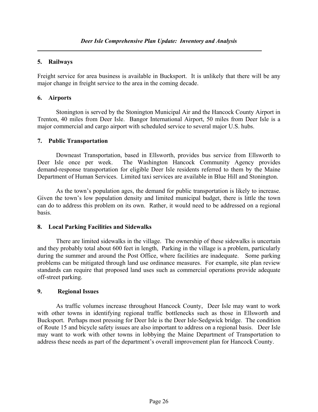#### 5. Railways

Freight service for area business is available in Bucksport. It is unlikely that there will be any major change in freight service to the area in the coming decade.

#### 6. Airports

 Stonington is served by the Stonington Municipal Air and the Hancock County Airport in Trenton, 40 miles from Deer Isle. Bangor International Airport, 50 miles from Deer Isle is a major commercial and cargo airport with scheduled service to several major U.S. hubs.

#### 7. Public Transportation

 Downeast Transportation, based in Ellsworth, provides bus service from Ellsworth to Deer Isle once per week. The Washington Hancock Community Agency provides demand-response transportation for eligible Deer Isle residents referred to them by the Maine Department of Human Services. Limited taxi services are available in Blue Hill and Stonington.

 As the town's population ages, the demand for public transportation is likely to increase. Given the town's low population density and limited municipal budget, there is little the town can do to address this problem on its own. Rather, it would need to be addressed on a regional basis.

#### 8. Local Parking Facilities and Sidewalks

 There are limited sidewalks in the village. The ownership of these sidewalks is uncertain and they probably total about 600 feet in length, Parking in the village is a problem, particularly during the summer and around the Post Office, where facilities are inadequate. Some parking problems can be mitigated through land use ordinance measures. For example, site plan review standards can require that proposed land uses such as commercial operations provide adequate off-street parking.

#### 9. Regional Issues

 As traffic volumes increase throughout Hancock County, Deer Isle may want to work with other towns in identifying regional traffic bottlenecks such as those in Ellsworth and Bucksport. Perhaps most pressing for Deer Isle is the Deer Isle-Sedgwick bridge. The condition of Route 15 and bicycle safety issues are also important to address on a regional basis. Deer Isle may want to work with other towns in lobbying the Maine Department of Transportation to address these needs as part of the department's overall improvement plan for Hancock County.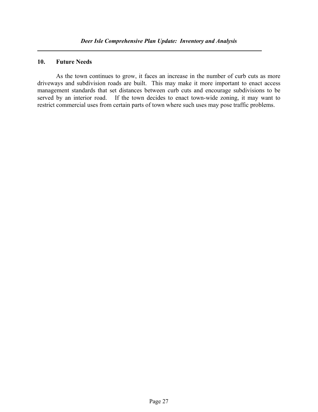#### 10. Future Needs

 As the town continues to grow, it faces an increase in the number of curb cuts as more driveways and subdivision roads are built. This may make it more important to enact access management standards that set distances between curb cuts and encourage subdivisions to be served by an interior road. If the town decides to enact town-wide zoning, it may want to restrict commercial uses from certain parts of town where such uses may pose traffic problems.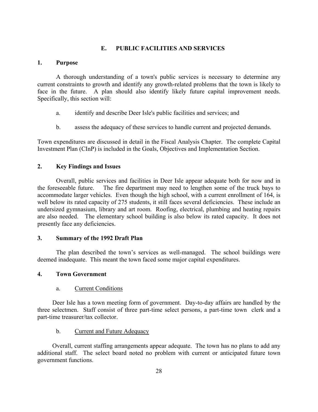#### E. PUBLIC FACILITIES AND SERVICES

#### 1. Purpose

 A thorough understanding of a town's public services is necessary to determine any current constraints to growth and identify any growth-related problems that the town is likely to face in the future. A plan should also identify likely future capital improvement needs. Specifically, this section will:

- a. identify and describe Deer Isle's public facilities and services; and
- b. assess the adequacy of these services to handle current and projected demands.

Town expenditures are discussed in detail in the Fiscal Analysis Chapter. The complete Capital Investment Plan (CInP) is included in the Goals, Objectives and Implementation Section.

#### 2. Key Findings and Issues

 Overall, public services and facilities in Deer Isle appear adequate both for now and in the foreseeable future. The fire department may need to lengthen some of the truck bays to accommodate larger vehicles. Even though the high school, with a current enrollment of 164, is well below its rated capacity of 275 students, it still faces several deficiencies. These include an undersized gymnasium, library and art room. Roofing, electrical, plumbing and heating repairs are also needed. The elementary school building is also below its rated capacity. It does not presently face any deficiencies.

#### 3. Summary of the 1992 Draft Plan

 The plan described the town's services as well-managed. The school buildings were deemed inadequate. This meant the town faced some major capital expenditures.

#### 4. Town Government

#### a. Current Conditions

Deer Isle has a town meeting form of government. Day-to-day affairs are handled by the three selectmen. Staff consist of three part-time select persons, a part-time town clerk and a part-time treasurer/tax collector.

#### b. Current and Future Adequacy

Overall, current staffing arrangements appear adequate. The town has no plans to add any additional staff. The select board noted no problem with current or anticipated future town government functions.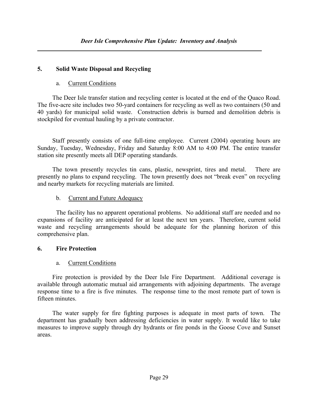# 5. Solid Waste Disposal and Recycling

### a. Current Conditions

 The Deer Isle transfer station and recycling center is located at the end of the Quaco Road. The five-acre site includes two 50-yard containers for recycling as well as two containers (50 and 40 yards) for municipal solid waste. Construction debris is burned and demolition debris is stockpiled for eventual hauling by a private contractor.

 Staff presently consists of one full-time employee. Current (2004) operating hours are Sunday, Tuesday, Wednesday, Friday and Saturday 8:00 AM to 4:00 PM. The entire transfer station site presently meets all DEP operating standards.

 The town presently recycles tin cans, plastic, newsprint, tires and metal. There are presently no plans to expand recycling. The town presently does not "break even" on recycling and nearby markets for recycling materials are limited.

# b. Current and Future Adequacy

 The facility has no apparent operational problems. No additional staff are needed and no expansions of facility are anticipated for at least the next ten years. Therefore, current solid waste and recycling arrangements should be adequate for the planning horizon of this comprehensive plan.

# 6. Fire Protection

# a. Current Conditions

Fire protection is provided by the Deer Isle Fire Department. Additional coverage is available through automatic mutual aid arrangements with adjoining departments. The average response time to a fire is five minutes. The response time to the most remote part of town is fifteen minutes.

The water supply for fire fighting purposes is adequate in most parts of town. The department has gradually been addressing deficiencies in water supply. It would like to take measures to improve supply through dry hydrants or fire ponds in the Goose Cove and Sunset areas.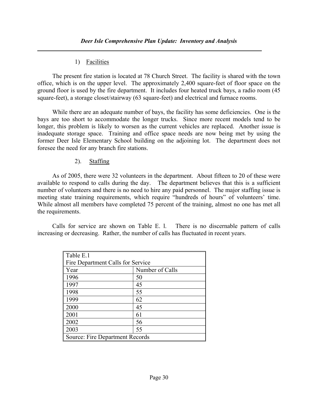## 1) Facilities

The present fire station is located at 78 Church Street. The facility is shared with the town office, which is on the upper level. The approximately 2,400 square-feet of floor space on the ground floor is used by the fire department. It includes four heated truck bays, a radio room (45 square-feet), a storage closet/stairway (63 square-feet) and electrical and furnace rooms.

While there are an adequate number of bays, the facility has some deficiencies. One is the bays are too short to accommodate the longer trucks. Since more recent models tend to be longer, this problem is likely to worsen as the current vehicles are replaced. Another issue is inadequate storage space. Training and office space needs are now being met by using the former Deer Isle Elementary School building on the adjoining lot. The department does not foresee the need for any branch fire stations.

## 2). Staffing

As of 2005, there were 32 volunteers in the department. About fifteen to 20 of these were available to respond to calls during the day. The department believes that this is a sufficient number of volunteers and there is no need to hire any paid personnel. The major staffing issue is meeting state training requirements, which require "hundreds of hours" of volunteers' time. While almost all members have completed 75 percent of the training, almost no one has met all the requirements.

Calls for service are shown on Table E. l. There is no discernable pattern of calls increasing or decreasing. Rather, the number of calls has fluctuated in recent years.

| Table E.1                         |                 |
|-----------------------------------|-----------------|
| Fire Department Calls for Service |                 |
| Year                              | Number of Calls |
| 1996                              | 50              |
| 1997                              | 45              |
| 1998                              | 55              |
| 1999                              | 62              |
| 2000                              | 45              |
| 2001                              | 61              |
| 2002                              | 56              |
| 2003                              | 55              |
| Source: Fire Department Records   |                 |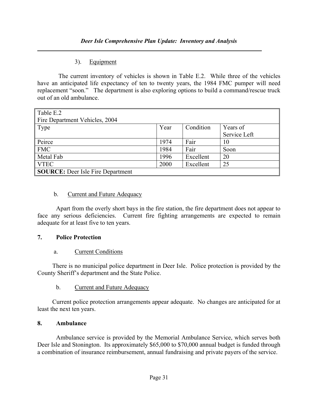## 3). Equipment

 The current inventory of vehicles is shown in Table E.2. While three of the vehicles have an anticipated life expectancy of ten to twenty years, the 1984 FMC pumper will need replacement "soon." The department is also exploring options to build a command/rescue truck out of an old ambulance.

| Table E.2<br>Fire Department Vehicles, 2004 |      |           |                          |
|---------------------------------------------|------|-----------|--------------------------|
| Type                                        | Year | Condition | Years of<br>Service Left |
| Peirce                                      | 1974 | Fair      | 10                       |
| <b>FMC</b>                                  | 1984 | Fair      | Soon                     |
| Metal Fab                                   | 1996 | Excellent | 20                       |
| <b>VTEC</b>                                 | 2000 | Excellent | 25                       |
| <b>SOURCE:</b> Deer Isle Fire Department    |      |           |                          |

### b. Current and Future Adequacy

 Apart from the overly short bays in the fire station, the fire department does not appear to face any serious deficiencies. Current fire fighting arrangements are expected to remain adequate for at least five to ten years.

### 7. Police Protection

### a. Current Conditions

There is no municipal police department in Deer Isle. Police protection is provided by the County Sheriff's department and the State Police.

b. Current and Future Adequacy

 Current police protection arrangements appear adequate. No changes are anticipated for at least the next ten years.

### 8. Ambulance

 Ambulance service is provided by the Memorial Ambulance Service, which serves both Deer Isle and Stonington. Its approximately \$65,000 to \$70,000 annual budget is funded through a combination of insurance reimbursement, annual fundraising and private payers of the service.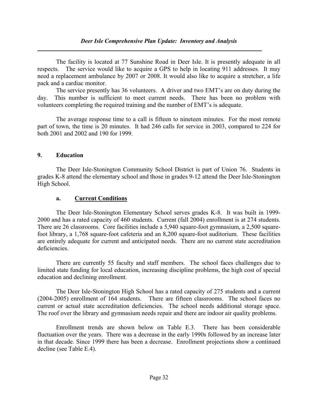The facility is located at 77 Sunshine Road in Deer Isle. It is presently adequate in all respects. The service would like to acquire a GPS to help in locating 911 addresses. It may need a replacement ambulance by 2007 or 2008. It would also like to acquire a stretcher, a life pack and a cardiac monitor.

 The service presently has 36 volunteers. A driver and two EMT's are on duty during the day. This number is sufficient to meet current needs. There has been no problem with volunteers completing the required training and the number of EMT's is adequate.

 The average response time to a call is fifteen to nineteen minutes. For the most remote part of town, the time is 20 minutes. It had 246 calls for service in 2003, compared to 224 for both 2001 and 2002 and 190 for 1999.

## 9. Education

 The Deer Isle-Stonington Community School District is part of Union 76. Students in grades K-8 attend the elementary school and those in grades 9-12 attend the Deer Isle-Stonington High School.

## a. Current Conditions

 The Deer Isle-Stonington Elementary School serves grades K-8. It was built in 1999- 2000 and has a rated capacity of 460 students. Current (fall 2004) enrollment is at 274 students. There are 26 classrooms. Core facilities include a 5,940 square-foot gymnasium, a 2,500 squarefoot library, a 1,768 square-foot cafeteria and an 8,200 square-foot auditorium. These facilities are entirely adequate for current and anticipated needs. There are no current state accreditation deficiencies.

 There are currently 55 faculty and staff members. The school faces challenges due to limited state funding for local education, increasing discipline problems, the high cost of special education and declining enrollment.

The Deer Isle-Stonington High School has a rated capacity of 275 students and a current (2004-2005) enrollment of 164 students. There are fifteen classrooms. The school faces no current or actual state accreditation deficiencies. The school needs additional storage space. The roof over the library and gymnasium needs repair and there are indoor air quality problems.

Enrollment trends are shown below on Table E.3. There has been considerable fluctuation over the years. There was a decrease in the early 1990s followed by an increase later in that decade. Since 1999 there has been a decrease. Enrollment projections show a continued decline (see Table E.4).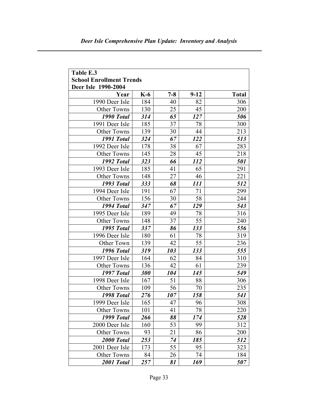| Table E.3                                              |       |         |          |              |  |
|--------------------------------------------------------|-------|---------|----------|--------------|--|
| <b>School Enrollment Trends</b><br>Deer Isle 1990-2004 |       |         |          |              |  |
| Year                                                   | $K-6$ | $7 - 8$ | $9 - 12$ | <b>Total</b> |  |
| 1990 Deer Isle                                         | 184   | 40      | 82       | 306          |  |
| Other Towns                                            | 130   | 25      | 45       | 200          |  |
| 1990 Total                                             | 314   | 65      | 127      | 506          |  |
| 1991 Deer Isle                                         | 185   | 37      | 78       | 300          |  |
| <b>Other Towns</b>                                     | 139   | 30      | 44       | 213          |  |
| 1991 Total                                             | 324   | 67      | 122      | 513          |  |
| 1992 Deer Isle                                         | 178   | 38      | 67       | 283          |  |
| <b>Other Towns</b>                                     | 145   | 28      | 45       | 218          |  |
| 1992 Total                                             | 323   | 66      | 112      | 501          |  |
| 1993 Deer Isle                                         | 185   | 41      | 65       | 291          |  |
| <b>Other Towns</b>                                     | 148   | 27      | 46       | 221          |  |
| 1993 Total                                             | 333   | 68      | 111      | 512          |  |
| 1994 Deer Isle                                         | 191   | 67      | 71       | 299          |  |
| <b>Other Towns</b>                                     | 156   | 30      | 58       | 244          |  |
| 1994 Total                                             | 347   | 67      | 129      | 543          |  |
| 1995 Deer Isle                                         | 189   | 49      | 78       | 316          |  |
| Other Towns                                            | 148   | 37      | 55       | 240          |  |
| 1995 Total                                             | 337   | 86      | 133      | 556          |  |
| 1996 Deer Isle                                         | 180   | 61      | 78       | 319          |  |
| Other Town                                             | 139   | 42      | 55       | 236          |  |
| 1996 Total                                             | 319   | 103     | 133      | 555          |  |
| 1997 Deer Isle                                         | 164   | 62      | 84       | 310          |  |
| <b>Other Towns</b>                                     | 136   | 42      | 61       | 239          |  |
| 1997 Total                                             | 300   | 104     | 145      | 549          |  |
| 1998 Deer Isle                                         | 167   | 51      | 88       | 306          |  |
| <b>Other Towns</b>                                     | 109   | 56      | 70       | 235          |  |
| 1998 Total                                             | 276   | 107     | 158      | 541          |  |
| 1999 Deer Isle                                         | 165   | 47      | 96       | 308          |  |
| <b>Other Towns</b>                                     | 101   | 41      | 78       | 220          |  |
| 1999 Total                                             | 266   | 88      | 174      | 528          |  |
| 2000 Deer Isle                                         | 160   | 53      | 99       | 312          |  |
| <b>Other Towns</b>                                     | 93    | 21      | 86       | 200          |  |
| 2000 Total                                             | 253   | 74      | 185      | 512          |  |
| 2001 Deer Isle                                         | 173   | 55      | 95       | 323          |  |
| Other Towns                                            | 84    | 26      | 74       | 184          |  |
| 2001 Total                                             | 257   | 81      | 169      | 507          |  |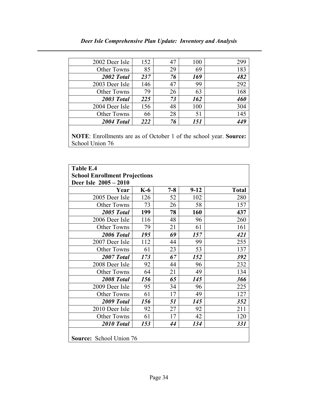| 2002 Deer Isle     | 152 | 47 | 100 | 299 |
|--------------------|-----|----|-----|-----|
| Other Towns        | 85  | 29 | 69  | 183 |
| 2002 Total         | 237 | 76 | 169 | 482 |
| 2003 Deer Isle     | 146 | 47 | 99  | 292 |
| <b>Other Towns</b> | 79  | 26 | 63  | 168 |
| 2003 Total         | 225 | 73 | 162 | 460 |
| 2004 Deer Isle     | 156 | 48 | 100 | 304 |
| <b>Other Towns</b> | 66  | 28 |     | 145 |

NOTE: Enrollments are as of October 1 of the school year. Source: School Union 76

2004 Total 222 76 151 449

| Table E.4                            |       |         |          |              |  |
|--------------------------------------|-------|---------|----------|--------------|--|
| <b>School Enrollment Projections</b> |       |         |          |              |  |
| Deer Isle 2005 - 2010                |       |         |          |              |  |
| Year                                 | $K-6$ | $7 - 8$ | $9 - 12$ | <b>Total</b> |  |
| 2005 Deer Isle                       | 126   | 52      | 102      | 280          |  |
| <b>Other Towns</b>                   | 73    | 26      | 58       | 157          |  |
| 2005 Total                           | 199   | 78      | 160      | 437          |  |
| 2006 Deer Isle                       | 116   | 48      | 96       | 260          |  |
| <b>Other Towns</b>                   | 79    | 21      | 61       | 161          |  |
| 2006 Total                           | 195   | 69      | 157      | 421          |  |
| 2007 Deer Isle                       | 112   | 44      | 99       | 255          |  |
| <b>Other Towns</b>                   | 61    | 23      | 53       | 137          |  |
| 2007 Total                           | 173   | 67      | 152      | 392          |  |
| 2008 Deer Isle                       | 92    | 44      | 96       | 232          |  |
| <b>Other Towns</b>                   | 64    | 21      | 49       | 134          |  |
| 2008 Total                           | 156   | 65      | 145      | 366          |  |
| 2009 Deer Isle                       | 95    | 34      | 96       | 225          |  |
| <b>Other Towns</b>                   | 61    | 17      | 49       | 127          |  |
| 2009 Total                           | 156   | 51      | 145      | 352          |  |
| 2010 Deer Isle                       | 92    | 27      | 92       | 211          |  |
| <b>Other Towns</b>                   | 61    | 17      | 42       | 120          |  |
| 2010 Total                           | 153   | 44      | 134      | 331          |  |
|                                      |       |         |          |              |  |
| <b>Source:</b> School Union 76       |       |         |          |              |  |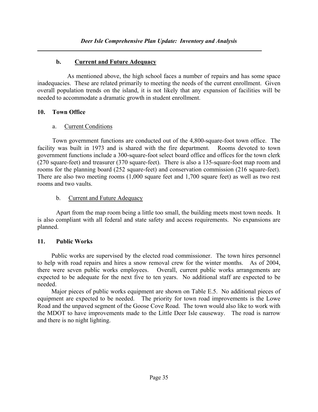## b. Current and Future Adequacy

 As mentioned above, the high school faces a number of repairs and has some space inadequacies. These are related primarily to meeting the needs of the current enrollment. Given overall population trends on the island, it is not likely that any expansion of facilities will be needed to accommodate a dramatic growth in student enrollment.

### 10. Town Office

## a. Current Conditions

 Town government functions are conducted out of the 4,800-square-foot town office. The facility was built in 1973 and is shared with the fire department. Rooms devoted to town government functions include a 300-square-foot select board office and offices for the town clerk (270 square-feet) and treasurer (370 square-feet). There is also a 135-square-foot map room and rooms for the planning board (252 square-feet) and conservation commission (216 square-feet). There are also two meeting rooms (1,000 square feet and 1,700 square feet) as well as two rest rooms and two vaults.

## b. Current and Future Adequacy

 Apart from the map room being a little too small, the building meets most town needs. It is also compliant with all federal and state safety and access requirements. No expansions are planned.

## 11. Public Works

 Public works are supervised by the elected road commissioner. The town hires personnel to help with road repairs and hires a snow removal crew for the winter months. As of 2004, there were seven public works employees. Overall, current public works arrangements are expected to be adequate for the next five to ten years. No additional staff are expected to be needed.

 Major pieces of public works equipment are shown on Table E.5. No additional pieces of equipment are expected to be needed. The priority for town road improvements is the Lowe Road and the unpaved segment of the Goose Cove Road. The town would also like to work with the MDOT to have improvements made to the Little Deer Isle causeway. The road is narrow and there is no night lighting.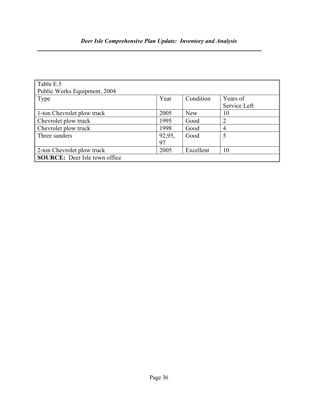| Table E.5                            |        |            |                |
|--------------------------------------|--------|------------|----------------|
| Public Works Equipment, 2004         |        |            |                |
| $\Gamma$ Type                        | Year   | Condition  | Years of       |
|                                      |        |            | Service Left   |
| 1-ton Chevrolet plow truck           | 2005   | <b>New</b> | 10             |
| Chevrolet plow truck                 | 1995   | Good       | $\overline{2}$ |
| Chevrolet plow truck                 | 1998   | Good       | 4              |
| Three sanders                        | 92,95, | Good       | 5              |
|                                      | 97     |            |                |
| 2-ton Chevrolet plow truck           | 2005   | Excellent  | 10             |
| <b>SOURCE:</b> Deer Isle town office |        |            |                |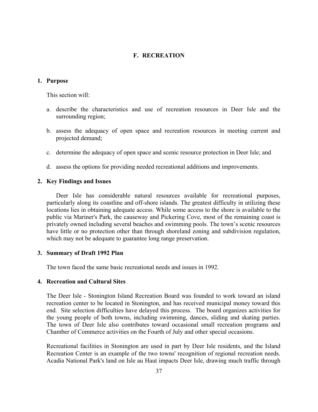#### F. RECREATION

#### 1. Purpose

This section will:

- a. describe the characteristics and use of recreation resources in Deer Isle and the surrounding region;
- b. assess the adequacy of open space and recreation resources in meeting current and projected demand;
- c. determine the adequacy of open space and scenic resource protection in Deer Isle; and
- d. assess the options for providing needed recreational additions and improvements.

#### 2. Key Findings and Issues

 Deer Isle has considerable natural resources available for recreational purposes, particularly along its coastline and off-shore islands. The greatest difficulty in utilizing these locations lies in obtaining adequate access. While some access to the shore is available to the public via Mariner's Park, the causeway and Pickering Cove, most of the remaining coast is privately owned including several beaches and swimming pools. The town's scenic resources have little or no protection other than through shoreland zoning and subdivision regulation, which may not be adequate to guarantee long range preservation.

#### 3. Summary of Draft 1992 Plan

The town faced the same basic recreational needs and issues in 1992.

#### 4. Recreation and Cultural Sites

 The Deer Isle - Stonington Island Recreation Board was founded to work toward an island recreation center to be located in Stonington, and has received municipal money toward this end. Site selection difficulties have delayed this process. The board organizes activities for the young people of both towns, including swimming, dances, sliding and skating parties. The town of Deer Isle also contributes toward occasional small recreation programs and Chamber of Commerce activities on the Fourth of July and other special occasions.

 Recreational facilities in Stonington are used in part by Deer Isle residents, and the Island Recreation Center is an example of the two towns' recognition of regional recreation needs. Acadia National Park's land on Isle au Haut impacts Deer Isle, drawing much traffic through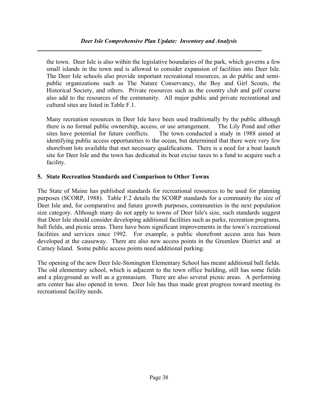### Deer Isle Comprehensive Plan Update: Inventory and Analysis

the town. Deer Isle is also within the legislative boundaries of the park, which governs a few small islands in the town and is allowed to consider expansion of facilities into Deer Isle. The Deer Isle schools also provide important recreational resources, as do public and semipublic organizations such as The Nature Conservancy, the Boy and Girl Scouts, the Historical Society, and others. Private resources such as the country club and golf course also add to the resources of the community. All major public and private recreational and cultural sites are listed in Table F.1.

 Many recreation resources in Deer Isle have been used traditionally by the public although there is no formal public ownership, access, or use arrangement. The Lily Pond and other sites have potential for future conflicts. The town conducted a study in 1988 aimed at identifying public access opportunities to the ocean, but determined that there were very few shorefront lots available that met necessary qualifications. There is a need for a boat launch site for Deer Isle and the town has dedicated its boat excise taxes to a fund to acquire such a facility.

## 5. State Recreation Standards and Comparison to Other Towns

The State of Maine has published standards for recreational resources to be used for planning purposes (SCORP, 1988). Table F.2 details the SCORP standards for a community the size of Deer Isle and, for comparative and future growth purposes, communities in the next population size category. Although many do not apply to towns of Deer Isle's size, such standards suggest that Deer Isle should consider developing additional facilities such as parks, recreation programs, ball fields, and picnic areas. There have been significant improvements in the town's recreational facilities and services since 1992. For example, a public shorefront access area has been developed at the causeway. There are also new access points in the Greenlaw District and at Carney Island. Some public access points need additional parking.

The opening of the new Deer Isle-Stonington Elementary School has meant additional ball fields. The old elementary school, which is adjacent to the town office building, still has some fields and a playground as well as a gymnasium. There are also several picnic areas. A performing arts center has also opened in town. Deer Isle has thus made great progress toward meeting its recreational facility needs.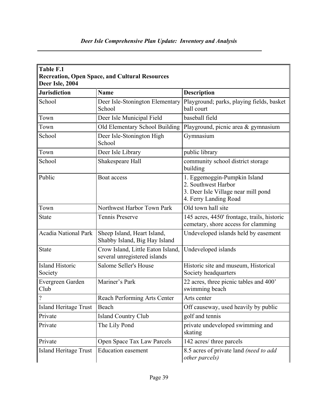| Table F.1<br><b>Recreation, Open Space, and Cultural Resources</b><br>Deer Isle, 2004 |                                                                   |                                                                                                                     |  |  |
|---------------------------------------------------------------------------------------|-------------------------------------------------------------------|---------------------------------------------------------------------------------------------------------------------|--|--|
| <b>Jurisdiction</b>                                                                   | <b>Name</b>                                                       | <b>Description</b>                                                                                                  |  |  |
| School                                                                                | Deer Isle-Stonington Elementary<br>School                         | Playground; parks, playing fields, basket<br>ball court                                                             |  |  |
| Town                                                                                  | Deer Isle Municipal Field                                         | baseball field                                                                                                      |  |  |
| Town                                                                                  | Old Elementary School Building                                    | Playground, picnic area & gymnasium                                                                                 |  |  |
| School                                                                                | Deer Isle-Stonington High<br>School                               | Gymnasium                                                                                                           |  |  |
| Town                                                                                  | Deer Isle Library                                                 | public library                                                                                                      |  |  |
| School                                                                                | Shakespeare Hall                                                  | community school district storage<br>building                                                                       |  |  |
| Public                                                                                | Boat access                                                       | 1. Eggemoggin-Pumpkin Island<br>2. Southwest Harbor<br>3. Deer Isle Village near mill pond<br>4. Ferry Landing Road |  |  |
| Town                                                                                  | Northwest Harbor Town Park                                        | Old town hall site                                                                                                  |  |  |
| <b>State</b>                                                                          | Tennis Preserve                                                   | 145 acres, 4450' frontage, trails, historic<br>cemetary, shore access for clamming                                  |  |  |
| <b>Acadia National Park</b>                                                           | Sheep Island, Heart Island,<br>Shabby Island, Big Hay Island      | Undeveloped islands held by easement                                                                                |  |  |
| <b>State</b>                                                                          | Crow Island, Little Eaton Island,<br>several unregistered islands | Undeveloped islands                                                                                                 |  |  |
| <b>Island Historic</b><br>Society                                                     | Salome Seller's House                                             | Historic site and museum, Historical<br>Society headquarters                                                        |  |  |
| Evergreen Garden<br>Club                                                              | Mariner's Park                                                    | 22 acres, three picnic tables and 400'<br>swimming beach                                                            |  |  |
|                                                                                       | Reach Performing Arts Center                                      | Arts center                                                                                                         |  |  |
| <b>Island Heritage Trust</b>                                                          | Beach                                                             | Off causeway, used heavily by public                                                                                |  |  |
| Private                                                                               | <b>Island Country Club</b>                                        | golf and tennis                                                                                                     |  |  |
| Private                                                                               | The Lily Pond                                                     | private undeveloped swimming and<br>skating                                                                         |  |  |
| Private                                                                               | Open Space Tax Law Parcels                                        | 142 acres/ three parcels                                                                                            |  |  |
| <b>Island Heritage Trust</b>                                                          | <b>Education easement</b>                                         | 8.5 acres of private land (need to add<br>other parcels)                                                            |  |  |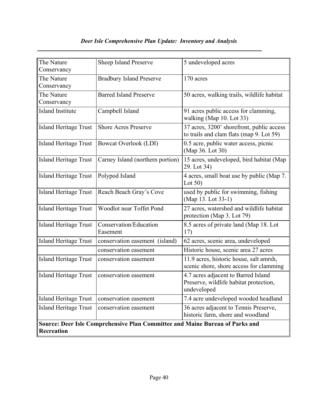# Deer Isle Comprehensive Plan Update: Inventory and Analysis

| The Nature<br>Conservancy    | Sheep Island Preserve                                                        | 5 undeveloped acres                                                                          |
|------------------------------|------------------------------------------------------------------------------|----------------------------------------------------------------------------------------------|
| The Nature<br>Conservancy    | <b>Bradbury Island Preserve</b>                                              | 170 acres                                                                                    |
| The Nature<br>Conservancy    | <b>Barred Island Preserve</b>                                                | 50 acres, walking trails, wildlife habitat                                                   |
| <b>Island Institute</b>      | Campbell Island                                                              | 91 acres public access for clamming,<br>walking (Map 10. Lot 33)                             |
| <b>Island Heritage Trust</b> | <b>Shore Acres Preserve</b>                                                  | 37 acres, 3200' shorefront, public access<br>to trails and clam flats (map 9. Lot 59)        |
| <b>Island Heritage Trust</b> | Bowcat Overlook (LDI)                                                        | 0.5 acre, public water access, picnic<br>(Map 36. Lot 30)                                    |
| <b>Island Heritage Trust</b> | Carney Island (northern portion)                                             | 15 acres, undeveloped, bird habitat (Map<br>29. Lot 34)                                      |
| <b>Island Heritage Trust</b> | Polypod Island                                                               | 4 acres, small boat use by public (Map 7.<br>Lot $50$ )                                      |
| <b>Island Heritage Trust</b> | Reach Beach Gray's Cove                                                      | used by public for swimming, fishing<br>(Map 13. Lot 33-1)                                   |
| <b>Island Heritage Trust</b> | Woodlot near Toffet Pond                                                     | 27 acres, watershed and wildlife habitat<br>protection (Map 3. Lot 79)                       |
| <b>Island Heritage Trust</b> | Conservation/Education<br>Easement                                           | 8.5 acres of private land (Map 18. Lot<br>17)                                                |
| <b>Island Heritage Trust</b> | conservation easement (island)                                               | 62 acres, scenic area, undeveloped                                                           |
|                              | conservation easement                                                        | Historic house, scenic area 27 acres                                                         |
| <b>Island Heritage Trust</b> | conservation easement                                                        | 11.9 acres, historic house, salt amrsh,<br>scenic shore, shore access for clamming           |
| <b>Island Heritage Trust</b> | conservation easement                                                        | 4.7 acres adjacent to Barred Island<br>Preserve, wildlife habitat protection,<br>undeveloped |
| <b>Island Heritage Trust</b> | conservation easement                                                        | 7.4 acre undeveloped wooded headland                                                         |
| <b>Island Heritage Trust</b> | conservation easement                                                        | 36 acres adjacent to Tennis Preserve,<br>historic farm, shore and woodland                   |
| Recreation                   | Source: Deer Isle Comprehensive Plan Committee and Maine Bureau of Parks and |                                                                                              |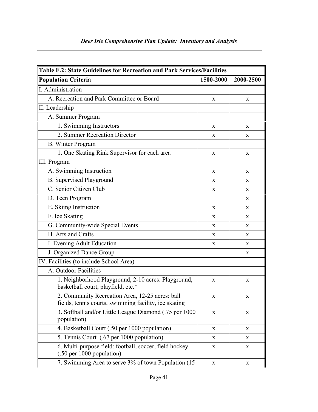|  |  | Deer Isle Comprehensive Plan Update: Inventory and Analysis |  |
|--|--|-------------------------------------------------------------|--|
|  |  |                                                             |  |

J

| <b>Table F.2: State Guidelines for Recreation and Park Services/Facilities</b>                           |             |             |  |
|----------------------------------------------------------------------------------------------------------|-------------|-------------|--|
| <b>Population Criteria</b>                                                                               | 1500-2000   | 2000-2500   |  |
| I. Administration                                                                                        |             |             |  |
| A. Recreation and Park Committee or Board                                                                | X           | X           |  |
| II. Leadership                                                                                           |             |             |  |
| A. Summer Program                                                                                        |             |             |  |
| 1. Swimming Instructors                                                                                  | X           | X           |  |
| 2. Summer Recreation Director                                                                            | X           | X           |  |
| <b>B.</b> Winter Program                                                                                 |             |             |  |
| 1. One Skating Rink Supervisor for each area                                                             | X           | X           |  |
| III. Program                                                                                             |             |             |  |
| A. Swimming Instruction                                                                                  | X           | X           |  |
| <b>B.</b> Supervised Playground                                                                          | X           | X           |  |
| C. Senior Citizen Club                                                                                   | X           | X           |  |
| D. Teen Program                                                                                          |             | X           |  |
| E. Skiing Instruction                                                                                    | X           | X           |  |
| F. Ice Skating                                                                                           | X           | X           |  |
| G. Community-wide Special Events                                                                         | X           | X           |  |
| H. Arts and Crafts                                                                                       | X           | X           |  |
| I. Evening Adult Education                                                                               | X           | X           |  |
| J. Organized Dance Group                                                                                 |             | X           |  |
| IV. Facilities (to include School Area)                                                                  |             |             |  |
| A. Outdoor Facilities                                                                                    |             |             |  |
| 1. Neighborhood Playground, 2-10 acres: Playground,<br>basketball court, playfield, etc.*                | X           | X           |  |
| 2. Community Recreation Area, 12-25 acres: ball<br>fields, tennis courts, swimming facility, ice skating | X           | X           |  |
| 3. Softball and/or Little League Diamond (.75 per 1000<br>population)                                    | X           | $\mathbf X$ |  |
| 4. Basketball Court (.50 per 1000 population)                                                            | X           | X           |  |
| 5. Tennis Court (.67 per 1000 population)                                                                | X           | X           |  |
| 6. Multi-purpose field: football, soccer, field hockey<br>$(.50 \text{ per } 1000 \text{ population})$   | X           | X           |  |
| 7. Swimming Area to serve 3% of town Population (15)                                                     | $\mathbf X$ | X           |  |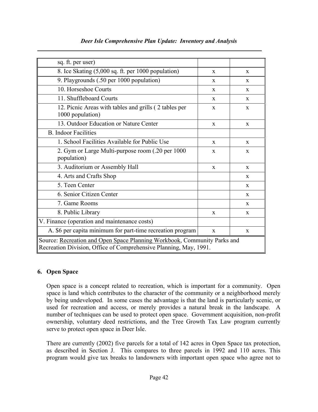| sq. ft. per user)                                                                                                                             |              |              |  |
|-----------------------------------------------------------------------------------------------------------------------------------------------|--------------|--------------|--|
| 8. Ice Skating (5,000 sq. ft. per 1000 population)                                                                                            | X            | X            |  |
| 9. Playgrounds (.50 per 1000 population)                                                                                                      | $\mathbf{x}$ | X            |  |
| 10. Horseshoe Courts                                                                                                                          | X            | X            |  |
| 11. Shuffleboard Courts                                                                                                                       | $\mathbf{x}$ | $\mathbf{x}$ |  |
| 12. Picnic Areas with tables and grills (2 tables per<br>1000 population)                                                                     | $\mathbf{x}$ | X            |  |
| 13. Outdoor Education or Nature Center                                                                                                        | $\mathbf{x}$ | $\mathbf{x}$ |  |
| <b>B.</b> Indoor Facilities                                                                                                                   |              |              |  |
| 1. School Facilities Available for Public Use                                                                                                 | $\mathbf{x}$ | $\mathbf{x}$ |  |
| 2. Gym or Large Multi-purpose room (.20 per 1000<br>population)                                                                               | X            | $\mathbf{x}$ |  |
| 3. Auditorium or Assembly Hall                                                                                                                | $\mathbf{x}$ | $\mathbf{x}$ |  |
| 4. Arts and Crafts Shop                                                                                                                       |              | $\mathbf{x}$ |  |
| 5. Teen Center                                                                                                                                |              | X            |  |
| 6. Senior Citizen Center                                                                                                                      |              | X            |  |
| 7. Game Rooms                                                                                                                                 |              | $\mathbf{X}$ |  |
| 8. Public Library                                                                                                                             | X            | $\mathbf{X}$ |  |
| V. Finance (operation and maintenance costs)                                                                                                  |              |              |  |
| A. \$6 per capita minimum for part-time recreation program                                                                                    | $\mathbf{X}$ | $\mathbf{x}$ |  |
| Source: Recreation and Open Space Planning Workbook, Community Parks and<br>Recreation Division, Office of Comprehensive Planning, May, 1991. |              |              |  |

## Deer Isle Comprehensive Plan Update: Inventory and Analysis

## 6. Open Space

 Open space is a concept related to recreation, which is important for a community. Open space is land which contributes to the character of the community or a neighborhood merely by being undeveloped. In some cases the advantage is that the land is particularly scenic, or used for recreation and access, or merely provides a natural break in the landscape. A number of techniques can be used to protect open space. Government acquisition, non-profit ownership, voluntary deed restrictions, and the Tree Growth Tax Law program currently serve to protect open space in Deer Isle.

 There are currently (2002) five parcels for a total of 142 acres in Open Space tax protection, as described in Section J. This compares to three parcels in 1992 and 110 acres. This program would give tax breaks to landowners with important open space who agree not to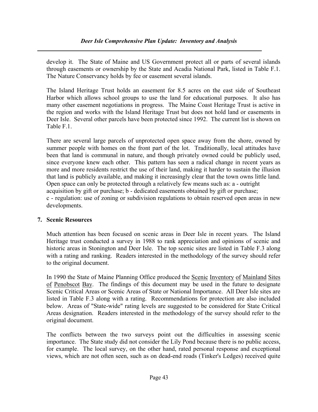develop it. The State of Maine and US Government protect all or parts of several islands through easements or ownership by the State and Acadia National Park, listed in Table F.1. The Nature Conservancy holds by fee or easement several islands.

 The Island Heritage Trust holds an easement for 8.5 acres on the east side of Southeast Harbor which allows school groups to use the land for educational purposes. It also has many other easement negotiations in progress. The Maine Coast Heritage Trust is active in the region and works with the Island Heritage Trust but does not hold land or easements in Deer Isle. Several other parcels have been protected since 1992. The current list is shown on Table F.1.

 There are several large parcels of unprotected open space away from the shore, owned by summer people with homes on the front part of the lot. Traditionally, local attitudes have been that land is communal in nature, and though privately owned could be publicly used, since everyone knew each other. This pattern has seen a radical change in recent years as more and more residents restrict the use of their land, making it harder to sustain the illusion that land is publicly available, and making it increasingly clear that the town owns little land. Open space can only be protected through a relatively few means such as: a - outright acquisition by gift or purchase; b - dedicated easements obtained by gift or purchase; c - regulation: use of zoning or subdivision regulations to obtain reserved open areas in new developments.

### 7. Scenic Resources

 Much attention has been focused on scenic areas in Deer Isle in recent years. The Island Heritage trust conducted a survey in 1988 to rank appreciation and opinions of scenic and historic areas in Stonington and Deer Isle. The top scenic sites are listed in Table F.3 along with a rating and ranking. Readers interested in the methodology of the survey should refer to the original document.

In 1990 the State of Maine Planning Office produced the Scenic Inventory of Mainland Sites of Penobscot Bay. The findings of this document may be used in the future to designate Scenic Critical Areas or Scenic Areas of State or National Importance. All Deer Isle sites are listed in Table F.3 along with a rating. Recommendations for protection are also included below. Areas of "State-wide" rating levels are suggested to be considered for State Critical Areas designation. Readers interested in the methodology of the survey should refer to the original document.

 The conflicts between the two surveys point out the difficulties in assessing scenic importance. The State study did not consider the Lily Pond because there is no public access, for example. The local survey, on the other hand, rated personal response and exceptional views, which are not often seen, such as on dead-end roads (Tinker's Ledges) received quite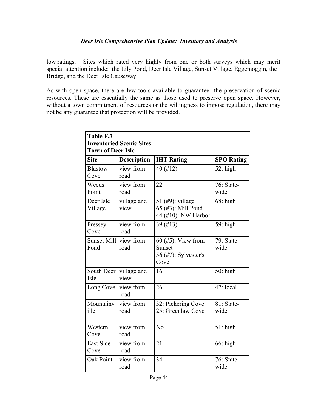low ratings. Sites which rated very highly from one or both surveys which may merit special attention include: the Lily Pond, Deer Isle Village, Sunset Village, Eggemoggin, the Bridge, and the Deer Isle Causeway.

 As with open space, there are few tools available to guarantee the preservation of scenic resources. These are essentially the same as those used to preserve open space. However, without a town commitment of resources or the willingness to impose regulation, there may not be any guarantee that protection will be provided.

| Table F.3<br><b>Inventoried Scenic Sites</b><br><b>Town of Deer Isle</b> |                     |                                                                |                    |  |
|--------------------------------------------------------------------------|---------------------|----------------------------------------------------------------|--------------------|--|
| <b>Site</b>                                                              | <b>Description</b>  | <b>IHT Rating</b>                                              | <b>SPO Rating</b>  |  |
| <b>Blastow</b><br>Cove                                                   | view from<br>road   | 40 (#12)                                                       | $52:$ high         |  |
| Weeds<br>Point                                                           | view from<br>road   | 22                                                             | 76: State-<br>wide |  |
| Deer Isle<br>Village                                                     | village and<br>view | 51 (#9): village<br>65 (#3): Mill Pond<br>44 (#10): NW Harbor  | $68:$ high         |  |
| Pressey<br>Cove                                                          | view from<br>road   | 39 (#13)                                                       | 59: high           |  |
| Sunset Mill<br>Pond                                                      | view from<br>road   | $60$ (#5): View from<br>Sunset<br>56 (#7): Sylvester's<br>Cove | 79: State-<br>wide |  |
| South Deer<br>Isle                                                       | village and<br>view | 16                                                             | $50:$ high         |  |
| Long Cove                                                                | view from<br>road   | 26                                                             | $47:$ local        |  |
| Mountainv<br>ille                                                        | view from<br>road   | 32: Pickering Cove<br>25: Greenlaw Cove                        | 81: State-<br>wide |  |
| Western<br>Cove                                                          | view from<br>road   | N <sub>0</sub>                                                 | $51$ : high        |  |
| <b>East Side</b><br>Cove                                                 | view from<br>road   | 21                                                             | $66:$ high         |  |
| <b>Oak Point</b>                                                         | view from<br>road   | 34                                                             | 76: State-<br>wide |  |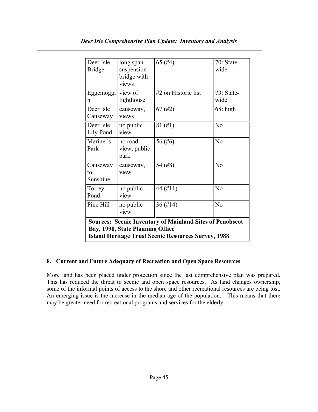| Deer Isle<br><b>Bridge</b>                                                                                                                                        | long span<br>suspension<br>bridge with<br>views | 65 $(#4)$           | $70: State-$<br>wide |  |
|-------------------------------------------------------------------------------------------------------------------------------------------------------------------|-------------------------------------------------|---------------------|----------------------|--|
| Eggemoggi view of<br>n                                                                                                                                            | lighthouse                                      | #2 on Historic list | $73: State-$<br>wide |  |
| Deer Isle<br>Causeway                                                                                                                                             | causeway,<br>views                              | $67$ (#2)           | $68:$ high           |  |
| Deer Isle<br>Lily Pond                                                                                                                                            | no public<br>view                               | $81 (\text{\#}1)$   | N <sub>o</sub>       |  |
| Mariner's<br>Park                                                                                                                                                 | no road<br>view, public<br>park                 | 56 (#6)             | N <sub>o</sub>       |  |
| Causeway<br>to<br>Sunshine                                                                                                                                        | causeway,<br>view                               | 54 (#8)             | N <sub>o</sub>       |  |
| Torrey<br>Pond                                                                                                                                                    | no public<br>view                               | 44 (#11)            | N <sub>o</sub>       |  |
| Pine Hill                                                                                                                                                         | no public<br>view                               | $36 \ (\#14)$       | N <sub>o</sub>       |  |
| <b>Sources: Scenic Inventory of Mainland Sites of Penobscot</b><br>Bay, 1990, State Planning Office<br><b>Island Heritage Trust Scenic Resources Survey, 1988</b> |                                                 |                     |                      |  |

### 8. Current and Future Adequacy of Recreation and Open Space Resources

More land has been placed under protection since the last comprehensive plan was prepared. This has reduced the threat to scenic and open space resources. As land changes ownership, some of the informal points of access to the shore and other recreational resources are being lost. An emerging issue is the increase in the median age of the population. This means that there may be greater need for recreational programs and services for the elderly.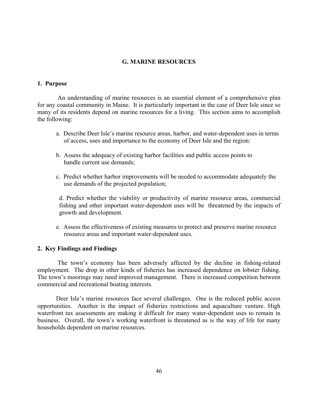#### G. MARINE RESOURCES

#### 1. Purpose

 An understanding of marine resources is an essential element of a comprehensive plan for any coastal community in Maine. It is particularly important in the case of Deer Isle since so many of its residents depend on marine resources for a living. This section aims to accomplish the following:

- a. Describe Deer Isle's marine resource areas, harbor, and water-dependent uses in terms of access, uses and importance to the economy of Deer Isle and the region:
- b. Assess the adequacy of existing harbor facilities and public access points to handle current use demands;
- c. Predict whether harbor improvements will be needed to accommodate adequately the use demands of the projected population;

 d. Predict whether the viability or productivity of marine resource areas, commercial fishing and other important water-dependent uses will be threatened by the impacts of growth and development.

 e. Assess the effectiveness of existing measures to protect and preserve marine resource resource areas and important water-dependent uses.

#### 2. Key Findings and Findings

 The town's economy has been adversely affected by the decline in fishing-related employment. The drop in other kinds of fisheries has increased dependence on lobster fishing. The town's moorings may need improved management. There is increased competition between commercial and recreational boating interests.

Deer Isle's marine resources face several challenges. One is the reduced public access opportunities. Another is the impact of fisheries restrictions and aquaculture venture. High waterfront tax assessments are making it difficult for many water-dependent uses to remain in business. Overall, the town's working waterfront is threatened as is the way of life for many households dependent on marine resources.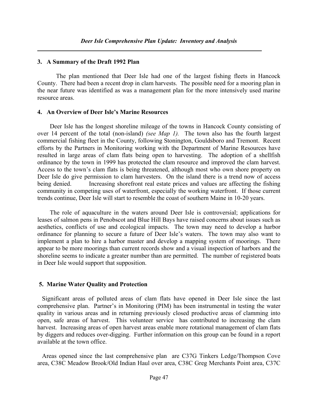#### 3. A Summary of the Draft 1992 Plan

The plan mentioned that Deer Isle had one of the largest fishing fleets in Hancock County. There had been a recent drop in clam harvests. The possible need for a mooring plan in the near future was identified as was a management plan for the more intensively used marine resource areas.

#### 4. An Overview of Deer Isle's Marine Resources

 Deer Isle has the longest shoreline mileage of the towns in Hancock County consisting of over 14 percent of the total (non-island) *(see Map 1)*. The town also has the fourth largest commercial fishing fleet in the County, following Stonington, Gouldsboro and Tremont. Recent efforts by the Partners in Monitoring working with the Department of Marine Resources have resulted in large areas of clam flats being open to harvesting. The adoption of a shellfish ordinance by the town in 1999 has protected the clam resource and improved the clam harvest. Access to the town's clam flats is being threatened, although most who own shore property on Deer Isle do give permission to clam harvesters. On the island there is a trend now of access being denied. Increasing shorefront real estate prices and values are affecting the fishing community in competing uses of waterfront, especially the working waterfront. If those current trends continue, Deer Isle will start to resemble the coast of southern Maine in 10-20 years.

 The role of aquaculture in the waters around Deer Isle is controversial; applications for leases of salmon pens in Penobscot and Blue Hill Bays have raised concerns about issues such as aesthetics, conflicts of use and ecological impacts. The town may need to develop a harbor ordinance for planning to secure a future of Deer Isle's waters. The town may also want to implement a plan to hire a harbor master and develop a mapping system of moorings. There appear to be more moorings than current records show and a visual inspection of harbors and the shoreline seems to indicate a greater number than are permitted. The number of registered boats in Deer Isle would support that supposition.

#### 5. Marine Water Quality and Protection

 Significant areas of polluted areas of clam flats have opened in Deer Isle since the last comprehensive plan. Partner's in Monitoring (PIM) has been instrumental in testing the water quality in various areas and in returning previously closed productive areas of clamming into open, safe areas of harvest. This volunteer service has contributed to increasing the clam harvest. Increasing areas of open harvest areas enable more rotational management of clam flats by diggers and reduces over-digging. Further information on this group can be found in a report available at the town office.

 Areas opened since the last comprehensive plan are C37G Tinkers Ledge/Thompson Cove area, C38C Meadow Brook/Old Indian Haul over area, C38C Greg Merchants Point area, C37C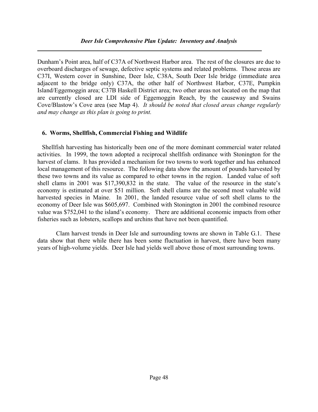#### Deer Isle Comprehensive Plan Update: Inventory and Analysis

Dunham's Point area, half of C37A of Northwest Harbor area. The rest of the closures are due to overboard discharges of sewage, defective septic systems and related problems. Those areas are C37I, Western cover in Sunshine, Deer Isle, C38A, South Deer Isle bridge (immediate area adjacent to the bridge only) C37A, the other half of Northwest Harbor, C37E, Pumpkin Island/Eggemoggin area; C37B Haskell District area; two other areas not located on the map that are currently closed are LDI side of Eggemoggin Reach, by the causeway and Swains Cove/Blastow's Cove area (see Map 4). It should be noted that closed areas change regularly and may change as this plan is going to print.

#### 6. Worms, Shellfish, Commercial Fishing and Wildlife

 Shellfish harvesting has historically been one of the more dominant commercial water related activities. In 1999, the town adopted a reciprocal shellfish ordinance with Stonington for the harvest of clams. It has provided a mechanism for two towns to work together and has enhanced local management of this resource. The following data show the amount of pounds harvested by these two towns and its value as compared to other towns in the region. Landed value of soft shell clams in 2001 was \$17,390,832 in the state. The value of the resource in the state's economy is estimated at over \$51 million. Soft shell clams are the second most valuable wild harvested species in Maine. In 2001, the landed resource value of soft shell clams to the economy of Deer Isle was \$605,697. Combined with Stonington in 2001 the combined resource value was \$752,041 to the island's economy. There are additional economic impacts from other fisheries such as lobsters, scallops and urchins that have not been quantified.

Clam harvest trends in Deer Isle and surrounding towns are shown in Table G.1. These data show that there while there has been some fluctuation in harvest, there have been many years of high-volume yields. Deer Isle had yields well above those of most surrounding towns.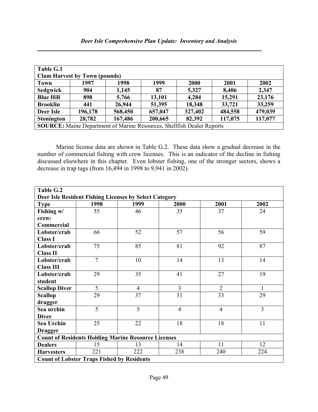| Table G.1                                                                     |                                      |         |         |         |         |         |
|-------------------------------------------------------------------------------|--------------------------------------|---------|---------|---------|---------|---------|
|                                                                               | <b>Clam Harvest by Town (pounds)</b> |         |         |         |         |         |
| <b>Town</b>                                                                   | 1997                                 | 1998    | 1999    | 2000    | 2001    | 2002    |
| <b>Sedgwick</b>                                                               | 904                                  | 1,145   | 87      | 5,327   | 8,406   | 2,347   |
| <b>Blue Hill</b>                                                              | 898                                  | 5,766   | 13,101  | 4,284   | 15,291  | 23,176  |
| <b>Brooklin</b>                                                               | 441                                  | 26,944  | 51,395  | 18,348  | 33,721  | 33,259  |
| Deer Isle                                                                     | 196,178                              | 568,450 | 657,047 | 327,402 | 484,558 | 479,039 |
| <b>Stonington</b>                                                             | 28,782                               | 167,486 | 200,665 | 82,392  | 117,075 | 117,077 |
| <b>SOURCE:</b> Maine Department of Marine Resources, Shellfish Dealer Reports |                                      |         |         |         |         |         |

Marine license data are shown in Table G.2. These data show a gradual decrease in the number of commercial fishing with crew licenses. This is an indicator of the decline in fishing discussed elsewhere in this chapter. Even lobster fishing, one of the stronger sectors, shows a decrease in trap tags (from 16,494 in 1998 to 9,941 in 2002).

| Table G.2                                                  |                |                |                |                |                |  |
|------------------------------------------------------------|----------------|----------------|----------------|----------------|----------------|--|
| Deer Isle Resident Fishing Licenses by Select Category     |                |                |                |                |                |  |
| <b>Type</b>                                                | 1998           | 1999           | 2000           | 2001           | 2002           |  |
| Fishing w/                                                 | 55             | 46             | 35             | 37             | 24             |  |
| crew:                                                      |                |                |                |                |                |  |
| Commercial                                                 |                |                |                |                |                |  |
| Lobster/crab                                               | 66             | 52             | 57             | 56             | 59             |  |
| <b>Class I</b>                                             |                |                |                |                |                |  |
| Lobster/crab                                               | 75             | 85             | 81             | 92             | 87             |  |
| <b>Class II</b>                                            |                |                |                |                |                |  |
| Lobster/crab                                               | $\overline{7}$ | 10             | 14             | 13             | 14             |  |
| <b>Class III</b>                                           |                |                |                |                |                |  |
| Lobster/crab                                               | 29             | 35             | 41             | 27             | 19             |  |
| student                                                    |                |                |                |                |                |  |
| <b>Scallop Diver</b>                                       | 5              | $\overline{4}$ | $\overline{3}$ | $\overline{2}$ | $\mathbf{1}$   |  |
| <b>Scallop</b>                                             | 29             | 37             | 31             | 33             | 29             |  |
| dragger                                                    |                |                |                |                |                |  |
| Sea urchin                                                 | $\overline{5}$ | 5              | $\overline{4}$ | $\overline{4}$ | $\overline{3}$ |  |
| <b>Diver</b>                                               |                |                |                |                |                |  |
| <b>Sea Urchin</b>                                          | 25             | 22             | 18             | 18             | 11             |  |
| <b>Dragger</b>                                             |                |                |                |                |                |  |
| <b>Count of Residents Holding Marine Resource Licenses</b> |                |                |                |                |                |  |
| <b>Dealers</b>                                             | 15             | 13             | 14             | 11             | 12             |  |
| <b>Harvesters</b>                                          | 221            | 222            | 238            | 240            | 224            |  |
| <b>Count of Lobster Traps Fished by Residents</b>          |                |                |                |                |                |  |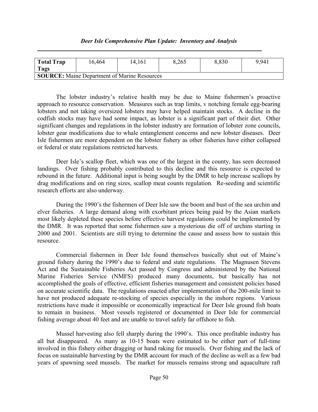| <b>Total Trap</b><br>Tags                           | 16,464 | 14,161 | 8,265 | 8,830 | 9.941 |
|-----------------------------------------------------|--------|--------|-------|-------|-------|
| <b>SOURCE:</b> Maine Department of Marine Resources |        |        |       |       |       |

The lobster industry's relative health may be due to Maine fishermen's proactive approach to resource conservation. Measures such as trap limits, v notching female egg-bearing lobsters and not taking oversized lobsters may have helped maintain stocks. A decline in the codfish stocks may have had some impact, as lobster is a significant part of their diet. Other significant changes and regulations in the lobster industry are formation of lobster zone councils, lobster gear modifications due to whale entanglement concerns and new lobster diseases. Deer Isle fishermen are more dependent on the lobster fishery as other fisheries have either collapsed or federal or state regulations restricted harvests.

Deer Isle's scallop fleet, which was one of the largest in the county, has seen decreased landings. Over fishing probably contributed to this decline and this resource is expected to rebound in the future. Additional input is being sought by the DMR to help increase scallops by drag modifications and on ring sizes, scallop meat counts regulation. Re-seeding and scientific research efforts are also underway.

During the 1990's the fishermen of Deer Isle saw the boom and bust of the sea urchin and elver fisheries. A large demand along with exorbitant prices being paid by the Asian markets most likely depleted these species before effective harvest regulations could be implemented by the DMR. It was reported that some fishermen saw a mysterious die off of urchins starting in 2000 and 2001. Scientists are still trying to determine the cause and assess how to sustain this resource.

Commercial fishermen in Deer Isle found themselves basically shut out of Maine's ground fishery during the 1990's due to federal and state regulations. The Magnusen Stevens Act and the Sustainable Fisheries Act passed by Congress and administered by the National Marine Fisheries Service (NMFS) produced many documents, but basically has not accomplished the goals of effective, efficient fisheries management and consistent policies based on accurate scientific data. The regulations enacted after implementation of the 200-mile limit to have not produced adequate re-stocking of species especially in the inshore regions. Various restrictions have made it impossible or economically impractical for Deer Isle ground fish boats to remain in business. Most vessels registered or documented in Deer Isle for commercial fishing average about 40 feet and are unable to travel safely far offshore to fish.

Mussel harvesting also fell sharply during the 1990's. This once profitable industry has all but disappeared. As many as 10-15 boats were estimated to be either part of full-time involved in this fishery either dragging or hand raking for mussels. Over fishing and the lack of focus on sustainable harvesting by the DMR account for much of the decline as well as a few bad years of spawning seed mussels. The market for mussels remains strong and aquaculture raft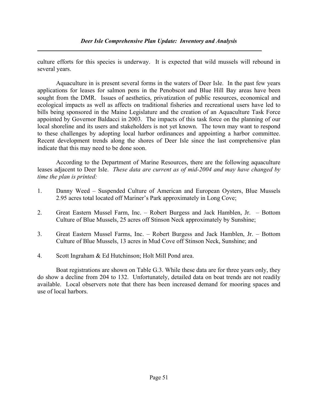culture efforts for this species is underway. It is expected that wild mussels will rebound in several years.

Aquaculture in is present several forms in the waters of Deer Isle. In the past few years applications for leases for salmon pens in the Penobscot and Blue Hill Bay areas have been sought from the DMR. Issues of aesthetics, privatization of public resources, economical and ecological impacts as well as affects on traditional fisheries and recreational users have led to bills being sponsored in the Maine Legislature and the creation of an Aquaculture Task Force appointed by Governor Baldacci in 2003. The impacts of this task force on the planning of our local shoreline and its users and stakeholders is not yet known. The town may want to respond to these challenges by adopting local harbor ordinances and appointing a harbor committee. Recent development trends along the shores of Deer Isle since the last comprehensive plan indicate that this may need to be done soon.

According to the Department of Marine Resources, there are the following aquaculture leases adjacent to Deer Isle. These data are current as of mid-2004 and may have changed by time the plan is printed:

- 1. Danny Weed Suspended Culture of American and European Oysters, Blue Mussels 2.95 acres total located off Mariner's Park approximately in Long Cove;
- 2. Great Eastern Mussel Farm, Inc. Robert Burgess and Jack Hamblen, Jr. Bottom Culture of Blue Mussels, 25 acres off Stinson Neck approximately by Sunshine;
- 3. Great Eastern Mussel Farms, Inc. Robert Burgess and Jack Hamblen, Jr. Bottom Culture of Blue Mussels, 13 acres in Mud Cove off Stinson Neck, Sunshine; and
- 4. Scott Ingraham & Ed Hutchinson; Holt Mill Pond area.

Boat registrations are shown on Table G.3. While these data are for three years only, they do show a decline from 204 to 132. Unfortunately, detailed data on boat trends are not readily available. Local observers note that there has been increased demand for mooring spaces and use of local harbors.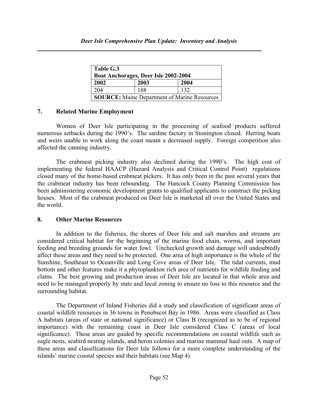| Table G.3<br>Boat Anchorages, Deer Isle 2002-2004   |      |      |  |  |
|-----------------------------------------------------|------|------|--|--|
| 2002                                                | 2003 | 2004 |  |  |
| 204                                                 | 188  | 132  |  |  |
| <b>SOURCE:</b> Maine Department of Marine Resources |      |      |  |  |

### 7. Related Marine Employment

Women of Deer Isle participating in the processing of seafood products suffered numerous setbacks during the 1990's. The sardine factory in Stonington closed. Herring boats and weirs unable to work along the coast meant a decreased supply. Foreign competition also affected the canning industry.

The crabmeat picking industry also declined during the 1990's. The high cost of implementing the federal HAACP (Hazard Analysis and Critical Control Point) regulations closed many of the home-based crabmeat pickers. It has only been in the past several years that the crabmeat industry has been rebounding. The Hancock County Planning Commission has been administering economic development grants to qualified applicants to construct the picking houses. Most of the crabmeat produced on Deer Isle is marketed all over the United States and the world.

#### 8. Other Marine Resources

In addition to the fisheries, the shores of Deer Isle and salt marshes and streams are considered critical habitat for the beginning of the marine food chain, worms, and important feeding and breeding grounds for water fowl. Unchecked growth and damage will undoubtedly affect these areas and they need to be protected. One area of high importance is the whole of the Sunshine, Southeast to Oceanville and Long Cove areas of Deer Isle. The tidal currents, mud bottom and other features make it a phytoplankton rich area of nutrients for wildlife feeding and clams. The best growing and production areas of Deer Isle are located in that whole area and need to be managed properly by state and local zoning to ensure no loss to this resource and the surrounding habitat.

The Department of Inland Fisheries did a study and classification of significant areas of coastal wildlife resources in 36 towns in Penobscot Bay in 1986. Areas were classified as Class A habitats (areas of state or national significance) or Class B (recognized as to be of regional importance) with the remaining coast in Deer Isle considered Class C (areas of local significance). These areas are guided by specific recommendations on coastal wildlife such as eagle nests, seabird nesting islands, and heron colonies and marine mammal haul outs. A map of these areas and classifications for Deer Isle follows for a more complete understanding of the islands' marine coastal species and their habitats (see Map 4).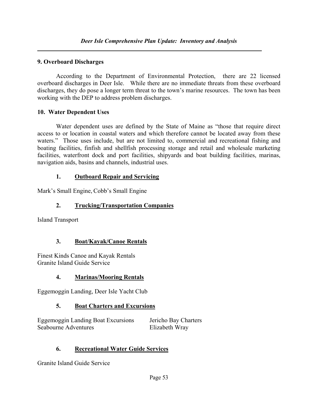## 9. Overboard Discharges

 According to the Department of Environmental Protection, there are 22 licensed overboard discharges in Deer Isle. While there are no immediate threats from these overboard discharges, they do pose a longer term threat to the town's marine resources. The town has been working with the DEP to address problem discharges.

### 10. Water Dependent Uses

Water dependent uses are defined by the State of Maine as "those that require direct access to or location in coastal waters and which therefore cannot be located away from these waters." Those uses include, but are not limited to, commercial and recreational fishing and boating facilities, finfish and shellfish processing storage and retail and wholesale marketing facilities, waterfront dock and port facilities, shipyards and boat building facilities, marinas, navigation aids, basins and channels, industrial uses.

## 1. Outboard Repair and Servicing

Mark's Small Engine, Cobb's Small Engine

## 2. Trucking/Transportation Companies

Island Transport

## 3. Boat/Kayak/Canoe Rentals

Finest Kinds Canoe and Kayak Rentals Granite Island Guide Service

## 4. Marinas/Mooring Rentals

Eggemoggin Landing, Deer Isle Yacht Club

## 5. Boat Charters and Excursions

Eggemoggin Landing Boat Excursions Jericho Bay Charters Seabourne Adventures Elizabeth Wray

## 6. Recreational Water Guide Services

Granite Island Guide Service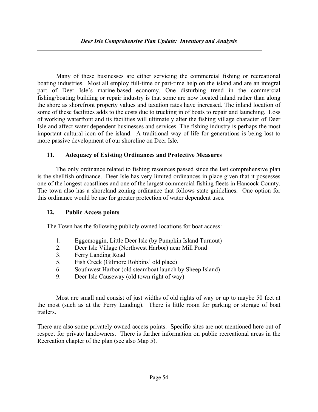Many of these businesses are either servicing the commercial fishing or recreational boating industries. Most all employ full-time or part-time help on the island and are an integral part of Deer Isle's marine-based economy. One disturbing trend in the commercial fishing/boating building or repair industry is that some are now located inland rather than along the shore as shorefront property values and taxation rates have increased. The inland location of some of these facilities adds to the costs due to trucking in of boats to repair and launching. Loss of working waterfront and its facilities will ultimately alter the fishing village character of Deer Isle and affect water dependent businesses and services. The fishing industry is perhaps the most important cultural icon of the island. A traditional way of life for generations is being lost to more passive development of our shoreline on Deer Isle.

## 11. Adequacy of Existing Ordinances and Protective Measures

The only ordinance related to fishing resources passed since the last comprehensive plan is the shellfish ordinance. Deer Isle has very limited ordinances in place given that it possesses one of the longest coastlines and one of the largest commercial fishing fleets in Hancock County. The town also has a shoreland zoning ordinance that follows state guidelines. One option for this ordinance would be use for greater protection of water dependent uses.

## 12. Public Access points

The Town has the following publicly owned locations for boat access:

- 1. Eggemoggin, Little Deer Isle (by Pumpkin Island Turnout)
- 2. Deer Isle Village (Northwest Harbor) near Mill Pond
- 3. Ferry Landing Road
- 5. Fish Creek (Gilmore Robbins' old place)
- 6. Southwest Harbor (old steamboat launch by Sheep Island)
- 9. Deer Isle Causeway (old town right of way)

Most are small and consist of just widths of old rights of way or up to maybe 50 feet at the most (such as at the Ferry Landing). There is little room for parking or storage of boat trailers.

There are also some privately owned access points. Specific sites are not mentioned here out of respect for private landowners. There is further information on public recreational areas in the Recreation chapter of the plan (see also Map 5).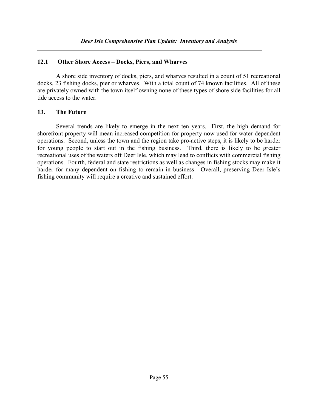### 12.1 Other Shore Access – Docks, Piers, and Wharves

A shore side inventory of docks, piers, and wharves resulted in a count of 51 recreational docks, 23 fishing docks, pier or wharves. With a total count of 74 known facilities. All of these are privately owned with the town itself owning none of these types of shore side facilities for all tide access to the water.

## 13. The Future

Several trends are likely to emerge in the next ten years. First, the high demand for shorefront property will mean increased competition for property now used for water-dependent operations. Second, unless the town and the region take pro-active steps, it is likely to be harder for young people to start out in the fishing business. Third, there is likely to be greater recreational uses of the waters off Deer Isle, which may lead to conflicts with commercial fishing operations. Fourth, federal and state restrictions as well as changes in fishing stocks may make it harder for many dependent on fishing to remain in business. Overall, preserving Deer Isle's fishing community will require a creative and sustained effort.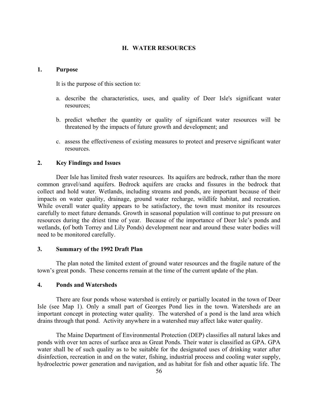#### H. WATER RESOURCES

#### 1. Purpose

It is the purpose of this section to:

- a. describe the characteristics, uses, and quality of Deer Isle's significant water resources;
- b. predict whether the quantity or quality of significant water resources will be threatened by the impacts of future growth and development; and
- c. assess the effectiveness of existing measures to protect and preserve significant water resources.

#### 2. Key Findings and Issues

Deer Isle has limited fresh water resources. Its aquifers are bedrock, rather than the more common gravel/sand aquifers. Bedrock aquifers are cracks and fissures in the bedrock that collect and hold water. Wetlands, including streams and ponds, are important because of their impacts on water quality, drainage, ground water recharge, wildlife habitat, and recreation. While overall water quality appears to be satisfactory, the town must monitor its resources carefully to meet future demands. Growth in seasonal population will continue to put pressure on resources during the driest time of year. Because of the importance of Deer Isle's ponds and wetlands, (of both Torrey and Lily Ponds) development near and around these water bodies will need to be monitored carefully.

#### 3. Summary of the 1992 Draft Plan

The plan noted the limited extent of ground water resources and the fragile nature of the town's great ponds. These concerns remain at the time of the current update of the plan.

#### 4. Ponds and Watersheds

There are four ponds whose watershed is entirely or partially located in the town of Deer Isle (see Map 1). Only a small part of Georges Pond lies in the town. Watersheds are an important concept in protecting water quality. The watershed of a pond is the land area which drains through that pond. Activity anywhere in a watershed may affect lake water quality.

The Maine Department of Environmental Protection (DEP) classifies all natural lakes and ponds with over ten acres of surface area as Great Ponds. Their water is classified as GPA. GPA water shall be of such quality as to be suitable for the designated uses of drinking water after disinfection, recreation in and on the water, fishing, industrial process and cooling water supply, hydroelectric power generation and navigation, and as habitat for fish and other aquatic life. The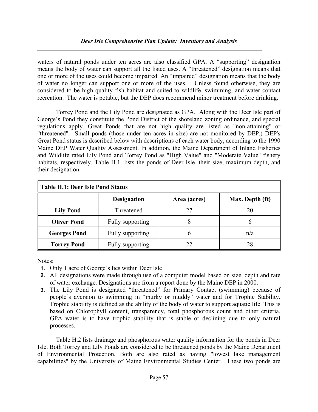#### Deer Isle Comprehensive Plan Update: Inventory and Analysis

waters of natural ponds under ten acres are also classified GPA. A "supporting" designation means the body of water can support all the listed uses. A "threatened" designation means that one or more of the uses could become impaired. An "impaired" designation means that the body of water no longer can support one or more of the uses. Unless found otherwise, they are considered to be high quality fish habitat and suited to wildlife, swimming, and water contact recreation. The water is potable, but the DEP does recommend minor treatment before drinking.

Torrey Pond and the Lily Pond are designated as GPA. Along with the Deer Isle part of George's Pond they constitute the Pond District of the shoreland zoning ordinance, and special regulations apply. Great Ponds that are not high quality are listed as "non-attaining" or "threatened". Small ponds (those under ten acres in size) are not monitored by DEP.) DEP's Great Pond status is described below with descriptions of each water body, according to the 1990 Maine DEP Water Quality Assessment. In addition, the Maine Department of Inland Fisheries and Wildlife rated Lily Pond and Torrey Pond as "High Value" and "Moderate Value" fishery habitats, respectively. Table H.1. lists the ponds of Deer Isle, their size, maximum depth, and their designation.

| Table H.1: Deer Isle Pond Status |                    |              |                 |  |  |
|----------------------------------|--------------------|--------------|-----------------|--|--|
|                                  | <b>Designation</b> | Area (acres) | Max. Depth (ft) |  |  |
| <b>Lily Pond</b>                 | Threatened         | 27           | 20              |  |  |
| <b>Oliver Pond</b>               | Fully supporting   | δ            |                 |  |  |
| <b>Georges Pond</b>              | Fully supporting   | n            | n/a             |  |  |
| <b>Torrey Pond</b>               | Fully supporting   | 22           | 28              |  |  |

Notes:

- 1. Only 1 acre of George's lies within Deer Isle
- 2. All designations were made through use of a computer model based on size, depth and rate of water exchange. Designations are from a report done by the Maine DEP in 2000.
- 3. The Lily Pond is designated "threatened" for Primary Contact (swimming) because of people's aversion to swimming in "murky or muddy" water and for Trophic Stability. Trophic stability is defined as the ability of the body of water to support aquatic life. This is based on Chlorophyll content, transparency, total phosphorous count and other criteria. GPA water is to have trophic stability that is stable or declining due to only natural processes.

Table H.2 lists drainage and phosphorous water quality information for the ponds in Deer Isle. Both Torrey and Lily Ponds are considered to be threatened ponds by the Maine Department of Environmental Protection. Both are also rated as having "lowest lake management capabilities" by the University of Maine Environmental Studies Center. These two ponds are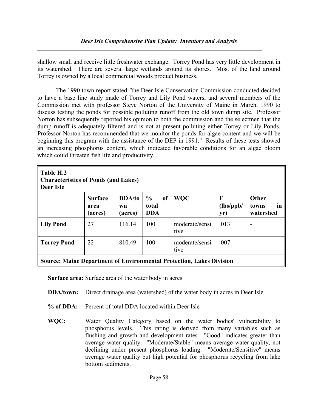shallow small and receive little freshwater exchange. Torrey Pond has very little development in its watershed. There are several large wetlands around its shores. Most of the land around Torrey is owned by a local commercial woods product business.

The 1990 town report stated "the Deer Isle Conservation Commission conducted decided to have a base line study made of Torrey and Lily Pond waters, and several members of the Commission met with professor Steve Norton of the University of Maine in March, 1990 to discuss testing the ponds for possible polluting runoff from the old town dump site. Professor Norton has subsequently reported his opinion to both the commission and the selectmen that the dump runoff is adequately filtered and is not at present polluting either Torrey or Lily Ponds. Professor Norton has recommended that we monitor the ponds for algae content and we will be beginning this program with the assistance of the DEP in 1991." Results of these tests showed an increasing phosphorus content, which indicated favorable conditions for an algae bloom which could threaten fish life and productivity.

| Table H.2<br><b>Characteristics of Ponds (and Lakes)</b><br>Deer Isle       |                                   |                         |                                                       |                        |                       |                                   |
|-----------------------------------------------------------------------------|-----------------------------------|-------------------------|-------------------------------------------------------|------------------------|-----------------------|-----------------------------------|
|                                                                             | <b>Surface</b><br>area<br>(acres) | DDA/to<br>wn<br>(acres) | $\frac{6}{9}$<br><sub>of</sub><br>total<br><b>DDA</b> | <b>WQC</b>             | F<br>(lbs/ppb/<br>yr) | Other<br>in<br>towns<br>watershed |
| <b>Lily Pond</b>                                                            | 27                                | 116.14                  | 100                                                   | moderate/sensi<br>tive | .013                  | -                                 |
| <b>Torrey Pond</b>                                                          | 22                                | 810.49                  | 100                                                   | moderate/sensi<br>tive | .007                  | $\overline{\phantom{a}}$          |
| <b>Source: Maine Department of Environmental Protection, Lakes Division</b> |                                   |                         |                                                       |                        |                       |                                   |

Surface area: Surface area of the water body in acres

- DDA/town: Direct drainage area (watershed) of the water body in acres in Deer Isle
- % of DDA: Percent of total DDA located within Deer Isle
- WQC: Water Quality Category based on the water bodies' vulnerability to phosphorus levels. This rating is derived from many variables such as flushing and growth and development rates. "Good" indicates greater than average water quality. "Moderate/Stable" means average water quality, not declining under present phosphorus loading. "Moderate/Sensitive" means average water quality but high potential for phosphorus recycling from lake bottom sediments.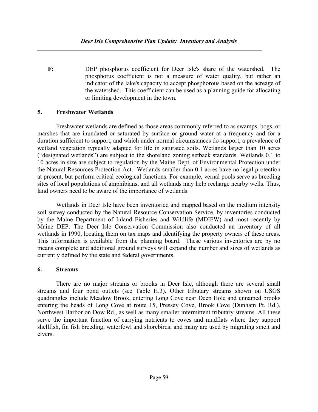F: DEP phosphorus coefficient for Deer Isle's share of the watershed. The phosphorus coefficient is not a measure of water quality, but rather an indicator of the lake's capacity to accept phosphorous based on the acreage of the watershed. This coefficient can be used as a planning guide for allocating or limiting development in the town.

### 5. Freshwater Wetlands

Freshwater wetlands are defined as those areas commonly referred to as swamps, bogs, or marshes that are inundated or saturated by surface or ground water at a frequency and for a duration sufficient to support, and which under normal circumstances do support, a prevalence of wetland vegetation typically adapted for life in saturated soils. Wetlands larger than 10 acres ("designated wetlands") are subject to the shoreland zoning setback standards. Wetlands 0.1 to 10 acres in size are subject to regulation by the Maine Dept. of Environmental Protection under the Natural Resources Protection Act. Wetlands smaller than 0.1 acres have no legal protection at present, but perform critical ecological functions. For example, vernal pools serve as breeding sites of local populations of amphibians, and all wetlands may help recharge nearby wells. Thus, land owners need to be aware of the importance of wetlands.

Wetlands in Deer Isle have been inventoried and mapped based on the medium intensity soil survey conducted by the Natural Resource Conservation Service, by inventories conducted by the Maine Department of Inland Fisheries and Wildlife (MDIFW) and most recently by Maine DEP. The Deer Isle Conservation Commission also conducted an inventory of all wetlands in 1990, locating them on tax maps and identifying the property owners of these areas. This information is available from the planning board. These various inventories are by no means complete and additional ground surveys will expand the number and sizes of wetlands as currently defined by the state and federal governments.

### 6. Streams

There are no major streams or brooks in Deer Isle, although there are several small streams and four pond outlets (see Table H.3). Other tributary streams shown on USGS quadrangles include Meadow Brook, entering Long Cove near Deep Hole and unnamed brooks entering the heads of Long Cove at route 15, Pressey Cove, Brook Cove (Dunham Pt. Rd.), Northwest Harbor on Dow Rd., as well as many smaller intermittent tributary streams. All these serve the important function of carrying nutrients to coves and mudflats where they support shellfish, fin fish breeding, waterfowl and shorebirds; and many are used by migrating smelt and elvers.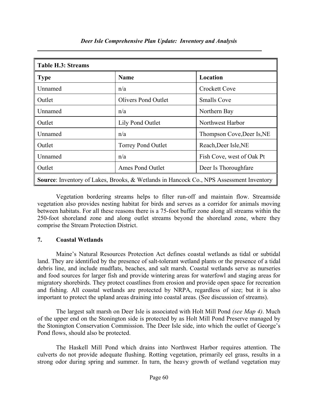| <b>Table H.3: Streams</b>                                                                      |                            |                            |  |  |
|------------------------------------------------------------------------------------------------|----------------------------|----------------------------|--|--|
| <b>Type</b>                                                                                    | <b>Name</b>                | Location                   |  |  |
| Unnamed                                                                                        | n/a                        | <b>Crockett Cove</b>       |  |  |
| Outlet                                                                                         | <b>Olivers Pond Outlet</b> | <b>Smalls Cove</b>         |  |  |
| Unnamed                                                                                        | n/a                        | Northern Bay               |  |  |
| Outlet                                                                                         | Lily Pond Outlet           | Northwest Harbor           |  |  |
| Unnamed                                                                                        | n/a                        | Thompson Cove, Deer Is, NE |  |  |
| Outlet                                                                                         | <b>Torrey Pond Outlet</b>  | Reach, Deer Isle, NE       |  |  |
| Unnamed                                                                                        | n/a                        | Fish Cove, west of Oak Pt  |  |  |
| Outlet                                                                                         | Ames Pond Outlet           | Deer Is Thoroughfare       |  |  |
| <b>Source:</b> Inventory of Lakes, Brooks, & Wetlands in Hancock Co., NPS Assessment Inventory |                            |                            |  |  |

Deer Isle Comprehensive Plan Update: Inventory and Analysis

Vegetation bordering streams helps to filter run-off and maintain flow. Streamside vegetation also provides nesting habitat for birds and serves as a corridor for animals moving between habitats. For all these reasons there is a 75-foot buffer zone along all streams within the 250-foot shoreland zone and along outlet streams beyond the shoreland zone, where they comprise the Stream Protection District.

### 7. Coastal Wetlands

Maine's Natural Resources Protection Act defines coastal wetlands as tidal or subtidal land. They are identified by the presence of salt-tolerant wetland plants or the presence of a tidal debris line, and include mudflats, beaches, and salt marsh. Coastal wetlands serve as nurseries and food sources for larger fish and provide wintering areas for waterfowl and staging areas for migratory shorebirds. They protect coastlines from erosion and provide open space for recreation and fishing. All coastal wetlands are protected by NRPA, regardless of size; but it is also important to protect the upland areas draining into coastal areas. (See discussion of streams).

The largest salt marsh on Deer Isle is associated with Holt Mill Pond (see Map 4). Much of the upper end on the Stonington side is protected by as Holt Mill Pond Preserve managed by the Stonington Conservation Commission. The Deer Isle side, into which the outlet of George's Pond flows, should also be protected.

The Haskell Mill Pond which drains into Northwest Harbor requires attention. The culverts do not provide adequate flushing. Rotting vegetation, primarily eel grass, results in a strong odor during spring and summer. In turn, the heavy growth of wetland vegetation may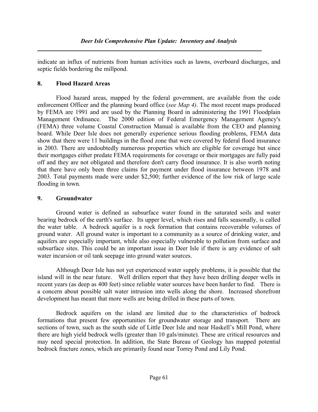indicate an influx of nutrients from human activities such as lawns, overboard discharges, and septic fields bordering the millpond.

### 8. Flood Hazard Areas

Flood hazard areas, mapped by the federal government, are available from the code enforcement Officer and the planning board office (see Map 4). The most recent maps produced by FEMA are 1991 and are used by the Planning Board in administering the 1991 Floodplain Management Ordinance. The 2000 edition of Federal Emergency Management Agency's (FEMA) three volume Coastal Construction Manual is available from the CEO and planning board. While Deer Isle does not generally experience serious flooding problems, FEMA data show that there were 11 buildings in the flood zone that were covered by federal flood insurance in 2003. There are undoubtedly numerous properties which are eligible for coverage but since their mortgages either predate FEMA requirements for coverage or their mortgages are fully paid off and they are not obligated and therefore don't carry flood insurance. It is also worth noting that there have only been three claims for payment under flood insurance between 1978 and 2003. Total payments made were under \$2,500; further evidence of the low risk of large scale flooding in town.

## 9. Groundwater

Ground water is defined as subsurface water found in the saturated soils and water bearing bedrock of the earth's surface. Its upper level, which rises and falls seasonally, is called the water table. A bedrock aquifer is a rock formation that contains recoverable volumes of ground water. All ground water is important to a community as a source of drinking water, and aquifers are especially important, while also especially vulnerable to pollution from surface and subsurface sites. This could be an important issue in Deer Isle if there is any evidence of salt water incursion or oil tank seepage into ground water sources.

Although Deer Isle has not yet experienced water supply problems, it is possible that the island will in the near future. Well drillers report that they have been drilling deeper wells in recent years (as deep as 400 feet) since reliable water sources have been harder to find. There is a concern about possible salt water intrusion into wells along the shore. Increased shorefront development has meant that more wells are being drilled in these parts of town.

Bedrock aquifers on the island are limited due to the characteristics of bedrock formations that present few opportunities for groundwater storage and transport. There are sections of town, such as the south side of Little Deer Isle and near Haskell's Mill Pond, where there are high yield bedrock wells (greater than 10 gals/minute). These are critical resources and may need special protection. In addition, the State Bureau of Geology has mapped potential bedrock fracture zones, which are primarily found near Torrey Pond and Lily Pond.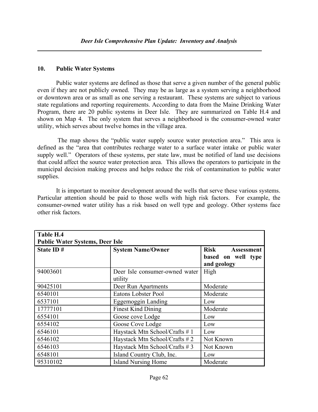#### 10. Public Water Systems

Public water systems are defined as those that serve a given number of the general public even if they are not publicly owned. They may be as large as a system serving a neighborhood or downtown area or as small as one serving a restaurant. These systems are subject to various state regulations and reporting requirements. According to data from the Maine Drinking Water Program, there are 20 public systems in Deer Isle. They are summarized on Table H.4 and shown on Map 4. The only system that serves a neighborhood is the consumer-owned water utility, which serves about twelve homes in the village area.

 The map shows the "public water supply source water protection area." This area is defined as the "area that contributes recharge water to a surface water intake or public water supply well." Operators of these systems, per state law, must be notified of land use decisions that could affect the source water protection area. This allows the operators to participate in the municipal decision making process and helps reduce the risk of contamination to public water supplies.

It is important to monitor development around the wells that serve these various systems. Particular attention should be paid to those wells with high risk factors. For example, the consumer-owned water utility has a risk based on well type and geology. Other systems face other risk factors.

| Table H.4                              |                                           |                                                                       |  |  |  |
|----------------------------------------|-------------------------------------------|-----------------------------------------------------------------------|--|--|--|
| <b>Public Water Systems, Deer Isle</b> |                                           |                                                                       |  |  |  |
| State ID#                              | <b>System Name/Owner</b>                  | <b>Risk</b><br><b>Assessment</b><br>based on well type<br>and geology |  |  |  |
| 94003601                               | Deer Isle consumer-owned water<br>utility | High                                                                  |  |  |  |
| 90425101                               | Deer Run Apartments                       | Moderate                                                              |  |  |  |
| 6540101                                | Eatons Lobster Pool                       | Moderate                                                              |  |  |  |
| 6537101                                | Eggemoggin Landing                        | Low                                                                   |  |  |  |
| 17777101                               | <b>Finest Kind Dining</b>                 | Moderate                                                              |  |  |  |
| 6554101                                | Goose cove Lodge                          | Low                                                                   |  |  |  |
| 6554102                                | Goose Cove Lodge                          | Low                                                                   |  |  |  |
| 6546101                                | Haystack Mtn School/Crafts #1             | Low                                                                   |  |  |  |
| 6546102                                | Haystack Mtn School/Crafts #2             | Not Known                                                             |  |  |  |
| 6546103                                | Haystack Mtn School/Crafts #3             | Not Known                                                             |  |  |  |
| 6548101                                | Island Country Club, Inc.                 | Low                                                                   |  |  |  |
| 95310102                               | <b>Island Nursing Home</b>                | Moderate                                                              |  |  |  |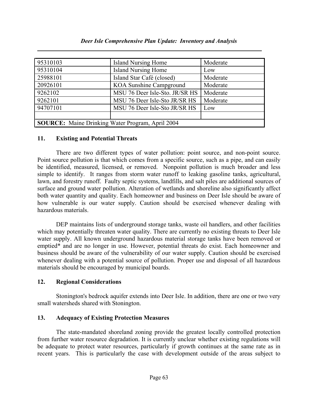| 95310103                                                | Island Nursing Home            | Moderate |  |  |
|---------------------------------------------------------|--------------------------------|----------|--|--|
| 95310104                                                | <b>Island Nursing Home</b>     | Low      |  |  |
| 25988101                                                | Island Star Café (closed)      | Moderate |  |  |
| 20926101                                                | KOA Sunshine Campground        | Moderate |  |  |
| 9262102                                                 | MSU 76 Deer Isle-Sto. JR/SR HS | Moderate |  |  |
| 9262101                                                 | MSU 76 Deer Isle-Sto JR/SR HS  | Moderate |  |  |
| 94707101                                                | MSU 76 Deer Isle-Sto JR/SR HS  | Low      |  |  |
|                                                         |                                |          |  |  |
| <b>SOURCE:</b> Maine Drinking Water Program, April 2004 |                                |          |  |  |

#### Deer Isle Comprehensive Plan Update: Inventory and Analysis

#### 11. Existing and Potential Threats

 There are two different types of water pollution: point source, and non-point source. Point source pollution is that which comes from a specific source, such as a pipe, and can easily be identified, measured, licensed, or removed. Nonpoint pollution is much broader and less simple to identify. It ranges from storm water runoff to leaking gasoline tanks, agricultural, lawn, and forestry runoff. Faulty septic systems, landfills, and salt piles are additional sources of surface and ground water pollution. Alteration of wetlands and shoreline also significantly affect both water quantity and quality. Each homeowner and business on Deer Isle should be aware of how vulnerable is our water supply. Caution should be exercised whenever dealing with hazardous materials.

DEP maintains lists of underground storage tanks, waste oil handlers, and other facilities which may potentially threaten water quality. There are currently no existing threats to Deer Isle water supply. All known underground hazardous material storage tanks have been removed or emptied\* and are no longer in use. However, potential threats do exist. Each homeowner and business should be aware of the vulnerability of our water supply. Caution should be exercised whenever dealing with a potential source of pollution. Proper use and disposal of all hazardous materials should be encouraged by municipal boards.

### 12. Regional Considerations

Stonington's bedrock aquifer extends into Deer Isle. In addition, there are one or two very small watersheds shared with Stonington.

### 13. Adequacy of Existing Protection Measures

The state-mandated shoreland zoning provide the greatest locally controlled protection from further water resource degradation. It is currently unclear whether existing regulations will be adequate to protect water resources, particularly if growth continues at the same rate as in recent years. This is particularly the case with development outside of the areas subject to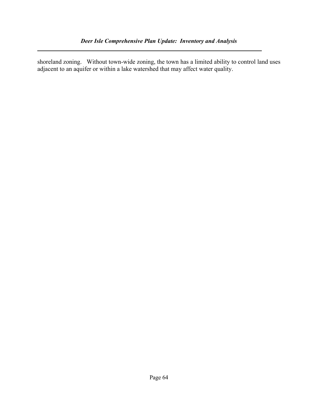shoreland zoning. Without town-wide zoning, the town has a limited ability to control land uses adjacent to an aquifer or within a lake watershed that may affect water quality.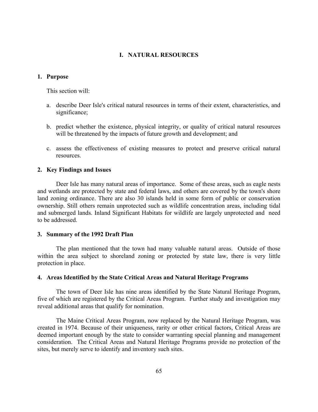#### I. NATURAL RESOURCES

#### 1. Purpose

This section will:

- a. describe Deer Isle's critical natural resources in terms of their extent, characteristics, and significance;
- b. predict whether the existence, physical integrity, or quality of critical natural resources will be threatened by the impacts of future growth and development; and
- c. assess the effectiveness of existing measures to protect and preserve critical natural resources.

#### 2. Key Findings and Issues

 Deer Isle has many natural areas of importance. Some of these areas, such as eagle nests and wetlands are protected by state and federal laws, and others are covered by the town's shore land zoning ordinance. There are also 30 islands held in some form of public or conservation ownership. Still others remain unprotected such as wildlife concentration areas, including tidal and submerged lands. Inland Significant Habitats for wildlife are largely unprotected and need to be addressed.

#### 3. Summary of the 1992 Draft Plan

 The plan mentioned that the town had many valuable natural areas. Outside of those within the area subject to shoreland zoning or protected by state law, there is very little protection in place.

#### 4. Areas Identified by the State Critical Areas and Natural Heritage Programs

 The town of Deer Isle has nine areas identified by the State Natural Heritage Program, five of which are registered by the Critical Areas Program. Further study and investigation may reveal additional areas that qualify for nomination.

 The Maine Critical Areas Program, now replaced by the Natural Heritage Program, was created in 1974. Because of their uniqueness, rarity or other critical factors, Critical Areas are deemed important enough by the state to consider warranting special planning and management consideration. The Critical Areas and Natural Heritage Programs provide no protection of the sites, but merely serve to identify and inventory such sites.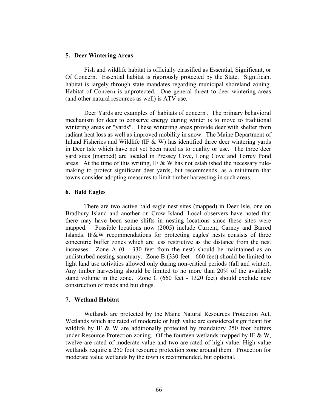#### 5. Deer Wintering Areas

 Fish and wildlife habitat is officially classified as Essential, Significant, or Of Concern. Essential habitat is rigorously protected by the State. Significant habitat is largely through state mandates regarding municipal shoreland zoning. Habitat of Concern is unprotected. One general threat to deer wintering areas (and other natural resources as well) is ATV use.

 Deer Yards are examples of 'habitats of concern'. The primary behavioral mechanism for deer to conserve energy during winter is to move to traditional wintering areas or "yards". These wintering areas provide deer with shelter from radiant heat loss as well as improved mobility in snow. The Maine Department of Inland Fisheries and Wildlife (IF  $&$  W) has identified three deer wintering yards in Deer Isle which have not yet been rated as to quality or use. The three deer yard sites (mapped) are located in Pressey Cove, Long Cove and Torrey Pond areas. At the time of this writing, IF  $&$  W has not established the necessary rulemaking to protect significant deer yards, but recommends, as a minimum that towns consider adopting measures to limit timber harvesting in such areas.

#### 6. Bald Eagles

 There are two active bald eagle nest sites (mapped) in Deer Isle, one on Bradbury Island and another on Crow Island. Local observers have noted that there may have been some shifts in nesting locations since these sites were mapped. Possible locations now (2005) include Current, Carney and Barred Islands. IF&W recommendations for protecting eagles' nests consists of three concentric buffer zones which are less restrictive as the distance from the nest increases. Zone A (0 - 330 feet from the nest) should be maintained as an undisturbed nesting sanctuary. Zone B (330 feet - 660 feet) should be limited to light land use activities allowed only during non-critical periods (fall and winter). Any timber harvesting should be limited to no more than 20% of the available stand volume in the zone. Zone C (660 feet - 1320 feet) should exclude new construction of roads and buildings.

#### 7. Wetland Habitat

 Wetlands are protected by the Maine Natural Resources Protection Act. Wetlands which are rated of moderate or high value are considered significant for wildlife by IF  $\&$  W are additionally protected by mandatory 250 foot buffers under Resource Protection zoning. Of the fourteen wetlands mapped by IF  $&$  W, twelve are rated of moderate value and two are rated of high value. High value wetlands require a 250 foot resource protection zone around them. Protection for moderate value wetlands by the town is recommended, but optional.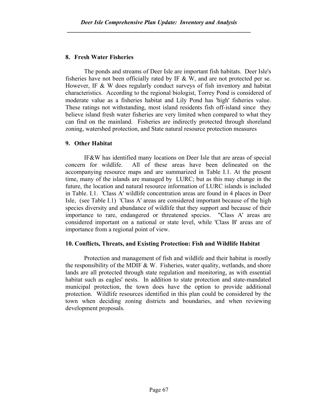### 8. Fresh Water Fisheries

 The ponds and streams of Deer Isle are important fish habitats. Deer Isle's fisheries have not been officially rated by IF  $&$  W, and are not protected per se. However, IF & W does regularly conduct surveys of fish inventory and habitat characteristics. According to the regional biologist, Torrey Pond is considered of moderate value as a fisheries habitat and Lily Pond has 'high' fisheries value. These ratings not withstanding, most island residents fish off-island since they believe island fresh water fisheries are very limited when compared to what they can find on the mainland. Fisheries are indirectly protected through shoreland zoning, watershed protection, and State natural resource protection measures

### 9. Other Habitat

 IF&W has identified many locations on Deer Isle that are areas of special concern for wildlife. All of these areas have been delineated on the accompanying resource maps and are summarized in Table I.1. At the present time, many of the islands are managed by LURC; but as this may change in the future, the location and natural resource information of LURC islands is included in Table. I.1. 'Class A' wildlife concentration areas are found in 4 places in Deer Isle, (see Table I.1) 'Class A' areas are considered important because of the high species diversity and abundance of wildlife that they support and because of their importance to rare, endangered or threatened species. "Class A' areas are considered important on a national or state level, while 'Class B' areas are of importance from a regional point of view.

### 10. Conflicts, Threats, and Existing Protection: Fish and Wildlife Habitat

 Protection and management of fish and wildlife and their habitat is mostly the responsibility of the MDIF  $&$  W. Fisheries, water quality, wetlands, and shore lands are all protected through state regulation and monitoring, as with essential habitat such as eagles' nests. In addition to state protection and state-mandated municipal protection, the town does have the option to provide additional protection. Wildlife resources identified in this plan could be considered by the town when deciding zoning districts and boundaries, and when reviewing development proposals.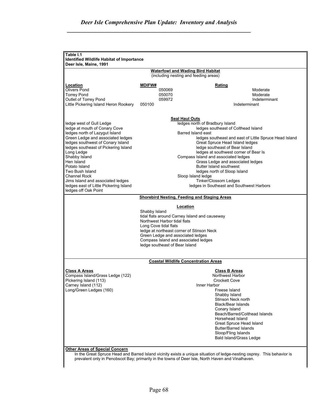|                                                                                                             |                                           | <b>Waterfowl and Wading Bird Habitat</b><br>(including nesting and feeding areas) |  |  |  |  |
|-------------------------------------------------------------------------------------------------------------|-------------------------------------------|-----------------------------------------------------------------------------------|--|--|--|--|
|                                                                                                             |                                           |                                                                                   |  |  |  |  |
| Location                                                                                                    | <b>MDIFW#</b>                             | <b>Rating</b>                                                                     |  |  |  |  |
| <b>Olivers Pond</b><br><b>Torrey Pond</b>                                                                   | 050069<br>Moderate<br>050070<br>Moderate  |                                                                                   |  |  |  |  |
|                                                                                                             | 059972<br>Indeterminant                   |                                                                                   |  |  |  |  |
| Outlet of Torrey Pond<br>Little Pickering Island Heron Rookery                                              | 050100                                    | Indeterminant                                                                     |  |  |  |  |
|                                                                                                             |                                           |                                                                                   |  |  |  |  |
|                                                                                                             |                                           | <b>Seal Haul Outs</b>                                                             |  |  |  |  |
| ledge west of Gull Ledge                                                                                    |                                           | ledges north of Bradbury Island                                                   |  |  |  |  |
| ledge at mouth of Conary Cove                                                                               |                                           | ledges southeast of Colthead Island                                               |  |  |  |  |
| ledges north of Lazygut Island                                                                              |                                           | Barred Island east                                                                |  |  |  |  |
| Green Ledge and associated ledges                                                                           |                                           | ledges southeast and east of Little Spruce Head Island                            |  |  |  |  |
| ledges southwest of Conary Island                                                                           |                                           | Great Spruce Head Island ledges                                                   |  |  |  |  |
| ledges southeast of Pickering Island                                                                        |                                           | ledge southeast of Bear Island                                                    |  |  |  |  |
| Long Ledge                                                                                                  |                                           | ledges at southwest corner of Bear Is                                             |  |  |  |  |
| Shabby Island                                                                                               |                                           | Compass Island and associated ledges                                              |  |  |  |  |
| Hen Island                                                                                                  |                                           | Grass Ledge and associated ledges                                                 |  |  |  |  |
| Potato Island                                                                                               |                                           | Butter Island southwest                                                           |  |  |  |  |
| Two Bush Island                                                                                             |                                           | ledges north of Sloop Island                                                      |  |  |  |  |
| Channel Rock                                                                                                |                                           | Sloop Island ledge                                                                |  |  |  |  |
| Jims Island and associated ledges                                                                           |                                           | <b>Tinker/Clossom Ledges</b>                                                      |  |  |  |  |
| ledges east of Little Pickering Island<br>ledges in Southeast and Southwest Harbors<br>ledges off Oak Point |                                           |                                                                                   |  |  |  |  |
| <b>Shorebird Nesting, Feeding and Staging Areas</b>                                                         |                                           |                                                                                   |  |  |  |  |
|                                                                                                             |                                           |                                                                                   |  |  |  |  |
|                                                                                                             |                                           | Location                                                                          |  |  |  |  |
|                                                                                                             | Shabby Island                             | tidal flats around Carney Island and causeway                                     |  |  |  |  |
|                                                                                                             | Northwest Harbor tidal flats              |                                                                                   |  |  |  |  |
|                                                                                                             | Long Cove tidal flats                     |                                                                                   |  |  |  |  |
|                                                                                                             | ledge at northeast corner of Stinson Neck |                                                                                   |  |  |  |  |
|                                                                                                             | Green Ledge and associated ledges         |                                                                                   |  |  |  |  |
|                                                                                                             | Compass Island and associated ledges      |                                                                                   |  |  |  |  |
|                                                                                                             | ledge southeast of Bear Island            |                                                                                   |  |  |  |  |
|                                                                                                             |                                           |                                                                                   |  |  |  |  |
|                                                                                                             |                                           | <b>Coastal Wildlife Concentration Areas</b>                                       |  |  |  |  |
| <b>Class A Areas</b>                                                                                        |                                           | <b>Class B Areas</b>                                                              |  |  |  |  |
| Compass Island/Grass Ledge (122)                                                                            |                                           | Northwest Harbor                                                                  |  |  |  |  |
| Pickering Island (113)                                                                                      |                                           | Crockett Cove                                                                     |  |  |  |  |
| Carney Island (112)                                                                                         |                                           | Inner Harbor                                                                      |  |  |  |  |
| Long/Green Ledges (160)                                                                                     |                                           | Freese Island                                                                     |  |  |  |  |
|                                                                                                             |                                           | Shabby Island                                                                     |  |  |  |  |
|                                                                                                             |                                           | Stinson Neck north                                                                |  |  |  |  |
|                                                                                                             |                                           | <b>Black/Bear Islands</b>                                                         |  |  |  |  |
|                                                                                                             |                                           | Conary Island                                                                     |  |  |  |  |
|                                                                                                             |                                           | Beach/Barred/Colthead Islands                                                     |  |  |  |  |
|                                                                                                             |                                           | Horsehead Island                                                                  |  |  |  |  |
|                                                                                                             |                                           | Great Spruce Head Island                                                          |  |  |  |  |
|                                                                                                             |                                           | <b>Butter/Barred Islands</b>                                                      |  |  |  |  |
|                                                                                                             |                                           | Sloop/Fling Islands                                                               |  |  |  |  |
|                                                                                                             |                                           | <b>Bald Island/Grass Ledge</b>                                                    |  |  |  |  |
| <b>Other Areas of Special Concern</b>                                                                       |                                           |                                                                                   |  |  |  |  |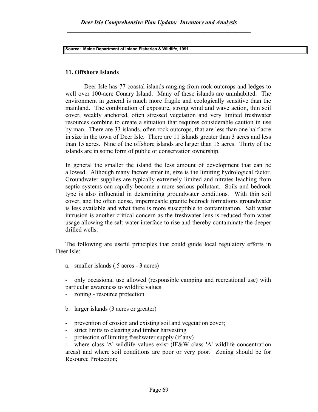Source: Maine Department of Inland Fisheries & Wildlife, 1991

### 11. Offshore Islands

 Deer Isle has 77 coastal islands ranging from rock outcrops and ledges to well over 100-acre Conary Island. Many of these islands are uninhabited. The environment in general is much more fragile and ecologically sensitive than the mainland. The combination of exposure, strong wind and wave action, thin soil cover, weakly anchored, often stressed vegetation and very limited freshwater resources combine to create a situation that requires considerable caution in use by man. There are 33 islands, often rock outcrops, that are less than one half acre in size in the town of Deer Isle. There are 11 islands greater than 3 acres and less than 15 acres. Nine of the offshore islands are larger than 15 acres. Thirty of the islands are in some form of public or conservation ownership.

 In general the smaller the island the less amount of development that can be allowed. Although many factors enter in, size is the limiting hydrological factor. Groundwater supplies are typically extremely limited and nitrates leaching from septic systems can rapidly become a more serious pollutant. Soils and bedrock type is also influential in determining groundwater conditions. With thin soil cover, and the often dense, impermeable granite bedrock formations groundwater is less available and what there is more susceptible to contamination. Salt water intrusion is another critical concern as the freshwater lens is reduced from water usage allowing the salt water interface to rise and thereby contaminate the deeper drilled wells.

The following are useful principles that could guide local regulatory efforts in Deer Isle:

- a. smaller islands (.5 acres 3 acres)
- only occasional use allowed (responsible camping and recreational use) with particular awareness to wildlife values
- zoning resource protection
- b. larger islands (3 acres or greater)
- prevention of erosion and existing soil and vegetation cover;
- strict limits to clearing and timber harvesting
- protection of limiting freshwater supply (if any)

- where class 'A' wildlife values exist (IF&W class 'A' wildlife concentration areas) and where soil conditions are poor or very poor. Zoning should be for Resource Protection;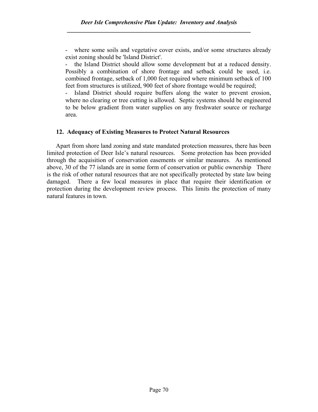- where some soils and vegetative cover exists, and/or some structures already exist zoning should be 'Island District'.

the Island District should allow some development but at a reduced density. Possibly a combination of shore frontage and setback could be used, i.e. combined frontage, setback of 1,000 feet required where minimum setback of 100 feet from structures is utilized, 900 feet of shore frontage would be required;

- Island District should require buffers along the water to prevent erosion, where no clearing or tree cutting is allowed. Septic systems should be engineered to be below gradient from water supplies on any freshwater source or recharge area.

### 12. Adequacy of Existing Measures to Protect Natural Resources

Apart from shore land zoning and state mandated protection measures, there has been limited protection of Deer Isle's natural resources. Some protection has been provided through the acquisition of conservation easements or similar measures. As mentioned above, 30 of the 77 islands are in some form of conservation or public ownership There is the risk of other natural resources that are not specifically protected by state law being damaged. There a few local measures in place that require their identification or protection during the development review process. This limits the protection of many natural features in town.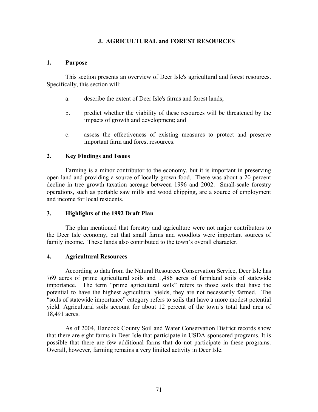### J. AGRICULTURAL and FOREST RESOURCES

#### 1. Purpose

 This section presents an overview of Deer Isle's agricultural and forest resources. Specifically, this section will:

- a. describe the extent of Deer Isle's farms and forest lands;
- b. predict whether the viability of these resources will be threatened by the impacts of growth and development; and
- c. assess the effectiveness of existing measures to protect and preserve important farm and forest resources.

### 2. Key Findings and Issues

Farming is a minor contributor to the economy, but it is important in preserving open land and providing a source of locally grown food. There was about a 20 percent decline in tree growth taxation acreage between 1996 and 2002. Small-scale forestry operations, such as portable saw mills and wood chipping, are a source of employment and income for local residents.

### 3. Highlights of the 1992 Draft Plan

 The plan mentioned that forestry and agriculture were not major contributors to the Deer Isle economy, but that small farms and woodlots were important sources of family income. These lands also contributed to the town's overall character.

### 4. Agricultural Resources

According to data from the Natural Resources Conservation Service, Deer Isle has 769 acres of prime agricultural soils and 1,486 acres of farmland soils of statewide importance. The term "prime agricultural soils" refers to those soils that have the potential to have the highest agricultural yields, they are not necessarily farmed. The "soils of statewide importance" category refers to soils that have a more modest potential yield. Agricultural soils account for about 12 percent of the town's total land area of 18,491 acres.

As of 2004, Hancock County Soil and Water Conservation District records show that there are eight farms in Deer Isle that participate in USDA-sponsored programs. It is possible that there are few additional farms that do not participate in these programs. Overall, however, farming remains a very limited activity in Deer Isle.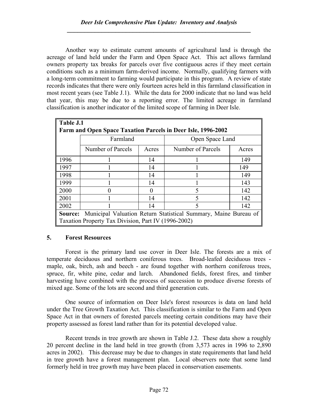Another way to estimate current amounts of agricultural land is through the acreage of land held under the Farm and Open Space Act. This act allows farmland owners property tax breaks for parcels over five contiguous acres if they meet certain conditions such as a minimum farm-derived income. Normally, qualifying farmers with a long-term commitment to farming would participate in this program. A review of state records indicates that there were only fourteen acres held in this farmland classification in most recent years (see Table J.1). While the data for 2000 indicate that no land was held that year, this may be due to a reporting error. The limited acreage in farmland classification is another indicator of the limited scope of farming in Deer Isle.

|      | Table J.1                                                    |          |                                                                                |       |  |  |
|------|--------------------------------------------------------------|----------|--------------------------------------------------------------------------------|-------|--|--|
|      | Farm and Open Space Taxation Parcels in Deer Isle, 1996-2002 |          |                                                                                |       |  |  |
|      | Farmland                                                     |          | Open Space Land                                                                |       |  |  |
|      | Number of Parcels                                            | Acres    | Number of Parcels                                                              | Acres |  |  |
| 1996 |                                                              | 14       |                                                                                | 149   |  |  |
| 1997 |                                                              | 14       |                                                                                | 149   |  |  |
| 1998 |                                                              | 14       |                                                                                | 149   |  |  |
| 1999 |                                                              | 14       |                                                                                | 143   |  |  |
| 2000 |                                                              | $\theta$ |                                                                                | 142   |  |  |
| 2001 |                                                              | 14       |                                                                                | 142   |  |  |
| 2002 |                                                              | 14       |                                                                                | 142   |  |  |
|      | Taxation Property Tax Division, Part IV (1996-2002)          |          | <b>Source:</b> Municipal Valuation Return Statistical Summary, Maine Bureau of |       |  |  |

## 5. Forest Resources

 Forest is the primary land use cover in Deer Isle. The forests are a mix of temperate deciduous and northern coniferous trees. Broad-leafed deciduous trees maple, oak, birch, ash and beech - are found together with northern coniferous trees, spruce, fir, white pine, cedar and larch. Abandoned fields, forest fires, and timber harvesting have combined with the process of succession to produce diverse forests of mixed age. Some of the lots are second and third generation cuts.

 One source of information on Deer Isle's forest resources is data on land held under the Tree Growth Taxation Act. This classification is similar to the Farm and Open Space Act in that owners of forested parcels meeting certain conditions may have their property assessed as forest land rather than for its potential developed value.

Recent trends in tree growth are shown in Table J.2. These data show a roughly 20 percent decline in the land held in tree growth (from 3,573 acres in 1996 to 2,890 acres in 2002). This decrease may be due to changes in state requirements that land held in tree growth have a forest management plan. Local observers note that some land formerly held in tree growth may have been placed in conservation easements.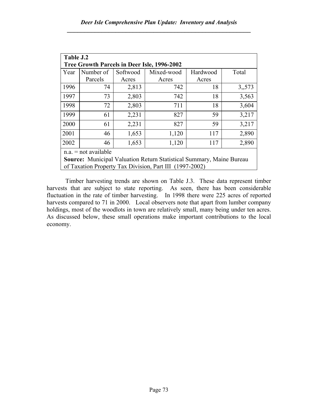| Table J.2                                                                   |           |          |                                                         |          |       |  |  |
|-----------------------------------------------------------------------------|-----------|----------|---------------------------------------------------------|----------|-------|--|--|
| Tree Growth Parcels in Deer Isle, 1996-2002                                 |           |          |                                                         |          |       |  |  |
| Year                                                                        | Number of | Softwood | Mixed-wood                                              | Hardwood | Total |  |  |
|                                                                             | Parcels   | Acres    | Acres                                                   | Acres    |       |  |  |
| 1996                                                                        | 74        | 2,813    | 742                                                     | 18       | 3,573 |  |  |
| 1997                                                                        | 73        | 2,803    | 742                                                     | 18       | 3,563 |  |  |
| 1998                                                                        | 72        | 2,803    | 711                                                     | 18       | 3,604 |  |  |
| 1999                                                                        | 61        | 2,231    | 827                                                     | 59       | 3,217 |  |  |
| 2000                                                                        | 61        | 2,231    | 827                                                     | 59       | 3,217 |  |  |
| 2001                                                                        | 46        | 1,653    | 1,120                                                   | 117      | 2,890 |  |  |
| 2002<br>1,653<br>2,890<br>46<br>1,120<br>117                                |           |          |                                                         |          |       |  |  |
| $n.a.$ = not available                                                      |           |          |                                                         |          |       |  |  |
| <b>Source:</b> Municipal Valuation Return Statistical Summary, Maine Bureau |           |          |                                                         |          |       |  |  |
|                                                                             |           |          | of Taxation Property Tax Division, Part III (1997-2002) |          |       |  |  |

Timber harvesting trends are shown on Table J.3. These data represent timber harvests that are subject to state reporting. As seen, there has been considerable fluctuation in the rate of timber harvesting. In 1998 there were 225 acres of reported harvests compared to 71 in 2000. Local observers note that apart from lumber company holdings, most of the woodlots in town are relatively small, many being under ten acres. As discussed below, these small operations make important contributions to the local economy.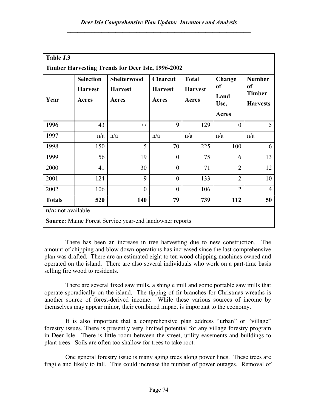| Table J.3<br><b>Timber Harvesting Trends for Deer Isle, 1996-2002</b>                   |                                             |                                               |                                            |                                         |                                                         |                                                         |  |
|-----------------------------------------------------------------------------------------|---------------------------------------------|-----------------------------------------------|--------------------------------------------|-----------------------------------------|---------------------------------------------------------|---------------------------------------------------------|--|
| Year                                                                                    | <b>Selection</b><br><b>Harvest</b><br>Acres | <b>Shelterwood</b><br><b>Harvest</b><br>Acres | <b>Clearcut</b><br><b>Harvest</b><br>Acres | <b>Total</b><br><b>Harvest</b><br>Acres | Change<br><sub>of</sub><br>Land<br>Use,<br><b>Acres</b> | <b>Number</b><br>of<br><b>Timber</b><br><b>Harvests</b> |  |
| 1996                                                                                    | 43                                          | 77                                            | 9                                          | 129                                     | $\theta$                                                | 5                                                       |  |
| 1997                                                                                    | n/a                                         | n/a                                           | n/a                                        | n/a                                     | n/a                                                     | n/a                                                     |  |
| 1998                                                                                    | 150                                         | 5                                             | 70                                         | 225                                     | 100                                                     | 6                                                       |  |
| 1999                                                                                    | 56                                          | 19                                            | $\theta$                                   | 75                                      | 6                                                       | 13                                                      |  |
| 2000                                                                                    | 41                                          | 30                                            | $\theta$                                   | 71                                      | $\overline{2}$                                          | 12                                                      |  |
| 2001                                                                                    | 124                                         | 9                                             | $\overline{0}$                             | 133                                     | $\overline{2}$                                          | 10                                                      |  |
| 2002                                                                                    | 106                                         | $\theta$                                      | $\theta$                                   | 106                                     | $\overline{2}$                                          | 4                                                       |  |
| <b>Totals</b>                                                                           | 520                                         | 140                                           | 79                                         | 739                                     | 112                                                     | 50                                                      |  |
| $n/a$ : not available<br><b>Source:</b> Maine Forest Service year-end landowner reports |                                             |                                               |                                            |                                         |                                                         |                                                         |  |

There has been an increase in tree harvesting due to new construction. The amount of chipping and blow down operations has increased since the last comprehensive plan was drafted. There are an estimated eight to ten wood chipping machines owned and operated on the island. There are also several individuals who work on a part-time basis selling fire wood to residents.

There are several fixed saw mills, a shingle mill and some portable saw mills that operate sporadically on the island. The tipping of fir branches for Christmas wreaths is another source of forest-derived income. While these various sources of income by themselves may appear minor, their combined impact is important to the economy.

It is also important that a comprehensive plan address "urban" or "village" forestry issues. There is presently very limited potential for any village forestry program in Deer Isle. There is little room between the street, utility easements and buildings to plant trees. Soils are often too shallow for trees to take root.

One general forestry issue is many aging trees along power lines. These trees are fragile and likely to fall. This could increase the number of power outages. Removal of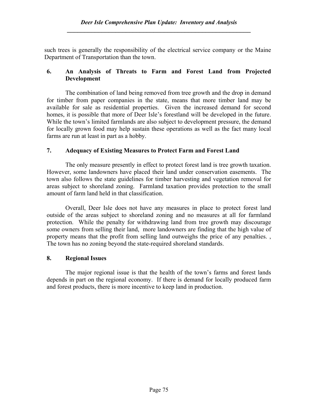such trees is generally the responsibility of the electrical service company or the Maine Department of Transportation than the town.

## 6. An Analysis of Threats to Farm and Forest Land from Projected Development

 The combination of land being removed from tree growth and the drop in demand for timber from paper companies in the state, means that more timber land may be available for sale as residential properties. Given the increased demand for second homes, it is possible that more of Deer Isle's forestland will be developed in the future. While the town's limited farmlands are also subject to development pressure, the demand for locally grown food may help sustain these operations as well as the fact many local farms are run at least in part as a hobby.

## 7. Adequacy of Existing Measures to Protect Farm and Forest Land

 The only measure presently in effect to protect forest land is tree growth taxation. However, some landowners have placed their land under conservation easements. The town also follows the state guidelines for timber harvesting and vegetation removal for areas subject to shoreland zoning. Farmland taxation provides protection to the small amount of farm land held in that classification.

 Overall, Deer Isle does not have any measures in place to protect forest land outside of the areas subject to shoreland zoning and no measures at all for farmland protection. While the penalty for withdrawing land from tree growth may discourage some owners from selling their land, more landowners are finding that the high value of property means that the profit from selling land outweighs the price of any penalties. , The town has no zoning beyond the state-required shoreland standards.

## 8. Regional Issues

 The major regional issue is that the health of the town's farms and forest lands depends in part on the regional economy. If there is demand for locally produced farm and forest products, there is more incentive to keep land in production.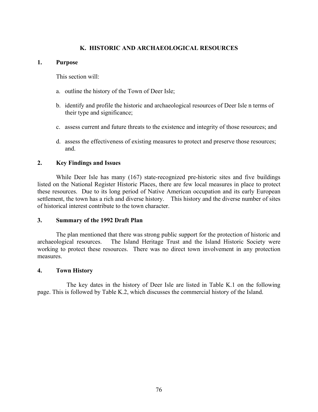### K. HISTORIC AND ARCHAEOLOGICAL RESOURCES

#### 1. Purpose

This section will:

- a. outline the history of the Town of Deer Isle;
- b. identify and profile the historic and archaeological resources of Deer Isle n terms of their type and significance;
- c. assess current and future threats to the existence and integrity of those resources; and
- d. assess the effectiveness of existing measures to protect and preserve those resources; and.

### 2. Key Findings and Issues

While Deer Isle has many (167) state-recognized pre-historic sites and five buildings listed on the National Register Historic Places, there are few local measures in place to protect these resources. Due to its long period of Native American occupation and its early European settlement, the town has a rich and diverse history. This history and the diverse number of sites of historical interest contribute to the town character.

### 3. Summary of the 1992 Draft Plan

The plan mentioned that there was strong public support for the protection of historic and archaeological resources. The Island Heritage Trust and the Island Historic Society were working to protect these resources. There was no direct town involvement in any protection measures.

### 4. Town History

 The key dates in the history of Deer Isle are listed in Table K.1 on the following page. This is followed by Table K.2, which discusses the commercial history of the Island.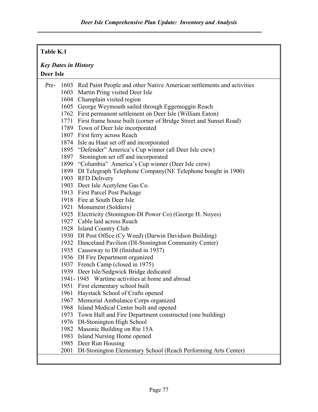# Table K.1 Key Dates in History Deer Isle Pre- 1603 Red Paint People and other Native American settlements and activities 1603 Martin Pring visited Deer Isle 1604 Champlain visited region 1605 George Weymouth sailed through Eggemoggin Reach 1762 First permanent settlement on Deer Isle (William Eaton) 1771 First frame house built (corner of Bridge Street and Sunset Road) 1789 Town of Deer Isle incorporated 1807 First ferry across Reach 1874 Isle au Haut set off and incorporated 1895 "Defender" America's Cup winner (all Deer Isle crew) 1897 Stonington set off and incorporated 1899 "Columbia" America's Cup winner (Deer Isle crew) 1899 DI Telegraph Telephone Company(NE Telephone bought in 1900) 1903 RFD Delivery 1903 Deer Isle Acetylene Gas Co. 1913 First Parcel Post Package 1918 Fire at South Deer Isle 1921 Monument (Soldiers) 1925 Electricity (Stonington-DI Power Co) (George H. Noyes) 1927 Cable laid across Reach 1928 Island Country Club 1930 DI Post Office (Cy Weed) (Darwin Davidson Building) 1932 Danceland Pavilion (DI-Stonington Community Center) 1935 Causeway to DI (finished in 1937) 1936 DI Fire Department organized 1937 French Camp (closed in 1975) 1939 Deer Isle/Sedgwick Bridge dedicated 1941- 1945 Wartime activities at home and abroad 1951 First elementary school built 1961 Haystack School of Crafts opened 1967 Memorial Ambulance Corps organized 1968 Island Medical Center built and opened 1973 Town Hall and Fire Department constructed (one building) 1976 DI-Stonington High School 1982 Masonic Building on Rte 15A 1983 Island Nursing Home opened 1985 Deer Run Housing 2001 DI-Stonington Elementary School (Reach Performing Arts Center)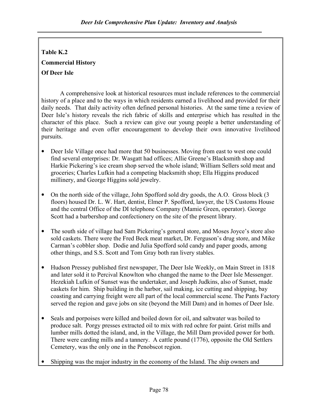# Table K.2

# Commercial History

# Of Deer Isle

A comprehensive look at historical resources must include references to the commercial history of a place and to the ways in which residents earned a livelihood and provided for their daily needs. That daily activity often defined personal histories. At the same time a review of Deer Isle's history reveals the rich fabric of skills and enterprise which has resulted in the character of this place. Such a review can give our young people a better understanding of their heritage and even offer encouragement to develop their own innovative livelihood pursuits.

- Deer Isle Village once had more that 50 businesses. Moving from east to west one could find several enterprises: Dr. Wasgatt had offices; Allie Greene's Blacksmith shop and Harkie Pickering's ice cream shop served the whole island; William Sellers sold meat and groceries; Charles Lufkin had a competing blacksmith shop; Ella Higgins produced millinery, and George Higgins sold jewelry.
- On the north side of the village, John Spofford sold dry goods, the A.O. Gross block (3) floors) housed Dr. L. W. Hart, dentist, Elmer P. Spofford, lawyer, the US Customs House and the central Office of the DI telephone Company (Mamie Green, operator). George Scott had a barbershop and confectionery on the site of the present library.
- The south side of village had Sam Pickering's general store, and Moses Joyce's store also sold caskets. There were the Fred Beck meat market, Dr. Ferguson's drug store, and Mike Carman's cobbler shop. Dodie and Julia Spofford sold candy and paper goods, among other things, and S.S. Scott and Tom Gray both ran livery stables.
- Hudson Pressey published first newspaper, The Deer Isle Weekly, on Main Street in 1818 and later sold it to Percival Knowlton who changed the name to the Deer Isle Messenger. Hezekiah Lufkin of Sunset was the undertaker, and Joseph Judkins, also of Sunset, made caskets for him. Ship building in the harbor, sail making, ice cutting and shipping, bay coasting and carrying freight were all part of the local commercial scene. The Pants Factory served the region and gave jobs on site (beyond the Mill Dam) and in homes of Deer Isle.
- Seals and porpoises were killed and boiled down for oil, and saltwater was boiled to produce salt. Porgy presses extracted oil to mix with red ochre for paint. Grist mills and lumber mills dotted the island, and, in the Village, the Mill Dam provided power for both. There were carding mills and a tannery. A cattle pound (1776), opposite the Old Settlers Cemetery, was the only one in the Penobscot region.
- Shipping was the major industry in the economy of the Island. The ship owners and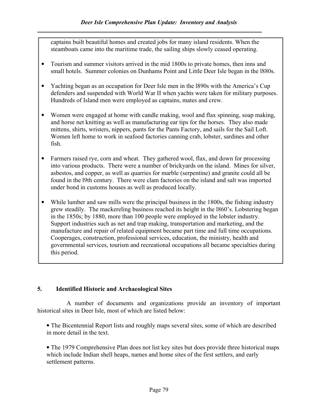captains built beautiful homes and created jobs for many island residents. When the steamboats came into the maritime trade, the sailing ships slowly ceased operating.

- Tourism and summer visitors arrived in the mid 1800s to private homes, then inns and small hotels. Summer colonies on Dunhams Point and Little Deer Isle began in the l880s.
- Yachting began as an occupation for Deer Isle men in the 1890s with the America's Cup defenders and suspended with World War II when yachts were taken for military purposes. Hundreds of Island men were employed as captains, mates and crew.
- Women were engaged at home with candle making, wool and flax spinning, soap making, and horse net knitting as well as manufacturing ear tips for the horses. They also made mittens, shirts, wristers, nippers, pants for the Pants Factory, and sails for the Sail Loft. Women left home to work in seafood factories canning crab, lobster, sardines and other fish.
- Farmers raised rye, corn and wheat. They gathered wool, flax, and down for processing into various products. There were a number of brickyards on the island. Mines for silver, asbestos, and copper, as well as quarries for marble (serpentine) and granite could all be found in the l9th century. There were clam factories on the island and salt was imported under bond in customs houses as well as produced locally.
- While lumber and saw mills were the principal business in the 1800s, the fishing industry grew steadily. The mackereling business reached its height in the l860's. Lobstering began in the 1850s; by 1880, more than 100 people were employed in the lobster industry. Support industries such as net and trap making, transportation and marketing, and the manufacture and repair of related equipment became part time and full time occupations. Cooperages, construction, professional services, education, the ministry, health and governmental services, tourism and recreational occupations all became specialties during this period.

# 5. Identified Historic and Archaeological Sites

 A number of documents and organizations provide an inventory of important historical sites in Deer Isle, most of which are listed below:

• The Bicentennial Report lists and roughly maps several sites, some of which are described in more detail in the text.

• The 1979 Comprehensive Plan does not list key sites but does provide three historical maps which include Indian shell heaps, names and home sites of the first settlers, and early settlement patterns.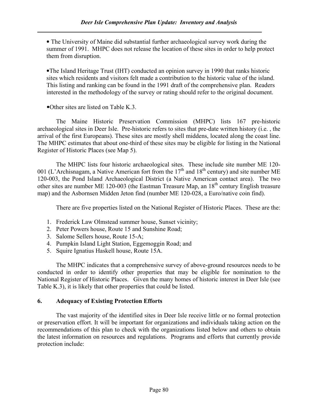• The University of Maine did substantial further archaeological survey work during the summer of 1991. MHPC does not release the location of these sites in order to help protect them from disruption.

•The Island Heritage Trust (IHT) conducted an opinion survey in 1990 that ranks historic sites which residents and visitors felt made a contribution to the historic value of the island. This listing and ranking can be found in the 1991 draft of the comprehensive plan. Readers interested in the methodology of the survey or rating should refer to the original document.

•Other sites are listed on Table K.3.

The Maine Historic Preservation Commission (MHPC) lists 167 pre-historic archaeological sites in Deer Isle. Pre-historic refers to sites that pre-date written history (i.e. , the arrival of the first Europeans). These sites are mostly shell middens, located along the coast line. The MHPC estimates that about one-third of these sites may be eligible for listing in the National Register of Historic Places (see Map 5).

The MHPC lists four historic archaeological sites. These include site number ME 120- 001 (L'Archisnagam, a Native American fort from the  $17<sup>th</sup>$  and  $18<sup>th</sup>$  century) and site number ME 120-003, the Pond Island Archaeological District (a Native American contact area). The two other sites are number ME 120-003 (the Eastman Treasure Map, an  $18<sup>th</sup>$  century English treasure map) and the Asbornsen Midden Jeton find (number ME 120-028, a Euro/native coin find).

There are five properties listed on the National Register of Historic Places. These are the:

- 1. Frederick Law Olmstead summer house, Sunset vicinity;
- 2. Peter Powers house, Route 15 and Sunshine Road;
- 3. Salome Sellers house, Route 15-A;
- 4. Pumpkin Island Light Station, Eggemoggin Road; and
- 5. Squire Ignatius Haskell house, Route 15A.

The MHPC indicates that a comprehensive survey of above-ground resources needs to be conducted in order to identify other properties that may be eligible for nomination to the National Register of Historic Places. Given the many homes of historic interest in Deer Isle (see Table K.3), it is likely that other properties that could be listed.

## 6. Adequacy of Existing Protection Efforts

The vast majority of the identified sites in Deer Isle receive little or no formal protection or preservation effort. It will be important for organizations and individuals taking action on the recommendations of this plan to check with the organizations listed below and others to obtain the latest information on resources and regulations. Programs and efforts that currently provide protection include: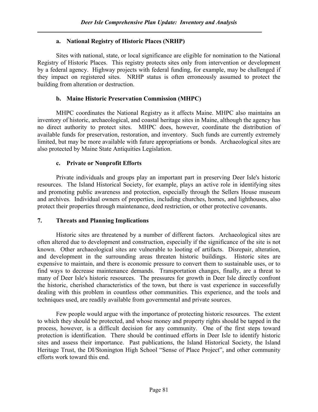## a. National Registry of Historic Places (NRHP)

Sites with national, state, or local significance are eligible for nomination to the National Registry of Historic Places. This registry protects sites only from intervention or development by a federal agency. Highway projects with federal funding, for example, may be challenged if they impact on registered sites. NRHP status is often erroneously assumed to protect the building from alteration or destruction.

# b. Maine Historic Preservation Commission (MHPC)

MHPC coordinates the National Registry as it affects Maine. MHPC also maintains an inventory of historic, archaeological, and coastal heritage sites in Maine, although the agency has no direct authority to protect sites. MHPC does, however, coordinate the distribution of available funds for preservation, restoration, and inventory. Such funds are currently extremely limited, but may be more available with future appropriations or bonds. Archaeological sites are also protected by Maine State Antiquities Legislation.

# c. Private or Nonprofit Efforts

Private individuals and groups play an important part in preserving Deer Isle's historic resources. The Island Historical Society, for example, plays an active role in identifying sites and promoting public awareness and protection, especially through the Sellers House museum and archives. Individual owners of properties, including churches, homes, and lighthouses, also protect their properties through maintenance, deed restriction, or other protective covenants.

## 7. Threats and Planning Implications

Historic sites are threatened by a number of different factors. Archaeological sites are often altered due to development and construction, especially if the significance of the site is not known. Other archaeological sites are vulnerable to looting of artifacts. Disrepair, alteration, and development in the surrounding areas threaten historic buildings. Historic sites are expensive to maintain, and there is economic pressure to convert them to sustainable uses, or to find ways to decrease maintenance demands. Transportation changes, finally, are a threat to many of Deer Isle's historic resources. The pressures for growth in Deer Isle directly confront the historic, cherished characteristics of the town, but there is vast experience in successfully dealing with this problem in countless other communities. This experience, and the tools and techniques used, are readily available from governmental and private sources.

Few people would argue with the importance of protecting historic resources. The extent to which they should be protected, and whose money and property rights should be tapped in the process, however, is a difficult decision for any community. One of the first steps toward protection is identification. There should be continued efforts in Deer Isle to identify historic sites and assess their importance. Past publications, the Island Historical Society, the Island Heritage Trust, the DI/Stonington High School "Sense of Place Project", and other community efforts work toward this end.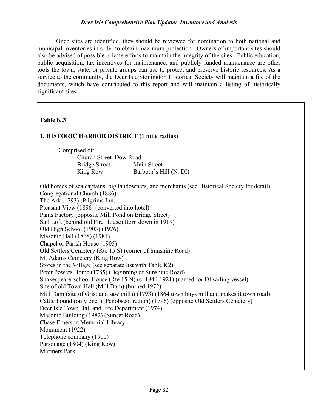Once sites are identified, they should be reviewed for nomination to both national and municipal inventories in order to obtain maximum protection. Owners of important sites should also be advised of possible private efforts to maintain the integrity of the sites. Public education, public acquisition, tax incentives for maintenance, and publicly funded maintenance are other tools the town, state, or private groups can use to protect and preserve historic resources. As a service to the community, the Deer Isle/Stonington Historical Society will maintain a file of the documents, which have contributed to this report and will maintain a listing of historically significant sites.

# Table K.3

# 1. HISTORIC HARBOR DISTRICT (1 mile radius)

 Comprised of: Church Street Dow Road Bridge Street Main Street King Row Barbour's Hill (N. DI)

Old homes of sea captains, big landowners, and merchants (see Historical Society for detail) Congregational Church (1886) The Ark (1793) (Pilgrims Inn) Pleasant View (1896) (converted into hotel) Pants Factory (opposite Mill Pond on Bridge Street) Sail Loft (behind old Fire House) (torn down in 1919) Old High School (1903) (1976) Masonic Hall (1868) (1981) Chapel or Parish House (1905) Old Settlers Cemetery (Rte 15 S) (corner of Sunshine Road) Mt Adams Cemetery (King Row) Stores in the Village (see separate list with Table K2) Peter Powers Home (1785) (Beginning of Sunshine Road) Shakespeare School House (Rte 15 N) (c. 1840-1921) (named for DI sailing vessel) Site of old Town Hall (Mill Dam) (burned 1972) Mill Dam (site of Grist and saw mills) (1793) (1864 town buys mill and makes it town road) Cattle Pound (only one in Penobscot region) (1796) (opposite Old Settlers Cemetery) Deer Isle Town Hall and Fire Department (1974) Masonic Building (1982) (Sunset Road) Chase Emerson Memorial Library Monument (1922) Telephone company (1900) Parsonage (1804) (King Row) Mariners Park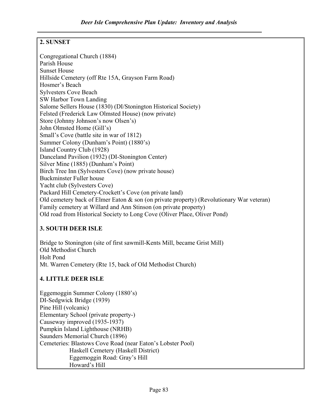# 2. SUNSET

Congregational Church (1884) Parish House Sunset House Hillside Cemetery (off Rte 15A, Grayson Farm Road) Hosmer's Beach Sylvesters Cove Beach SW Harbor Town Landing Salome Sellers House (1830) (DI/Stonington Historical Society) Felsted (Frederick Law Olmsted House) (now private) Store (Johnny Johnson's now Olsen's) John Olmsted Home (Gill's) Small's Cove (battle site in war of 1812) Summer Colony (Dunham's Point) (1880's) Island Country Club (1928) Danceland Pavilion (1932) (DI-Stonington Center) Silver Mine (1885) (Dunham's Point) Birch Tree Inn (Sylvesters Cove) (now private house) Buckminster Fuller house Yacht club (Sylvesters Cove) Packard Hill Cemetery-Crockett's Cove (on private land) Old cemetery back of Elmer Eaton & son (on private property) (Revolutionary War veteran) Family cemetery at Willard and Ann Stinson (on private property) Old road from Historical Society to Long Cove (Oliver Place, Oliver Pond)

# 3. SOUTH DEER ISLE

Bridge to Stonington (site of first sawmill-Kents Mill, became Grist Mill) Old Methodist Church Holt Pond Mt. Warren Cemetery (Rte 15, back of Old Methodist Church)

# 4. LITTLE DEER ISLE

Eggemoggin Summer Colony (1880's) DI-Sedgwick Bridge (1939) Pine Hill (volcanic) Elementary School (private property-) Causeway improved (1935-1937) Pumpkin Island Lighthouse (NRHB) Saunders Memorial Church (1896) Cemeteries: Blastows Cove Road (near Eaton's Lobster Pool) Haskell Cemetery (Haskell District) Eggemoggin Road: Gray's Hill Howard's Hill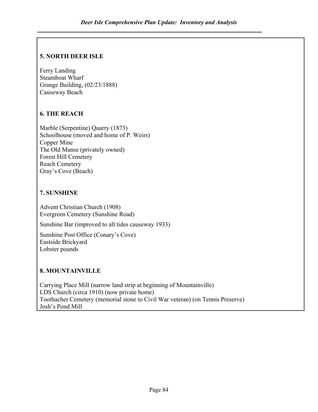# 5. NORTH DEER ISLE

Ferry Landing Steamboat Wharf Grange Building, (02/23/1888) Causeway Beach

# 6. THE REACH

Marble (Serpentine) Quarry (1873) Schoolhouse (moved and home of P. Weirs) Copper Mine The Old Manse (privately owned) Forest Hill Cemetery Reach Cemetery Gray's Cove (Beach)

# 7. SUNSHINE

Advent Christian Church (1908) Evergreen Cemetery (Sunshine Road)

Sunshine Bar (improved to all tides causeway 1933)

Sunshine Post Office (Conary's Cove) Eastside Brickyard Lobster pounds

# 8. MOUNTAINVILLE

Carrying Place Mill (narrow land strip at beginning of Mountainville) LDS Church (circa 1910) (now private home) Toothacher Cemetery (memorial stone to Civil War veteran) (on Tennis Preserve) Josh's Pond Mill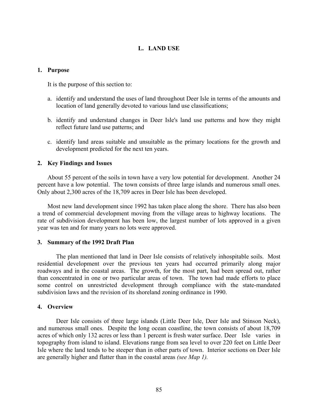### L. LAND USE

#### 1. Purpose

It is the purpose of this section to:

- a. identify and understand the uses of land throughout Deer Isle in terms of the amounts and location of land generally devoted to various land use classifications;
- b. identify and understand changes in Deer Isle's land use patterns and how they might reflect future land use patterns; and
- c. identify land areas suitable and unsuitable as the primary locations for the growth and development predicted for the next ten years.

#### 2. Key Findings and Issues

 About 55 percent of the soils in town have a very low potential for development. Another 24 percent have a low potential. The town consists of three large islands and numerous small ones. Only about 2,300 acres of the 18,709 acres in Deer Isle has been developed.

 Most new land development since 1992 has taken place along the shore. There has also been a trend of commercial development moving from the village areas to highway locations. The rate of subdivision development has been low, the largest number of lots approved in a given year was ten and for many years no lots were approved.

#### 3. Summary of the 1992 Draft Plan

 The plan mentioned that land in Deer Isle consists of relatively inhospitable soils. Most residential development over the previous ten years had occurred primarily along major roadways and in the coastal areas. The growth, for the most part, had been spread out, rather than concentrated in one or two particular areas of town. The town had made efforts to place some control on unrestricted development through compliance with the state-mandated subdivision laws and the revision of its shoreland zoning ordinance in 1990.

#### 4. Overview

 Deer Isle consists of three large islands (Little Deer Isle, Deer Isle and Stinson Neck), and numerous small ones. Despite the long ocean coastline, the town consists of about 18,709 acres of which only 132 acres or less than 1 percent is fresh water surface. Deer Isle varies in topography from island to island. Elevations range from sea level to over 220 feet on Little Deer Isle where the land tends to be steeper than in other parts of town. Interior sections on Deer Isle are generally higher and flatter than in the coastal areas (see Map 1).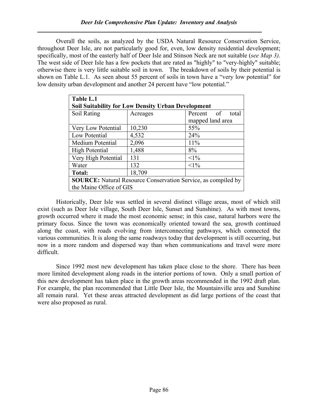Overall the soils, as analyzed by the USDA Natural Resource Conservation Service, throughout Deer Isle, are not particularly good for, even, low density residential development; specifically, most of the easterly half of Deer Isle and Stinson Neck are not suitable (see Map 3). The west side of Deer Isle has a few pockets that are rated as "highly" to "very-highly" suitable; otherwise there is very little suitable soil in town. The breakdown of soils by their potential is shown on Table L.1. As seen about 55 percent of soils in town have a "very low potential" for low density urban development and another 24 percent have "low potential."

| Table L.1                                                 |                                                                      |                     |  |  |  |  |
|-----------------------------------------------------------|----------------------------------------------------------------------|---------------------|--|--|--|--|
| <b>Soil Suitability for Low Density Urban Development</b> |                                                                      |                     |  |  |  |  |
| Soil Rating                                               | Acreages                                                             | Percent of<br>total |  |  |  |  |
|                                                           | mapped land area                                                     |                     |  |  |  |  |
| Very Low Potential                                        | 10,230<br>55%                                                        |                     |  |  |  |  |
| Low Potential                                             | 4,532                                                                | 24%                 |  |  |  |  |
| Medium Potential                                          | 2,096                                                                | 11%                 |  |  |  |  |
| <b>High Potential</b>                                     | 1,488                                                                | 8%                  |  |  |  |  |
| Very High Potential                                       | 131                                                                  | $<1\%$              |  |  |  |  |
| Water                                                     | 132                                                                  | $<1\%$              |  |  |  |  |
| Total:                                                    | 18,709                                                               |                     |  |  |  |  |
|                                                           | <b>SOURCE:</b> Natural Resource Conservation Service, as compiled by |                     |  |  |  |  |
| the Maine Office of GIS                                   |                                                                      |                     |  |  |  |  |

 Historically, Deer Isle was settled in several distinct village areas, most of which still exist (such as Deer Isle village, South Deer Isle, Sunset and Sunshine). As with most towns, growth occurred where it made the most economic sense; in this case, natural harbors were the primary focus. Since the town was economically oriented toward the sea, growth continued along the coast, with roads evolving from interconnecting pathways, which connected the various communities. It is along the same roadways today that development is still occurring, but now in a more random and dispersed way than when communications and travel were more difficult.

 Since 1992 most new development has taken place close to the shore. There has been more limited development along roads in the interior portions of town. Only a small portion of this new development has taken place in the growth areas recommended in the 1992 draft plan. For example, the plan recommended that Little Deer Isle, the Mountainville area and Sunshine all remain rural. Yet these areas attracted development as did large portions of the coast that were also proposed as rural.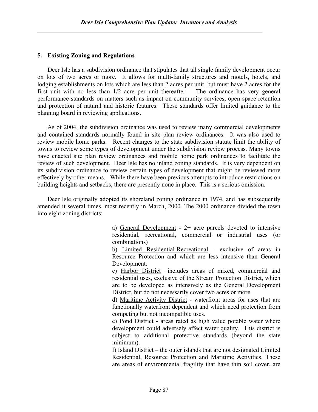### 5. Existing Zoning and Regulations

 Deer Isle has a subdivision ordinance that stipulates that all single family development occur on lots of two acres or more. It allows for multi-family structures and motels, hotels, and lodging establishments on lots which are less than 2 acres per unit, but must have 2 acres for the first unit with no less than 1/2 acre per unit thereafter. The ordinance has very general performance standards on matters such as impact on community services, open space retention and protection of natural and historic features. These standards offer limited guidance to the planning board in reviewing applications.

 As of 2004, the subdivision ordinance was used to review many commercial developments and contained standards normally found in site plan review ordinances. It was also used to review mobile home parks. Recent changes to the state subdivision statute limit the ability of towns to review some types of development under the subdivision review process. Many towns have enacted site plan review ordinances and mobile home park ordinances to facilitate the review of such development. Deer Isle has no inland zoning standards. It is very dependent on its subdivision ordinance to review certain types of development that might be reviewed more effectively by other means. While there have been previous attempts to introduce restrictions on building heights and setbacks, there are presently none in place. This is a serious omission.

 Deer Isle originally adopted its shoreland zoning ordinance in 1974, and has subsequently amended it several times, most recently in March, 2000. The 2000 ordinance divided the town into eight zoning districts:

> a) General Development - 2+ acre parcels devoted to intensive residential, recreational, commercial or industrial uses (or combinations)

> b) Limited Residential-Recreational - exclusive of areas in Resource Protection and which are less intensive than General Development.

> c) Harbor District –includes areas of mixed, commercial and residential uses, exclusive of the Stream Protection District, which are to be developed as intensively as the General Development District, but do not necessarily cover two acres or more.

> d) Maritime Activity District - waterfront areas for uses that are functionally waterfront dependent and which need protection from competing but not incompatible uses.

> e) Pond District - areas rated as high value potable water where development could adversely affect water quality. This district is subject to additional protective standards (beyond the state minimum).

> f) Island District – the outer islands that are not designated Limited Residential, Resource Protection and Maritime Activities. These are areas of environmental fragility that have thin soil cover, are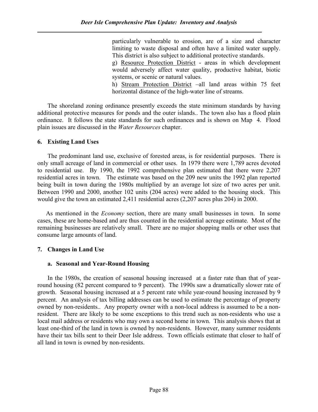particularly vulnerable to erosion, are of a size and character limiting to waste disposal and often have a limited water supply. This district is also subject to additional protective standards. g) Resource Protection District - areas in which development would adversely affect water quality, productive habitat, biotic systems, or scenic or natural values. h) Stream Protection District –all land areas within 75 feet

horizontal distance of the high-water line of streams.

 The shoreland zoning ordinance presently exceeds the state minimum standards by having additional protective measures for ponds and the outer islands.. The town also has a flood plain ordinance. It follows the state standards for such ordinances and is shown on Map 4. Flood plain issues are discussed in the Water Resources chapter.

### 6. Existing Land Uses

 The predominant land use, exclusive of forested areas, is for residential purposes. There is only small acreage of land in commercial or other uses. In 1979 there were 1,789 acres devoted to residential use. By 1990, the 1992 comprehensive plan estimated that there were 2,207 residential acres in town. The estimate was based on the 209 new units the 1992 plan reported being built in town during the 1980s multiplied by an average lot size of two acres per unit. Between 1990 and 2000, another 102 units (204 acres) were added to the housing stock. This would give the town an estimated 2,411 residential acres (2,207 acres plus 204) in 2000.

 As mentioned in the Economy section, there are many small businesses in town. In some cases, these are home-based and are thus counted in the residential acreage estimate. Most of the remaining businesses are relatively small. There are no major shopping malls or other uses that consume large amounts of land.

## 7. Changes in Land Use

### a. Seasonal and Year-Round Housing

In the 1980s, the creation of seasonal housing increased at a faster rate than that of yearround housing (82 percent compared to 9 percent). The 1990s saw a dramatically slower rate of growth. Seasonal housing increased at a 5 percent rate while year-round housing increased by 9 percent. An analysis of tax billing addresses can be used to estimate the percentage of property owned by non-residents.. Any property owner with a non-local address is assumed to be a nonresident. There are likely to be some exceptions to this trend such as non-residents who use a local mail address or residents who may own a second home in town. This analysis shows that at least one-third of the land in town is owned by non-residents. However, many summer residents have their tax bills sent to their Deer Isle address. Town officials estimate that closer to half of all land in town is owned by non-residents.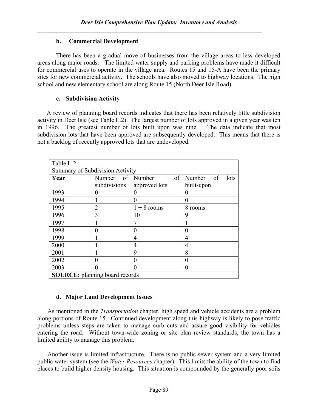## b. Commercial Development

 There has been a gradual move of businesses from the village areas to less developed areas along major roads. The limited water supply and parking problems have made it difficult for commercial uses to operate in the village area. Routes 15 and 15-A have been the primary sites for new commercial activity. The schools have also moved to highway locations. The high school and new elementary school are along Route 15 (North Deer Isle Road).

# c. Subdivision Activity

 A review of planning board records indicates that there has been relatively little subdivision activity in Deer Isle (see Table L.2). The largest number of lots approved in a given year was ten in 1996. The greatest number of lots built upon was nine. The data indicate that most subdivision lots that have been approved are subsequently developed. This means that there is not a backlog of recently approved lots that are undeveloped.

| Table L.2                             |              |                   |                   |  |  |  |  |
|---------------------------------------|--------------|-------------------|-------------------|--|--|--|--|
| Summary of Subdivision Activity       |              |                   |                   |  |  |  |  |
| Year                                  | Number       | of<br>of   Number | Number of<br>lots |  |  |  |  |
|                                       | subdivisions | approved lots     | built-upon        |  |  |  |  |
| 1993                                  | $\theta$     |                   | 0                 |  |  |  |  |
| 1994                                  |              | 0                 | 0                 |  |  |  |  |
| 1995                                  | 2            | $1 + 8$ rooms     | 8 rooms           |  |  |  |  |
| 1996                                  | 3            | 10                | 9                 |  |  |  |  |
| 1997                                  |              |                   |                   |  |  |  |  |
| 1998                                  | 0            | 0                 | 0                 |  |  |  |  |
| 1999                                  |              | 4                 | 4                 |  |  |  |  |
| 2000                                  |              | $\overline{4}$    | 4                 |  |  |  |  |
| 2001                                  |              | 9                 | 8                 |  |  |  |  |
| 2002                                  | 0            | 0                 | 0                 |  |  |  |  |
| 2003                                  | 0            | 0                 | $\theta$          |  |  |  |  |
| <b>SOURCE:</b> planning board records |              |                   |                   |  |  |  |  |

# d. Major Land Development Issues

As mentioned in the *Transportation* chapter, high speed and vehicle accidents are a problem along portions of Route 15. Continued development along this highway is likely to pose traffic problems unless steps are taken to manage curb cuts and assure good visibility for vehicles entering the road. Without town-wide zoning or site plan review standards, the town has a limited ability to manage this problem.

 Another issue is limited infrastructure. There is no public sewer system and a very limited public water system (see the Water Resources chapter). This limits the ability of the town to find places to build higher density housing. This situation is compounded by the generally poor soils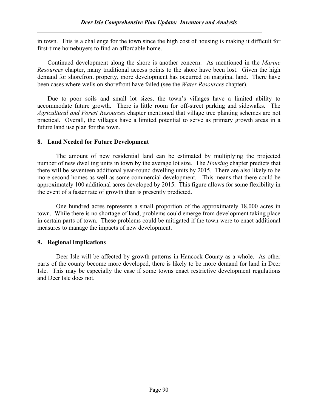in town. This is a challenge for the town since the high cost of housing is making it difficult for first-time homebuyers to find an affordable home.

 Continued development along the shore is another concern. As mentioned in the Marine Resources chapter, many traditional access points to the shore have been lost. Given the high demand for shorefront property, more development has occurred on marginal land. There have been cases where wells on shorefront have failed (see the *Water Resources* chapter).

 Due to poor soils and small lot sizes, the town's villages have a limited ability to accommodate future growth. There is little room for off-street parking and sidewalks. The Agricultural and Forest Resources chapter mentioned that village tree planting schemes are not practical. Overall, the villages have a limited potential to serve as primary growth areas in a future land use plan for the town.

## 8. Land Needed for Future Development

 The amount of new residential land can be estimated by multiplying the projected number of new dwelling units in town by the average lot size. The *Housing* chapter predicts that there will be seventeen additional year-round dwelling units by 2015. There are also likely to be more second homes as well as some commercial development. This means that there could be approximately 100 additional acres developed by 2015. This figure allows for some flexibility in the event of a faster rate of growth than is presently predicted.

 One hundred acres represents a small proportion of the approximately 18,000 acres in town. While there is no shortage of land, problems could emerge from development taking place in certain parts of town. These problems could be mitigated if the town were to enact additional measures to manage the impacts of new development.

## 9. Regional Implications

 Deer Isle will be affected by growth patterns in Hancock County as a whole. As other parts of the county become more developed, there is likely to be more demand for land in Deer Isle. This may be especially the case if some towns enact restrictive development regulations and Deer Isle does not.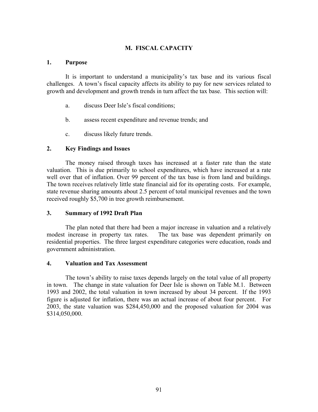### M. FISCAL CAPACITY

#### 1. Purpose

It is important to understand a municipality's tax base and its various fiscal challenges. A town's fiscal capacity affects its ability to pay for new services related to growth and development and growth trends in turn affect the tax base. This section will:

- a. discuss Deer Isle's fiscal conditions;
- b. assess recent expenditure and revenue trends; and
- c. discuss likely future trends.

### 2. Key Findings and Issues

The money raised through taxes has increased at a faster rate than the state valuation. This is due primarily to school expenditures, which have increased at a rate well over that of inflation. Over 99 percent of the tax base is from land and buildings. The town receives relatively little state financial aid for its operating costs. For example, state revenue sharing amounts about 2.5 percent of total municipal revenues and the town received roughly \$5,700 in tree growth reimbursement.

### 3. Summary of 1992 Draft Plan

The plan noted that there had been a major increase in valuation and a relatively modest increase in property tax rates. The tax base was dependent primarily on residential properties. The three largest expenditure categories were education, roads and government administration.

### 4. Valuation and Tax Assessment

The town's ability to raise taxes depends largely on the total value of all property in town. The change in state valuation for Deer Isle is shown on Table M.1. Between 1993 and 2002, the total valuation in town increased by about 34 percent. If the 1993 figure is adjusted for inflation, there was an actual increase of about four percent. For 2003, the state valuation was \$284,450,000 and the proposed valuation for 2004 was \$314,050,000.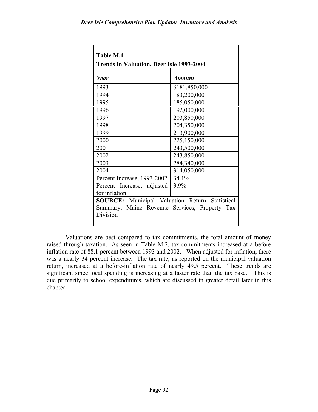| <b>Table M.1</b>                                |                      |  |  |  |  |
|-------------------------------------------------|----------------------|--|--|--|--|
| <b>Trends in Valuation, Deer Isle 1993-2004</b> |                      |  |  |  |  |
| Year                                            | <i><b>Amount</b></i> |  |  |  |  |
| 1993                                            | \$181,850,000        |  |  |  |  |
| 1994                                            | 183,200,000          |  |  |  |  |
| 1995                                            | 185,050,000          |  |  |  |  |
| 1996                                            | 192,000,000          |  |  |  |  |
| 1997                                            | 203,850,000          |  |  |  |  |
| 1998                                            | 204,350,000          |  |  |  |  |
| 1999                                            | 213,900,000          |  |  |  |  |
| 2000                                            | 225,150,000          |  |  |  |  |
| 2001                                            | 243,500,000          |  |  |  |  |
| 2002                                            | 243,850,000          |  |  |  |  |
| 2003                                            | 284,340,000          |  |  |  |  |
| 2004                                            | 314,050,000          |  |  |  |  |
| Percent Increase, 1993-2002                     | 34.1%                |  |  |  |  |
| Percent Increase, adjusted                      | 3.9%                 |  |  |  |  |
| for inflation                                   |                      |  |  |  |  |
| SOURCE: Municipal Valuation Return Statistical  |                      |  |  |  |  |
| Summary, Maine Revenue Services, Property Tax   |                      |  |  |  |  |
| Division                                        |                      |  |  |  |  |
|                                                 |                      |  |  |  |  |

Valuations are best compared to tax commitments, the total amount of money raised through taxation. As seen in Table M.2, tax commitments increased at a before inflation rate of 88.1 percent between 1993 and 2002. When adjusted for inflation, there was a nearly 34 percent increase. The tax rate, as reported on the municipal valuation return, increased at a before-inflation rate of nearly 49.5 percent. These trends are significant since local spending is increasing at a faster rate than the tax base. This is due primarily to school expenditures, which are discussed in greater detail later in this chapter.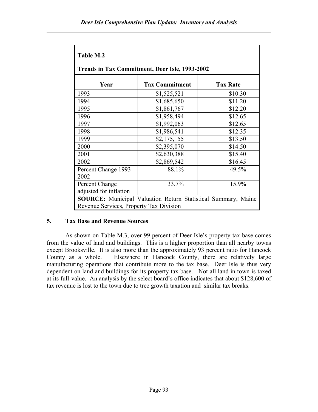| Table M.2                                                            |                       |                 |  |  |  |  |  |
|----------------------------------------------------------------------|-----------------------|-----------------|--|--|--|--|--|
| <b>Trends in Tax Commitment, Deer Isle, 1993-2002</b>                |                       |                 |  |  |  |  |  |
| Year                                                                 | <b>Tax Commitment</b> | <b>Tax Rate</b> |  |  |  |  |  |
| 1993                                                                 | \$1,525,521           | \$10.30         |  |  |  |  |  |
| 1994                                                                 | \$1,685,650           | \$11.20         |  |  |  |  |  |
| 1995                                                                 | \$1,861,767           | \$12.20         |  |  |  |  |  |
| 1996                                                                 | \$1,958,494           | \$12.65         |  |  |  |  |  |
| 1997                                                                 | \$1,992,063           | \$12.65         |  |  |  |  |  |
| 1998                                                                 | \$1,986,541           | \$12.35         |  |  |  |  |  |
| 1999                                                                 | \$2,175,155           | \$13.50         |  |  |  |  |  |
| 2000                                                                 | \$2,395,070           | \$14.50         |  |  |  |  |  |
| 2001                                                                 | \$2,630,388           | \$15.40         |  |  |  |  |  |
| 2002                                                                 | \$2,869,542           | \$16.45         |  |  |  |  |  |
| Percent Change 1993-                                                 | 88.1%                 | 49.5%           |  |  |  |  |  |
| 2002                                                                 |                       |                 |  |  |  |  |  |
| Percent Change                                                       | 33.7%                 | 15.9%           |  |  |  |  |  |
| adjusted for inflation                                               |                       |                 |  |  |  |  |  |
| <b>SOURCE:</b> Municipal Valuation Return Statistical Summary, Maine |                       |                 |  |  |  |  |  |
| Revenue Services, Property Tax Division                              |                       |                 |  |  |  |  |  |

# 5. Tax Base and Revenue Sources

As shown on Table M.3, over 99 percent of Deer Isle's property tax base comes from the value of land and buildings. This is a higher proportion than all nearby towns except Brooksville. It is also more than the approximately 93 percent ratio for Hancock County as a whole. Elsewhere in Hancock County, there are relatively large manufacturing operations that contribute more to the tax base. Deer Isle is thus very dependent on land and buildings for its property tax base. Not all land in town is taxed at its full-value. An analysis by the select board's office indicates that about \$128,600 of tax revenue is lost to the town due to tree growth taxation and similar tax breaks.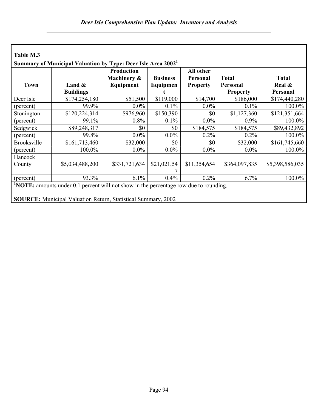|                    | Summary of Municipal Valuation by Type: Deer Isle Area 2002 <sup>1</sup> | <b>Production</b> |                 | All other       |                 |                 |
|--------------------|--------------------------------------------------------------------------|-------------------|-----------------|-----------------|-----------------|-----------------|
|                    |                                                                          | Machinery &       | <b>Business</b> | Personal        | <b>Total</b>    | <b>Total</b>    |
| <b>Town</b>        | Land $\&$                                                                | Equipment         | Equipmen        | <b>Property</b> | Personal        | Real &          |
|                    | <b>Buildings</b>                                                         |                   |                 |                 | <b>Property</b> | Personal        |
| Deer Isle          | \$174,254,180                                                            | \$51,500          | \$119,000       | \$14,700        | \$186,000       | \$174,440,280   |
| (percent)          | 99.9%                                                                    | $0.0\%$           | 0.1%            | $0.0\%$         | $0.1\%$         | 100.0%          |
| Stonington         | \$120,224,314                                                            | \$976,960         | \$150,390       | \$0             | \$1,127,360     | \$121,351,664   |
| (percent)          | 99.1%                                                                    | 0.8%              | 0.1%            | $0.0\%$         | $0.9\%$         | 100.0%          |
| Sedgwick           | \$89,248,317                                                             | \$0               | \$0             | \$184,575       | \$184,575       | \$89,432,892    |
| (percent)          | 99.8%                                                                    | $0.0\%$           | $0.0\%$         | 0.2%            | $0.2\%$         | 100.0%          |
| <b>Brooksville</b> | \$161,713,460                                                            | \$32,000          | \$0             | \$0             | \$32,000        | \$161,745,660   |
| (percent)          | 100.0%                                                                   | $0.0\%$           | $0.0\%$         | $0.0\%$         | $0.0\%$         | 100.0%          |
| Hancock            |                                                                          |                   |                 |                 |                 |                 |
| County             | \$5,034,488,200                                                          | \$331,721,634     | \$21,021,54     | \$11,354,654    | \$364,097,835   | \$5,398,586,035 |
| (percent)          | 93.3%                                                                    | 6.1%              | 0.4%            | 0.2%            | 6.7%            | 100.0%          |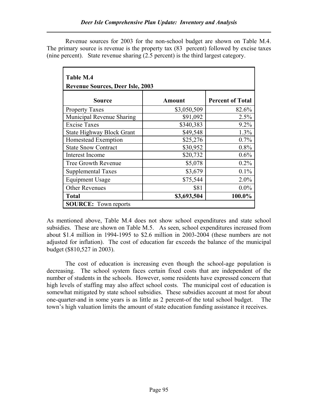Revenue sources for 2003 for the non-school budget are shown on Table M.4. The primary source is revenue is the property tax (83 percent) followed by excise taxes (nine percent). State revenue sharing (2.5 percent) is the third largest category.

| Table M.4                               |             |                         |  |  |  |  |  |
|-----------------------------------------|-------------|-------------------------|--|--|--|--|--|
| <b>Revenue Sources, Deer Isle, 2003</b> |             |                         |  |  |  |  |  |
| Source                                  | Amount      | <b>Percent of Total</b> |  |  |  |  |  |
| <b>Property Taxes</b>                   | \$3,050,509 | 82.6%                   |  |  |  |  |  |
| Municipal Revenue Sharing               | \$91,092    | 2.5%                    |  |  |  |  |  |
| <b>Excise Taxes</b>                     | \$340,383   | 9.2%                    |  |  |  |  |  |
| <b>State Highway Block Grant</b>        | \$49,548    | 1.3%                    |  |  |  |  |  |
| Homestead Exemption                     | \$25,276    | 0.7%                    |  |  |  |  |  |
| <b>State Snow Contract</b>              | \$30,952    | 0.8%                    |  |  |  |  |  |
| Interest Income                         | \$20,732    | $0.6\%$                 |  |  |  |  |  |
| Tree Growth Revenue                     | \$5,078     | $0.2\%$                 |  |  |  |  |  |
| <b>Supplemental Taxes</b>               | \$3,679     | $0.1\%$                 |  |  |  |  |  |
| <b>Equipment Usage</b>                  | \$75,544    | 2.0%                    |  |  |  |  |  |
| <b>Other Revenues</b>                   | \$81        | $0.0\%$                 |  |  |  |  |  |
| <b>Total</b>                            | \$3,693,504 | 100.0%                  |  |  |  |  |  |
| <b>SOURCE:</b> Town reports             |             |                         |  |  |  |  |  |

As mentioned above, Table M.4 does not show school expenditures and state school subsidies. These are shown on Table M.5. As seen, school expenditures increased from about \$1.4 million in 1994-1995 to \$2.6 million in 2003-2004 (these numbers are not adjusted for inflation). The cost of education far exceeds the balance of the municipal budget (\$810,527 in 2003).

 The cost of education is increasing even though the school-age population is decreasing. The school system faces certain fixed costs that are independent of the number of students in the schools. However, some residents have expressed concern that high levels of staffing may also affect school costs. The municipal cost of education is somewhat mitigated by state school subsidies. These subsidies account at most for about one-quarter-and in some years is as little as 2 percent-of the total school budget. The town's high valuation limits the amount of state education funding assistance it receives.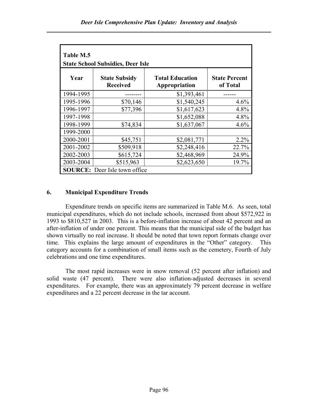| Table M.5<br><b>State School Subsidies, Deer Isle</b> |                                         |                                         |                                  |  |  |  |  |
|-------------------------------------------------------|-----------------------------------------|-----------------------------------------|----------------------------------|--|--|--|--|
| Year                                                  | <b>State Subsidy</b><br><b>Received</b> | <b>Total Education</b><br>Appropriation | <b>State Percent</b><br>of Total |  |  |  |  |
| 1994-1995                                             |                                         | \$1,393,461                             |                                  |  |  |  |  |
| 1995-1996                                             | \$70,146                                | \$1,540,245                             | 4.6%                             |  |  |  |  |
| 1996-1997                                             | \$77,396                                | \$1,617,623                             | 4.8%                             |  |  |  |  |
| 1997-1998                                             |                                         | \$1,652,088                             | 4.8%                             |  |  |  |  |
| 1998-1999                                             | \$74,834                                | \$1,637,067                             | 4.6%                             |  |  |  |  |
| 1999-2000                                             |                                         |                                         |                                  |  |  |  |  |
| 2000-2001                                             | \$45,751                                | \$2,081,771                             | 2.2%                             |  |  |  |  |
| 2001-2002                                             | \$509,918                               | \$2,248,416                             | 22.7%                            |  |  |  |  |
| 2002-2003                                             | \$615,724                               | \$2,468,969                             | 24.9%                            |  |  |  |  |
| 2003-2004                                             | \$515,963                               | \$2,623,650                             | 19.7%                            |  |  |  |  |
|                                                       | <b>SOURCE:</b> Deer Isle town office    |                                         |                                  |  |  |  |  |

# 6. Municipal Expenditure Trends

Expenditure trends on specific items are summarized in Table M.6. As seen, total municipal expenditures, which do not include schools, increased from about \$572,922 in 1993 to \$810,527 in 2003. This is a before-inflation increase of about 42 percent and an after-inflation of under one percent. This means that the municipal side of the budget has shown virtually no real increase. It should be noted that town report formats change over time. This explains the large amount of expenditures in the "Other" category. This category accounts for a combination of small items such as the cemetery, Fourth of July celebrations and one time expenditures.

The most rapid increases were in snow removal (52 percent after inflation) and solid waste (47 percent). There were also inflation-adjusted decreases in several expenditures. For example, there was an approximately 79 percent decrease in welfare expenditures and a 22 percent decrease in the tar account.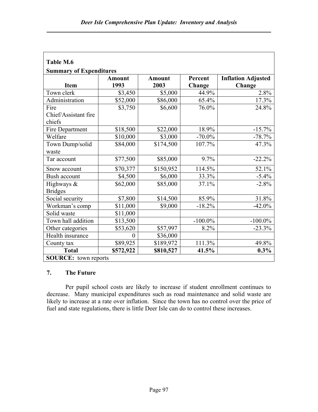| Table M.6                       |                       |                       |                   |                                     |  |  |  |
|---------------------------------|-----------------------|-----------------------|-------------------|-------------------------------------|--|--|--|
| <b>Summary of Expenditures</b>  |                       |                       |                   |                                     |  |  |  |
| <b>Item</b>                     | <b>Amount</b><br>1993 | <b>Amount</b><br>2003 | Percent<br>Change | <b>Inflation Adjusted</b><br>Change |  |  |  |
| Town clerk                      | \$3,450               | \$5,000               | 44.9%             | 2.8%                                |  |  |  |
| Administration                  | \$52,000              | \$86,000              | 65.4%             | 17.3%                               |  |  |  |
| Fire                            | \$3,750               | \$6,600               | 76.0%             | 24.8%                               |  |  |  |
| Chief/Assistant fire<br>chiefs  |                       |                       |                   |                                     |  |  |  |
| Fire Department                 | \$18,500              | \$22,000              | 18.9%             | $-15.7%$                            |  |  |  |
| Welfare                         | \$10,000              | \$3,000               | $-70.0\%$         | $-78.7%$                            |  |  |  |
| Town Dump/solid                 | \$84,000              | \$174,500             | 107.7%            | 47.3%                               |  |  |  |
| waste                           |                       |                       |                   |                                     |  |  |  |
| Tar account                     | \$77,500              | \$85,000              | 9.7%              | $-22.2%$                            |  |  |  |
| Snow account                    | \$70,377              | \$150,952             | 114.5%            | 52.1%                               |  |  |  |
| Bush account                    | \$4,500               | \$6,000               | 33.3%             | $-5.4%$                             |  |  |  |
| Highways $\&$<br><b>Bridges</b> | \$62,000              | \$85,000              | 37.1%             | $-2.8%$                             |  |  |  |
| Social security                 | \$7,800               | \$14,500              | 85.9%             | 31.8%                               |  |  |  |
| Workman's comp                  | \$11,000              | \$9,000               | $-18.2%$          | $-42.0%$                            |  |  |  |
| Solid waste                     | \$11,000              |                       |                   |                                     |  |  |  |
| Town hall addition              | \$13,500              |                       | $-100.0\%$        | $-100.0\%$                          |  |  |  |
| Other categories                | \$53,620              | \$57,997              | 8.2%              | $-23.3%$                            |  |  |  |
| Health insurance                | $\theta$              | \$36,000              |                   |                                     |  |  |  |
| County tax                      | \$89,925              | \$189,972             | 111.3%            | 49.8%                               |  |  |  |
| <b>Total</b>                    | \$572,922             | \$810,527             | 41.5%             | $0.3\%$                             |  |  |  |
| <b>SOURCE:</b> town reports     |                       |                       |                   |                                     |  |  |  |

# 7. The Future

Per pupil school costs are likely to increase if student enrollment continues to decrease. Many municipal expenditures such as road maintenance and solid waste are likely to increase at a rate over inflation. Since the town has no control over the price of fuel and state regulations, there is little Deer Isle can do to control these increases.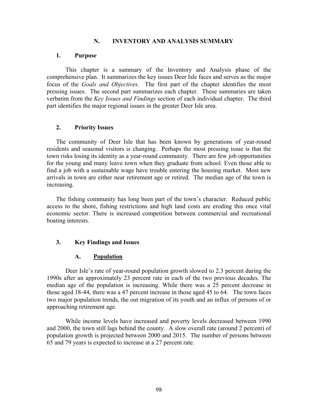#### N. INVENTORY AND ANALYSIS SUMMARY

#### 1. Purpose

This chapter is a summary of the Inventory and Analysis phase of the comprehensive plan. It summarizes the key issues Deer Isle faces and serves as the major focus of the Goals and Objectives. The first part of the chapter identifies the most pressing issues. The second part summarizes each chapter. These summaries are taken verbatim from the Key Issues and Findings section of each individual chapter. The third part identifies the major regional issues in the greater Deer Isle area.

### 2. Priority Issues

The community of Deer Isle that has been known by generations of year-round residents and seasonal visitors is changing. Perhaps the most pressing issue is that the town risks losing its identity as a year-round community. There are few job opportunities for the young and many leave town when they graduate from school. Even those able to find a job with a sustainable wage have trouble entering the housing market. Most new arrivals in town are either near retirement age or retired. The median age of the town is increasing.

The fishing community has long been part of the town's character. Reduced public access to the shore, fishing restrictions and high land costs are eroding this once vital economic sector. There is increased competition between commercial and recreational boating interests.

## 3. Key Findings and Issues

### A. Population

Deer Isle's rate of year-round population growth slowed to 2.3 percent during the 1990s after an approximately 23 percent rate in each of the two previous decades. The median age of the population is increasing. While there was a 25 percent decrease in those aged 18-44, there was a 47 percent increase in those aged 45 to 64. The town faces two major population trends, the out migration of its youth and an influx of persons of or approaching retirement age.

While income levels have increased and poverty levels decreased between 1990 and 2000, the town still lags behind the county. A slow overall rate (around 2 percent) of population growth is projected between 2000 and 2015. The number of persons between 65 and 79 years is expected to increase at a 27 percent rate.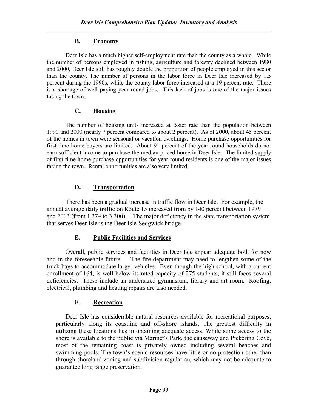# B. Economy

Deer Isle has a much higher self-employment rate than the county as a whole. While the number of persons employed in fishing, agriculture and forestry declined between 1980 and 2000, Deer Isle still has roughly double the proportion of people employed in this sector than the county. The number of persons in the labor force in Deer Isle increased by 1.5 percent during the 1990s, while the county labor force increased at a 19 percent rate. There is a shortage of well paying year-round jobs. This lack of jobs is one of the major issues facing the town.

# C. Housing

The number of housing units increased at faster rate than the population between 1990 and 2000 (nearly 7 percent compared to about 2 percent). As of 2000, about 45 percent of the homes in town were seasonal or vacation dwellings. Home purchase opportunities for first-time home buyers are limited. About 91 percent of the year-round households do not earn sufficient income to purchase the median priced home in Deer Isle. The limited supply of first-time home purchase opportunities for year-round residents is one of the major issues facing the town. Rental opportunities are also very limited.

# D. Transportation

 There has been a gradual increase in traffic flow in Deer Isle. For example, the annual average daily traffic on Route 15 increased from by 140 percent between 1979 and 2003 (from 1,374 to 3,300). The major deficiency in the state transportation system that serves Deer Isle is the Deer Isle-Sedgwick bridge.

# E. Public Facilities and Services

 Overall, public services and facilities in Deer Isle appear adequate both for now and in the foreseeable future. The fire department may need to lengthen some of the truck bays to accommodate larger vehicles. Even though the high school, with a current enrollment of 164, is well below its rated capacity of 275 students, it still faces several deficiencies. These include an undersized gymnasium, library and art room. Roofing, electrical, plumbing and heating repairs are also needed.

# F. Recreation

 Deer Isle has considerable natural resources available for recreational purposes, particularly along its coastline and off-shore islands. The greatest difficulty in utilizing these locations lies in obtaining adequate access. While some access to the shore is available to the public via Mariner's Park, the causeway and Pickering Cove, most of the remaining coast is privately owned including several beaches and swimming pools. The town's scenic resources have little or no protection other than through shoreland zoning and subdivision regulation, which may not be adequate to guarantee long range preservation.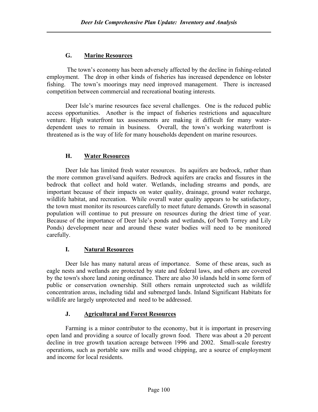# G. Marine Resources

 The town's economy has been adversely affected by the decline in fishing-related employment. The drop in other kinds of fisheries has increased dependence on lobster fishing. The town's moorings may need improved management. There is increased competition between commercial and recreational boating interests.

Deer Isle's marine resources face several challenges. One is the reduced public access opportunities. Another is the impact of fisheries restrictions and aquaculture venture. High waterfront tax assessments are making it difficult for many waterdependent uses to remain in business. Overall, the town's working waterfront is threatened as is the way of life for many households dependent on marine resources.

# H. Water Resources

Deer Isle has limited fresh water resources. Its aquifers are bedrock, rather than the more common gravel/sand aquifers. Bedrock aquifers are cracks and fissures in the bedrock that collect and hold water. Wetlands, including streams and ponds, are important because of their impacts on water quality, drainage, ground water recharge, wildlife habitat, and recreation. While overall water quality appears to be satisfactory, the town must monitor its resources carefully to meet future demands. Growth in seasonal population will continue to put pressure on resources during the driest time of year. Because of the importance of Deer Isle's ponds and wetlands, (of both Torrey and Lily Ponds) development near and around these water bodies will need to be monitored carefully.

## I. Natural Resources

 Deer Isle has many natural areas of importance. Some of these areas, such as eagle nests and wetlands are protected by state and federal laws, and others are covered by the town's shore land zoning ordinance. There are also 30 islands held in some form of public or conservation ownership. Still others remain unprotected such as wildlife concentration areas, including tidal and submerged lands. Inland Significant Habitats for wildlife are largely unprotected and need to be addressed.

## J. Agricultural and Forest Resources

Farming is a minor contributor to the economy, but it is important in preserving open land and providing a source of locally grown food. There was about a 20 percent decline in tree growth taxation acreage between 1996 and 2002. Small-scale forestry operations, such as portable saw mills and wood chipping, are a source of employment and income for local residents.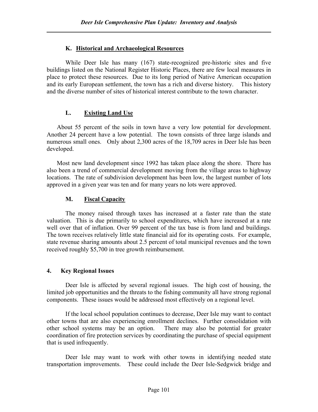# K. Historical and Archaeological Resources

While Deer Isle has many (167) state-recognized pre-historic sites and five buildings listed on the National Register Historic Places, there are few local measures in place to protect these resources. Due to its long period of Native American occupation and its early European settlement, the town has a rich and diverse history. This history and the diverse number of sites of historical interest contribute to the town character.

# L. Existing Land Use

 About 55 percent of the soils in town have a very low potential for development. Another 24 percent have a low potential. The town consists of three large islands and numerous small ones. Only about 2,300 acres of the 18,709 acres in Deer Isle has been developed.

 Most new land development since 1992 has taken place along the shore. There has also been a trend of commercial development moving from the village areas to highway locations. The rate of subdivision development has been low, the largest number of lots approved in a given year was ten and for many years no lots were approved.

# M. Fiscal Capacity

The money raised through taxes has increased at a faster rate than the state valuation. This is due primarily to school expenditures, which have increased at a rate well over that of inflation. Over 99 percent of the tax base is from land and buildings. The town receives relatively little state financial aid for its operating costs. For example, state revenue sharing amounts about 2.5 percent of total municipal revenues and the town received roughly \$5,700 in tree growth reimbursement.

## 4. Key Regional Issues

Deer Isle is affected by several regional issues. The high cost of housing, the limited job opportunities and the threats to the fishing community all have strong regional components. These issues would be addressed most effectively on a regional level.

If the local school population continues to decrease, Deer Isle may want to contact other towns that are also experiencing enrollment declines. Further consolidation with other school systems may be an option. There may also be potential for greater coordination of fire protection services by coordinating the purchase of special equipment that is used infrequently.

Deer Isle may want to work with other towns in identifying needed state transportation improvements. These could include the Deer Isle-Sedgwick bridge and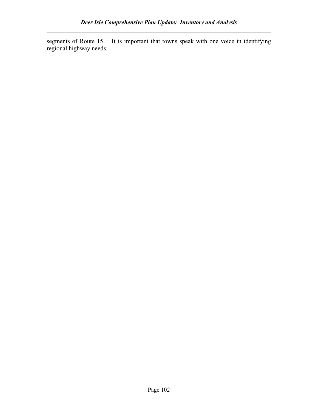segments of Route 15. It is important that towns speak with one voice in identifying regional highway needs.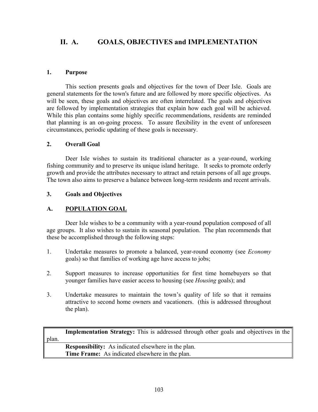# II. A. GOALS, OBJECTIVES and IMPLEMENTATION

### 1. Purpose

This section presents goals and objectives for the town of Deer Isle. Goals are general statements for the town's future and are followed by more specific objectives. As will be seen, these goals and objectives are often interrelated. The goals and objectives are followed by implementation strategies that explain how each goal will be achieved. While this plan contains some highly specific recommendations, residents are reminded that planning is an on-going process. To assure flexibility in the event of unforeseen circumstances, periodic updating of these goals is necessary.

### 2. Overall Goal

 Deer Isle wishes to sustain its traditional character as a year-round, working fishing community and to preserve its unique island heritage. It seeks to promote orderly growth and provide the attributes necessary to attract and retain persons of all age groups. The town also aims to preserve a balance between long-term residents and recent arrivals.

### 3. Goals and Objectives

## A. POPULATION GOAL

Deer Isle wishes to be a community with a year-round population composed of all age groups. It also wishes to sustain its seasonal population. The plan recommends that these be accomplished through the following steps:

- 1. Undertake measures to promote a balanced, year-round economy (see Economy goals) so that families of working age have access to jobs;
- 2. Support measures to increase opportunities for first time homebuyers so that younger families have easier access to housing (see Housing goals); and
- 3. Undertake measures to maintain the town's quality of life so that it remains attractive to second home owners and vacationers. (this is addressed throughout the plan).

|       | <b>Implementation Strategy:</b> This is addressed through other goals and objectives in the |
|-------|---------------------------------------------------------------------------------------------|
| plan. |                                                                                             |
|       | <b>Responsibility:</b> As indicated elsewhere in the plan.                                  |
|       | <b>Time Frame:</b> As indicated elsewhere in the plan.                                      |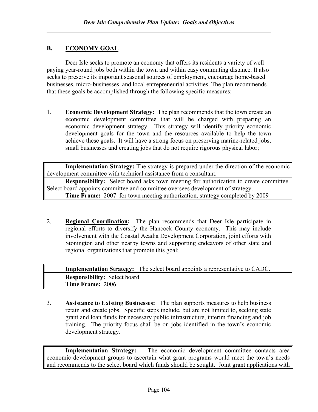# B. ECONOMY GOAL

Deer Isle seeks to promote an economy that offers its residents a variety of well paying year-round jobs both within the town and within easy commuting distance. It also seeks to preserve its important seasonal sources of employment, encourage home-based businesses, micro-businesses and local entrepreneurial activities. The plan recommends that these goals be accomplished through the following specific measures:

1. Economic Development Strategy: The plan recommends that the town create an economic development committee that will be charged with preparing an economic development strategy. This strategy will identify priority economic development goals for the town and the resources available to help the town achieve these goals. It will have a strong focus on preserving marine-related jobs, small businesses and creating jobs that do not require rigorous physical labor;

Implementation Strategy: The strategy is prepared under the direction of the economic development committee with technical assistance from a consultant.

Responsibility: Select board asks town meeting for authorization to create committee. Select board appoints committee and committee oversees development of strategy. Time Frame: 2007 for town meeting authorization, strategy completed by 2009

2. Regional Coordination: The plan recommends that Deer Isle participate in regional efforts to diversify the Hancock County economy. This may include involvement with the Coastal Acadia Development Corporation, joint efforts with Stonington and other nearby towns and supporting endeavors of other state and regional organizations that promote this goal;

Implementation Strategy: The select board appoints a representative to CADC. Responsibility: Select board Time Frame: 2006

3. Assistance to Existing Businesses: The plan supports measures to help business retain and create jobs. Specific steps include, but are not limited to, seeking state grant and loan funds for necessary public infrastructure, interim financing and job training. The priority focus shall be on jobs identified in the town's economic development strategy.

Implementation Strategy: The economic development committee contacts area economic development groups to ascertain what grant programs would meet the town's needs and recommends to the select board which funds should be sought. Joint grant applications with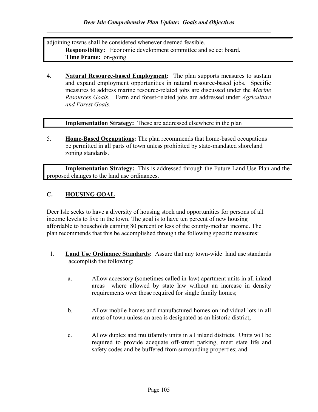adjoining towns shall be considered whenever deemed feasible. Responsibility: Economic development committee and select board. Time Frame: on-going

4. Natural Resource-based Employment: The plan supports measures to sustain and expand employment opportunities in natural resource-based jobs. Specific measures to address marine resource-related jobs are discussed under the Marine Resources Goals. Farm and forest-related jobs are addressed under Agriculture and Forest Goals.

Implementation Strategy: These are addressed elsewhere in the plan

5. Home-Based Occupations: The plan recommends that home-based occupations be permitted in all parts of town unless prohibited by state-mandated shoreland zoning standards.

Implementation Strategy: This is addressed through the Future Land Use Plan and the proposed changes to the land use ordinances.

# C. HOUSING GOAL

Deer Isle seeks to have a diversity of housing stock and opportunities for persons of all income levels to live in the town. The goal is to have ten percent of new housing affordable to households earning 80 percent or less of the county-median income. The plan recommends that this be accomplished through the following specific measures:

- 1. **Land Use Ordinance Standards:** Assure that any town-wide land use standards accomplish the following:
	- a. Allow accessory (sometimes called in-law) apartment units in all inland areas where allowed by state law without an increase in density requirements over those required for single family homes;
	- b. Allow mobile homes and manufactured homes on individual lots in all areas of town unless an area is designated as an historic district;
	- c. Allow duplex and multifamily units in all inland districts. Units will be required to provide adequate off-street parking, meet state life and safety codes and be buffered from surrounding properties; and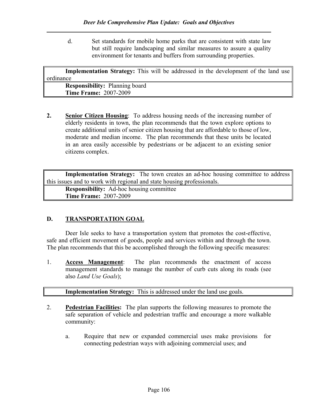d. Set standards for mobile home parks that are consistent with state law but still require landscaping and similar measures to assure a quality environment for tenants and buffers from surrounding properties.

| <b>Implementation Strategy:</b> This will be addressed in the development of the land use |
|-------------------------------------------------------------------------------------------|
| ordinance                                                                                 |
| <b>Responsibility:</b> Planning board                                                     |
| <b>Time Frame: 2007-2009</b>                                                              |

2. Senior Citizen Housing: To address housing needs of the increasing number of elderly residents in town, the plan recommends that the town explore options to create additional units of senior citizen housing that are affordable to those of low, moderate and median income. The plan recommends that these units be located in an area easily accessible by pedestrians or be adjacent to an existing senior citizens complex.

Implementation Strategy: The town creates an ad-hoc housing committee to address this issues and to work with regional and state housing professionals.

Responsibility: Ad-hoc housing committee Time Frame: 2007-2009

# D. TRANSPORTATION GOAL

Deer Isle seeks to have a transportation system that promotes the cost-effective, safe and efficient movement of goods, people and services within and through the town. The plan recommends that this be accomplished through the following specific measures:

1. Access Management: The plan recommends the enactment of access management standards to manage the number of curb cuts along its roads (see also Land Use Goals);

### Implementation Strategy: This is addressed under the land use goals.

- 2. Pedestrian Facilities: The plan supports the following measures to promote the safe separation of vehicle and pedestrian traffic and encourage a more walkable community:
	- a. Require that new or expanded commercial uses make provisions for connecting pedestrian ways with adjoining commercial uses; and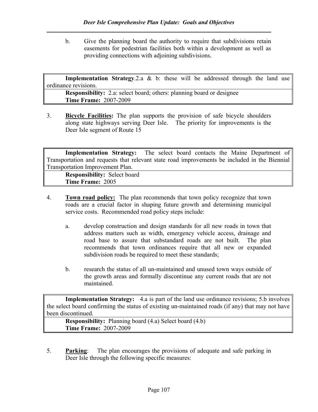b. Give the planning board the authority to require that subdivisions retain easements for pedestrian facilities both within a development as well as providing connections with adjoining subdivisions.

**Implementation Strategy.2.a & b:** these will be addressed through the land use ordinance revisions.

Responsibility: 2.a: select board; others: planning board or designee Time Frame: 2007-2009

3. Bicycle Facilities: The plan supports the provision of safe bicycle shoulders along state highways serving Deer Isle. The priority for improvements is the Deer Isle segment of Route 15

| <b>Implementation Strategy:</b> The select board contacts the Maine Department of             |  |  |  |  |  |
|-----------------------------------------------------------------------------------------------|--|--|--|--|--|
| Transportation and requests that relevant state road improvements be included in the Biennial |  |  |  |  |  |
| <b>Transportation Improvement Plan.</b>                                                       |  |  |  |  |  |

Responsibility: Select board Time Frame: 2005

- 4. Town road policy: The plan recommends that town policy recognize that town roads are a crucial factor in shaping future growth and determining municipal service costs. Recommended road policy steps include:
	- a. develop construction and design standards for all new roads in town that address matters such as width, emergency vehicle access, drainage and road base to assure that substandard roads are not built. The plan recommends that town ordinances require that all new or expanded subdivision roads be required to meet these standards;
	- b. research the status of all un-maintained and unused town ways outside of the growth areas and formally discontinue any current roads that are not maintained.

Implementation Strategy: 4.a is part of the land use ordinance revisions; 5.b involves the select board confirming the status of existing un-maintained roads (if any) that may not have been discontinued.

Responsibility: Planning board (4.a) Select board (4.b) Time Frame: 2007-2009

5. Parking: The plan encourages the provisions of adequate and safe parking in Deer Isle through the following specific measures: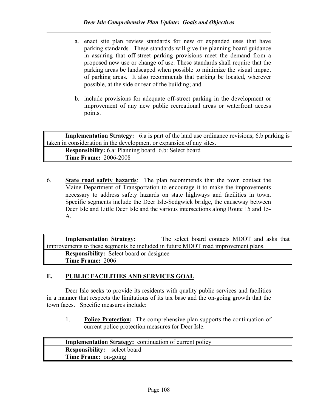- a. enact site plan review standards for new or expanded uses that have parking standards. These standards will give the planning board guidance in assuring that off-street parking provisions meet the demand from a proposed new use or change of use. These standards shall require that the parking areas be landscaped when possible to minimize the visual impact of parking areas. It also recommends that parking be located, wherever possible, at the side or rear of the building; and
- b. include provisions for adequate off-street parking in the development or improvement of any new public recreational areas or waterfront access points.

Implementation Strategy: 6.a is part of the land use ordinance revisions; 6.b parking is taken in consideration in the development or expansion of any sites. Responsibility: 6.a: Planning board 6.b: Select board Time Frame: 2006-2008

6. State road safety hazards: The plan recommends that the town contact the Maine Department of Transportation to encourage it to make the improvements necessary to address safety hazards on state highways and facilities in town. Specific segments include the Deer Isle-Sedgwick bridge, the causeway between Deer Isle and Little Deer Isle and the various intersections along Route 15 and 15- A.

Implementation Strategy: The select board contacts MDOT and asks that improvements to these segments be included in future MDOT road improvement plans. Responsibility: Select board or designee Time Frame: 2006

## E. PUBLIC FACILITIES AND SERVICES GOAL

 Deer Isle seeks to provide its residents with quality public services and facilities in a manner that respects the limitations of its tax base and the on-going growth that the town faces. Specific measures include:

1. Police Protection: The comprehensive plan supports the continuation of current police protection measures for Deer Isle.

Implementation Strategy: continuation of current policy Responsibility: select board Time Frame: on-going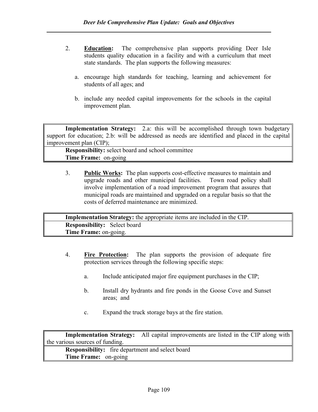- 2. **Education:** The comprehensive plan supports providing Deer Isle students quality education in a facility and with a curriculum that meet state standards. The plan supports the following measures:
	- a. encourage high standards for teaching, learning and achievement for students of all ages; and
	- b. include any needed capital improvements for the schools in the capital improvement plan.

Implementation Strategy: 2.a: this will be accomplished through town budgetary support for education; 2.b: will be addressed as needs are identified and placed in the capital improvement plan (CIP);

Responsibility: select board and school committee Time Frame: on-going

3. Public Works: The plan supports cost-effective measures to maintain and upgrade roads and other municipal facilities. Town road policy shall involve implementation of a road improvement program that assures that municipal roads are maintained and upgraded on a regular basis so that the costs of deferred maintenance are minimized.

Implementation Strategy: the appropriate items are included in the CIP. Responsibility: Select board Time Frame: on-going.

- 4. Fire Protection: The plan supports the provision of adequate fire protection services through the following specific steps:
	- a. Include anticipated major fire equipment purchases in the CIP;
	- b. Install dry hydrants and fire ponds in the Goose Cove and Sunset areas; and
	- c. Expand the truck storage bays at the fire station.

Implementation Strategy: All capital improvements are listed in the CIP along with the various sources of funding. Responsibility: fire department and select board Time Frame: on-going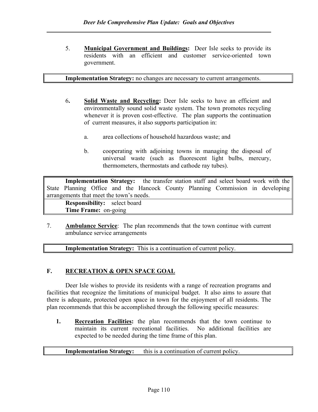5. **Municipal Government and Buildings:** Deer Isle seeks to provide its residents with an efficient and customer service-oriented town government.

### Implementation Strategy: no changes are necessary to current arrangements.

- 6. Solid Waste and Recycling: Deer Isle seeks to have an efficient and environmentally sound solid waste system. The town promotes recycling whenever it is proven cost-effective. The plan supports the continuation of current measures, it also supports participation in:
	- a. area collections of household hazardous waste; and
	- b. cooperating with adjoining towns in managing the disposal of universal waste (such as fluorescent light bulbs, mercury, thermometers, thermostats and cathode ray tubes).

Implementation Strategy: the transfer station staff and select board work with the State Planning Office and the Hancock County Planning Commission in developing arrangements that meet the town's needs.

Responsibility: select board Time Frame: on-going

7. Ambulance Service: The plan recommends that the town continue with current ambulance service arrangements

Implementation Strategy: This is a continuation of current policy.

## F. RECREATION & OPEN SPACE GOAL

Deer Isle wishes to provide its residents with a range of recreation programs and facilities that recognize the limitations of municipal budget. It also aims to assure that there is adequate, protected open space in town for the enjoyment of all residents. The plan recommends that this be accomplished through the following specific measures:

1. Recreation Facilities: the plan recommends that the town continue to maintain its current recreational facilities. No additional facilities are expected to be needed during the time frame of this plan.

### Implementation Strategy: this is a continuation of current policy.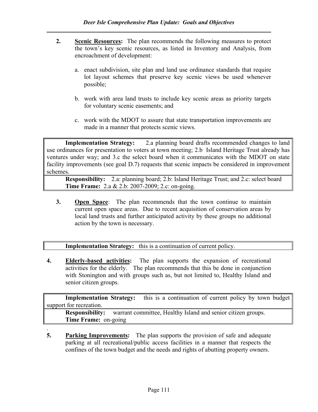- 2. Scenic Resources: The plan recommends the following measures to protect the town's key scenic resources, as listed in Inventory and Analysis, from encroachment of development:
	- a. enact subdivision, site plan and land use ordinance standards that require lot layout schemes that preserve key scenic views be used whenever possible;
	- b. work with area land trusts to include key scenic areas as priority targets for voluntary scenic easements; and
	- c. work with the MDOT to assure that state transportation improvements are made in a manner that protects scenic views.

Implementation Strategy: 2.a planning board drafts recommended changes to land use ordinances for presentation to voters at town meeting; 2.b Island Heritage Trust already has ventures under way; and 3.c the select board when it communicates with the MDOT on state facility improvements (see goal D.7) requests that scenic impacts be considered in improvement schemes.

Responsibility: 2.a: planning board; 2.b: Island Heritage Trust; and 2.c: select board Time Frame: 2.a & 2.b: 2007-2009; 2.c: on-going.

3. Open Space: The plan recommends that the town continue to maintain current open space areas. Due to recent acquisition of conservation areas by local land trusts and further anticipated activity by these groups no additional action by the town is necessary.

Implementation Strategy: this is a continuation of current policy.

4. Elderly-based activities: The plan supports the expansion of recreational activities for the elderly. The plan recommends that this be done in conjunction with Stonington and with groups such as, but not limited to, Healthy Island and senior citizen groups.

Implementation Strategy: this is a continuation of current policy by town budget support for recreation.

Responsibility: warrant committee, Healthy Island and senior citizen groups. Time Frame: on-going

. 5. Parking Improvements: The plan supports the provision of safe and adequate parking at all recreational/public access facilities in a manner that respects the confines of the town budget and the needs and rights of abutting property owners.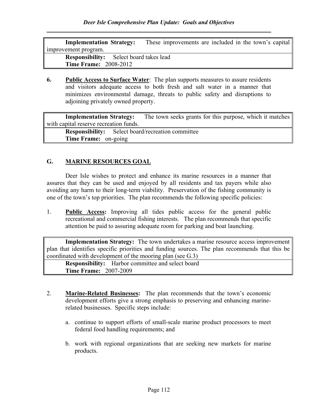| <b>Implementation Strategy:</b>                | These improvements are included in the town's capital |
|------------------------------------------------|-------------------------------------------------------|
| improvement program.                           |                                                       |
| <b>Responsibility:</b> Select board takes lead |                                                       |
| <b>Time Frame: 2008-2012</b>                   |                                                       |

6. Public Access to Surface Water: The plan supports measures to assure residents and visitors adequate access to both fresh and salt water in a manner that minimizes environmental damage, threats to public safety and disruptions to adjoining privately owned property.

Implementation Strategy: The town seeks grants for this purpose, which it matches with capital reserve recreation funds.

Responsibility: Select board/recreation committee Time Frame: on-going

## G. MARINE RESOURCES GOAL

 Deer Isle wishes to protect and enhance its marine resources in a manner that assures that they can be used and enjoyed by all residents and tax payers while also avoiding any harm to their long-term viability. Preservation of the fishing community is one of the town's top priorities. The plan recommends the following specific policies:

1. Public Access: Improving all tides public access for the general public recreational and commercial fishing interests. The plan recommends that specific attention be paid to assuring adequate room for parking and boat launching.

Implementation Strategy: The town undertakes a marine resource access improvement plan that identifies specific priorities and funding sources. The plan recommends that this be coordinated with development of the mooring plan (see G.3)

Responsibility: Harbor committee and select board Time Frame: 2007-2009

- 2. Marine-Related Businesses: The plan recommends that the town's economic development efforts give a strong emphasis to preserving and enhancing marinerelated businesses. Specific steps include:
	- a. continue to support efforts of small-scale marine product processors to meet federal food handling requirements; and
	- b. work with regional organizations that are seeking new markets for marine products.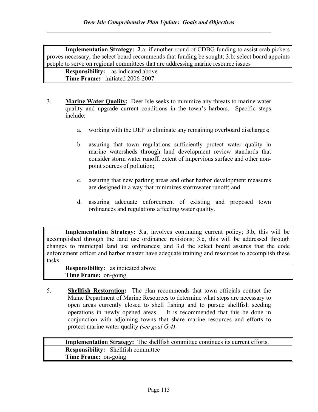Implementation Strategy: 2.a: if another round of CDBG funding to assist crab pickers proves necessary, the select board recommends that funding be sought; 3.b: select board appoints people to serve on regional committees that are addressing marine resource issues

Responsibility: as indicated above Time Frame: initiated 2006-2007

- 3. Marine Water Quality: Deer Isle seeks to minimize any threats to marine water quality and upgrade current conditions in the town's harbors. Specific steps include:
	- a. working with the DEP to eliminate any remaining overboard discharges;
	- b. assuring that town regulations sufficiently protect water quality in marine watersheds through land development review standards that consider storm water runoff, extent of impervious surface and other nonpoint sources of pollution;
	- c. assuring that new parking areas and other harbor development measures are designed in a way that minimizes stormwater runoff; and
	- d. assuring adequate enforcement of existing and proposed town ordinances and regulations affecting water quality.

Implementation Strategy: 3.a, involves continuing current policy; 3.b, this will be accomplished through the land use ordinance revisions; 3.c, this will be addressed through changes to municipal land use ordinances; and 3.d the select board assures that the code enforcement officer and harbor master have adequate training and resources to accomplish these tasks.

Responsibility: as indicated above Time Frame: on-going

5. Shellfish Restoration: The plan recommends that town officials contact the Maine Department of Marine Resources to determine what steps are necessary to open areas currently closed to shell fishing and to pursue shellfish seeding operations in newly opened areas. It is recommended that this be done in conjunction with adjoining towns that share marine resources and efforts to protect marine water quality *(see goal G.4)*.

Implementation Strategy: The shellfish committee continues its current efforts. Responsibility: Shellfish committee Time Frame: on-going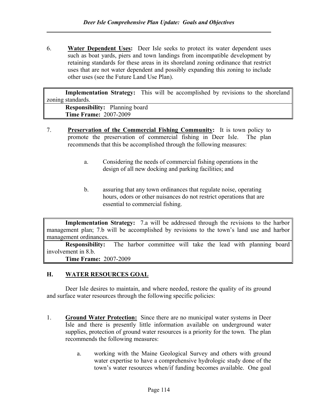6. Water Dependent Uses: Deer Isle seeks to protect its water dependent uses such as boat yards, piers and town landings from incompatible development by retaining standards for these areas in its shoreland zoning ordinance that restrict uses that are not water dependent and possibly expanding this zoning to include other uses (see the Future Land Use Plan).

Implementation Strategy: This will be accomplished by revisions to the shoreland zoning standards.

Responsibility: Planning board Time Frame: 2007-2009

- 7. Preservation of the Commercial Fishing Community: It is town policy to promote the preservation of commercial fishing in Deer Isle. The plan recommends that this be accomplished through the following measures:
	- a. Considering the needs of commercial fishing operations in the design of all new docking and parking facilities; and
	- b. assuring that any town ordinances that regulate noise, operating hours, odors or other nuisances do not restrict operations that are essential to commercial fishing.

Implementation Strategy: 7.a will be addressed through the revisions to the harbor management plan; 7.b will be accomplished by revisions to the town's land use and harbor management ordinances.

Responsibility: The harbor committee will take the lead with planning board involvement in 8.b.

Time Frame: 2007-2009

# H. WATER RESOURCES GOAL

 Deer Isle desires to maintain, and where needed, restore the quality of its ground and surface water resources through the following specific policies:

- 1. Ground Water Protection: Since there are no municipal water systems in Deer Isle and there is presently little information available on underground water supplies, protection of ground water resources is a priority for the town. The plan recommends the following measures:
	- a. working with the Maine Geological Survey and others with ground water expertise to have a comprehensive hydrologic study done of the town's water resources when/if funding becomes available. One goal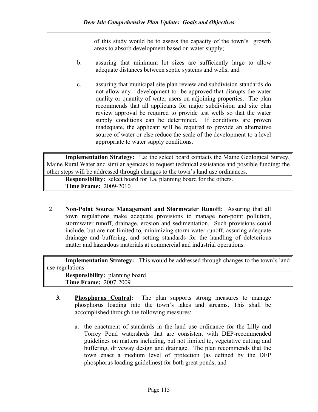of this study would be to assess the capacity of the town's growth areas to absorb development based on water supply;

- b. assuring that minimum lot sizes are sufficiently large to allow adequate distances between septic systems and wells; and
- c. assuring that municipal site plan review and subdivision standards do not allow any development to be approved that disrupts the water quality or quantity of water users on adjoining properties. The plan recommends that all applicants for major subdivision and site plan review approval be required to provide test wells so that the water supply conditions can be determined. If conditions are proven inadequate, the applicant will be required to provide an alternative source of water or else reduce the scale of the development to a level appropriate to water supply conditions.

Implementation Strategy: 1.a: the select board contacts the Maine Geological Survey, Maine Rural Water and similar agencies to request technical assistance and possible funding; the other steps will be addressed through changes to the town's land use ordinances.

Responsibility: select board for 1.a, planning board for the others. Time Frame: 2009-2010

2. Non-Point Source Management and Stormwater Runoff: Assuring that all town regulations make adequate provisions to manage non-point pollution, stormwater runoff, drainage, erosion and sedimentation. Such provisions could include, but are not limited to, minimizing storm water runoff, assuring adequate drainage and buffering, and setting standards for the handling of deleterious matter and hazardous materials at commercial and industrial operations.

Implementation Strategy: This would be addressed through changes to the town's land use regulations

Responsibility: planning board Time Frame: 2007-2009

- 3. Phosphorus Control: The plan supports strong measures to manage phosphorus loading into the town's lakes and streams. This shall be accomplished through the following measures:
	- a. the enactment of standards in the land use ordinance for the Lilly and Torrey Pond watersheds that are consistent with DEP-recommended guidelines on matters including, but not limited to, vegetative cutting and buffering, driveway design and drainage. The plan recommends that the town enact a medium level of protection (as defined by the DEP phosphorus loading guidelines) for both great ponds; and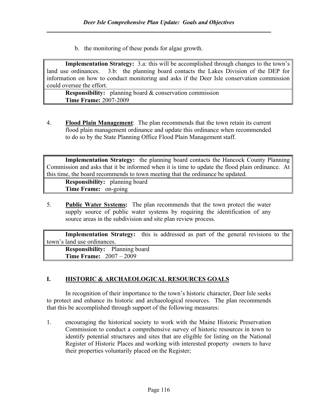b. the monitoring of these ponds for algae growth.

Implementation Strategy: 3.a: this will be accomplished through changes to the town's land use ordinances. 3.b: the planning board contacts the Lakes Division of the DEP for information on how to conduct monitoring and asks if the Deer Isle conservation commission could oversee the effort.

Responsibility: planning board & conservation commission Time Frame: 2007-2009

4. Flood Plain Management: The plan recommends that the town retain its current flood plain management ordinance and update this ordinance when recommended to do so by the State Planning Office Flood Plain Management staff.

Implementation Strategy: the planning board contacts the Hancock County Planning Commission and asks that it be informed when it is time to update the flood plain ordinance. At this time, the board recommends to town meeting that the ordinance be updated.

Responsibility: planning board Time Frame: on-going

5. Public Water Systems: The plan recommends that the town protect the water supply source of public water systems by requiring the identification of any source areas in the subdivision and site plan review process.

Implementation Strategy: this is addressed as part of the general revisions to the town's land use ordinances.

Responsibility: Planning board Time Frame: 2007 – 2009

# I. HISTORIC & ARCHAEOLOGICAL RESOURCES GOALS

 In recognition of their importance to the town's historic character, Deer Isle seeks to protect and enhance its historic and archaeological resources. The plan recommends that this be accomplished through support of the following measures:

1. encouraging the historical society to work with the Maine Historic Preservation Commission to conduct a comprehensive survey of historic resources in town to identify potential structures and sites that are eligible for listing on the National Register of Historic Places and working with interested property owners to have their properties voluntarily placed on the Register;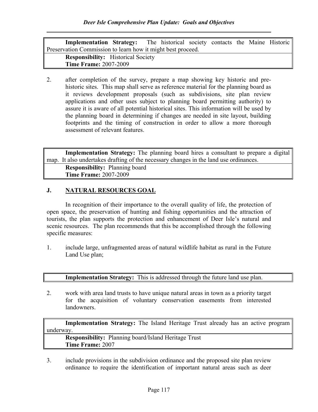| <b>Implementation Strategy:</b> The historical society contacts the Maine Historic |  |  |  |  |  |  |  |
|------------------------------------------------------------------------------------|--|--|--|--|--|--|--|
| Preservation Commission to learn how it might best proceed.                        |  |  |  |  |  |  |  |
| <b>Responsibility:</b> Historical Society                                          |  |  |  |  |  |  |  |
| <b>Time Frame: 2007-2009</b>                                                       |  |  |  |  |  |  |  |

2. after completion of the survey, prepare a map showing key historic and prehistoric sites. This map shall serve as reference material for the planning board as it reviews development proposals (such as subdivisions, site plan review applications and other uses subject to planning board permitting authority) to assure it is aware of all potential historical sites. This information will be used by the planning board in determining if changes are needed in site layout, building footprints and the timing of construction in order to allow a more thorough assessment of relevant features.

Implementation Strategy: The planning board hires a consultant to prepare a digital map. It also undertakes drafting of the necessary changes in the land use ordinances.

Responsibility: Planning board Time Frame: 2007-2009

### J. NATURAL RESOURCES GOAL

In recognition of their importance to the overall quality of life, the protection of open space, the preservation of hunting and fishing opportunities and the attraction of tourists, the plan supports the protection and enhancement of Deer Isle's natural and scenic resources. The plan recommends that this be accomplished through the following specific measures:

1. include large, unfragmented areas of natural wildlife habitat as rural in the Future Land Use plan;

| <b>Implementation Strategy:</b> This is addressed through the future land use plan. |  |
|-------------------------------------------------------------------------------------|--|
|-------------------------------------------------------------------------------------|--|

2. work with area land trusts to have unique natural areas in town as a priority target for the acquisition of voluntary conservation easements from interested **landowners** 

Implementation Strategy: The Island Heritage Trust already has an active program underway.

Responsibility: Planning board/Island Heritage Trust Time Frame: 2007

3. include provisions in the subdivision ordinance and the proposed site plan review ordinance to require the identification of important natural areas such as deer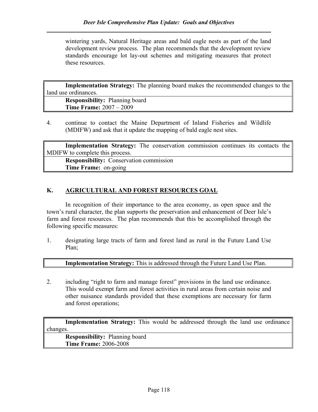wintering yards, Natural Heritage areas and bald eagle nests as part of the land development review process. The plan recommends that the development review standards encourage lot lay-out schemes and mitigating measures that protect these resources.

Implementation Strategy: The planning board makes the recommended changes to the land use ordinances.

| <b>Responsibility:</b> Planning board |  |
|---------------------------------------|--|
| <b>Time Frame:</b> $2007 - 2009$      |  |

4. continue to contact the Maine Department of Inland Fisheries and Wildlife (MDIFW) and ask that it update the mapping of bald eagle nest sites.

Implementation Strategy: The conservation commission continues its contacts the MDIFW to complete this process.

Responsibility: Conservation commission Time Frame: on-going

## K. AGRICULTURAL AND FOREST RESOURCES GOAL

In recognition of their importance to the area economy, as open space and the town's rural character, the plan supports the preservation and enhancement of Deer Isle's farm and forest resources. The plan recommends that this be accomplished through the following specific measures:

1. designating large tracts of farm and forest land as rural in the Future Land Use Plan;

Implementation Strategy: This is addressed through the Future Land Use Plan.

2. including "right to farm and manage forest" provisions in the land use ordinance. This would exempt farm and forest activities in rural areas from certain noise and other nuisance standards provided that these exemptions are necessary for farm and forest operations;

Implementation Strategy: This would be addressed through the land use ordinance changes.

Responsibility: Planning board Time Frame: 2006-2008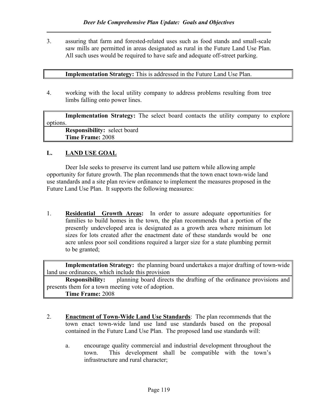3. assuring that farm and forested-related uses such as food stands and small-scale saw mills are permitted in areas designated as rural in the Future Land Use Plan. All such uses would be required to have safe and adequate off-street parking.

#### Implementation Strategy: This is addressed in the Future Land Use Plan.

4. working with the local utility company to address problems resulting from tree limbs falling onto power lines.

Implementation Strategy: The select board contacts the utility company to explore options. Responsibility: select board Time Frame: 2008

### L. LAND USE GOAL

Deer Isle seeks to preserve its current land use pattern while allowing ample opportunity for future growth. The plan recommends that the town enact town-wide land use standards and a site plan review ordinance to implement the measures proposed in the Future Land Use Plan. It supports the following measures:

1. Residential Growth Areas: In order to assure adequate opportunities for families to build homes in the town, the plan recommends that a portion of the presently undeveloped area is designated as a growth area where minimum lot sizes for lots created after the enactment date of these standards would be one acre unless poor soil conditions required a larger size for a state plumbing permit to be granted;

Implementation Strategy: the planning board undertakes a major drafting of town-wide land use ordinances, which include this provision

Responsibility: planning board directs the drafting of the ordinance provisions and presents them for a town meeting vote of adoption.

Time Frame: 2008

- 2. Enactment of Town-Wide Land Use Standards: The plan recommends that the town enact town-wide land use land use standards based on the proposal contained in the Future Land Use Plan. The proposed land use standards will:
	- a. encourage quality commercial and industrial development throughout the town. This development shall be compatible with the town's infrastructure and rural character;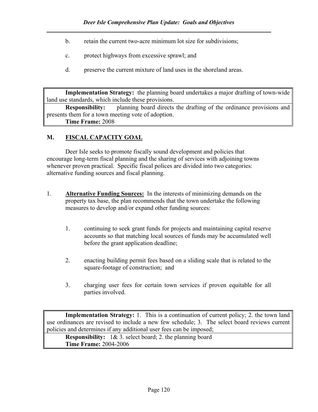- b. retain the current two-acre minimum lot size for subdivisions;
- c. protect highways from excessive sprawl; and
- d. preserve the current mixture of land uses in the shoreland areas.

Implementation Strategy: the planning board undertakes a major drafting of town-wide land use standards, which include these provisions.

Responsibility: planning board directs the drafting of the ordinance provisions and presents them for a town meeting vote of adoption. Time Frame: 2008

# M. FISCAL CAPACITY GOAL

Deer Isle seeks to promote fiscally sound development and policies that encourage long-term fiscal planning and the sharing of services with adjoining towns whenever proven practical. Specific fiscal polices are divided into two categories: alternative funding sources and fiscal planning.

- 1. Alternative Funding Sources: In the interests of minimizing demands on the property tax base, the plan recommends that the town undertake the following measures to develop and/or expand other funding sources:
	- 1. continuing to seek grant funds for projects and maintaining capital reserve accounts so that matching local sources of funds may be accumulated well before the grant application deadline;
	- 2. enacting building permit fees based on a sliding scale that is related to the square-footage of construction; and
	- 3. charging user fees for certain town services if proven equitable for all parties involved.

Implementation Strategy: 1. This is a continuation of current policy; 2. the town land use ordinances are revised to include a new few schedule; 3. The select board reviews current policies and determines if any additional user fees can be imposed;

Responsibility: 1& 3. select board; 2. the planning board Time Frame: 2004-2006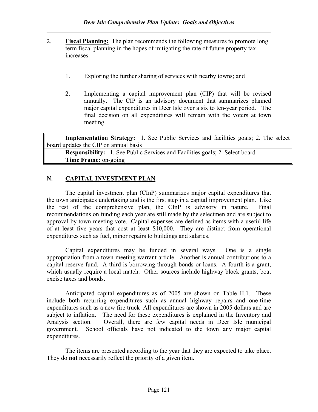- 2. Fiscal Planning: The plan recommends the following measures to promote long term fiscal planning in the hopes of mitigating the rate of future property tax increases:
	- 1. Exploring the further sharing of services with nearby towns; and
	- 2. Implementing a capital improvement plan (CIP) that will be revised annually. The CIP is an advisory document that summarizes planned major capital expenditures in Deer Isle over a six to ten-year period. The final decision on all expenditures will remain with the voters at town meeting.

```
Implementation Strategy: 1. See Public Services and facilities goals; 2. The select 
board updates the CIP on annual basis
```
Responsibility: 1. See Public Services and Facilities goals; 2. Select board Time Frame: on-going

## N. CAPITAL INVESTMENT PLAN

The capital investment plan (CInP) summarizes major capital expenditures that the town anticipates undertaking and is the first step in a capital improvement plan. Like the rest of the comprehensive plan, the CInP is advisory in nature. Final recommendations on funding each year are still made by the selectmen and are subject to approval by town meeting vote. Capital expenses are defined as items with a useful life of at least five years that cost at least \$10,000. They are distinct from operational expenditures such as fuel, minor repairs to buildings and salaries.

 Capital expenditures may be funded in several ways. One is a single appropriation from a town meeting warrant article. Another is annual contributions to a capital reserve fund. A third is borrowing through bonds or loans. A fourth is a grant, which usually require a local match. Other sources include highway block grants, boat excise taxes and bonds.

 Anticipated capital expenditures as of 2005 are shown on Table II.1. These include both recurring expenditures such as annual highway repairs and one-time expenditures such as a new fire truck All expenditures are shown in 2005 dollars and are subject to inflation. The need for these expenditures is explained in the Inventory and Analysis section. Overall, there are few capital needs in Deer Isle municipal government. School officials have not indicated to the town any major capital expenditures.

The items are presented according to the year that they are expected to take place. They do not necessarily reflect the priority of a given item.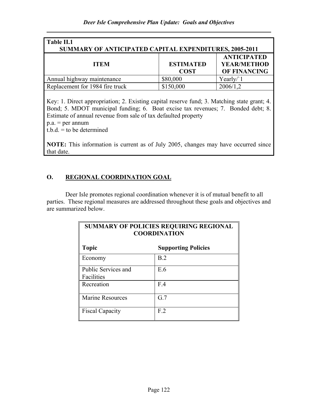| Table II.1<br><b>SUMMARY OF ANTICIPATED CAPITAL EXPENDITURES, 2005-2011</b> |                                 |                                                                 |  |  |
|-----------------------------------------------------------------------------|---------------------------------|-----------------------------------------------------------------|--|--|
| <b>ITEM</b>                                                                 | <b>ESTIMATED</b><br><b>COST</b> | <b>ANTICIPATED</b><br><b>YEAR/METHOD</b><br><b>OF FINANCING</b> |  |  |
| Annual highway maintenance                                                  | \$80,000                        | Yearly/'1                                                       |  |  |
| Replacement for 1984 fire truck                                             | \$150,000                       | 2006/1,2                                                        |  |  |

Key: 1. Direct appropriation; 2. Existing capital reserve fund; 3. Matching state grant; 4. Bond; 5. MDOT municipal funding; 6. Boat excise tax revenues; 7. Bonded debt; 8. Estimate of annual revenue from sale of tax defaulted property

 $p.a. = per annum$ 

 $t.b.d. = to be determined$ 

NOTE: This information is current as of July 2005, changes may have occurred since that date.

# O. REGIONAL COORDINATION GOAL

Deer Isle promotes regional coordination whenever it is of mutual benefit to all parties. These regional measures are addressed throughout these goals and objectives and are summarized below.

| <b>SUMMARY OF POLICIES REQUIRING REGIONAL</b><br><b>COORDINATION</b> |                |  |  |  |
|----------------------------------------------------------------------|----------------|--|--|--|
| <b>Topic</b><br><b>Supporting Policies</b>                           |                |  |  |  |
| Economy                                                              | B.2            |  |  |  |
| Public Services and<br>Facilities                                    | E.6            |  |  |  |
| Recreation                                                           | F.4            |  |  |  |
| <b>Marine Resources</b>                                              | G.7            |  |  |  |
| <b>Fiscal Capacity</b>                                               | F <sub>2</sub> |  |  |  |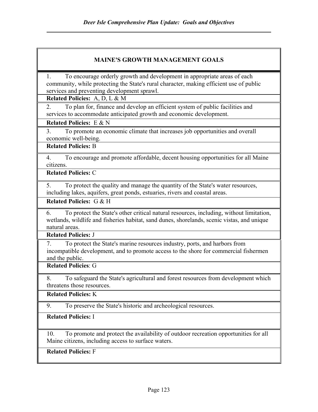## MAINE'S GROWTH MANAGEMENT GOALS

1. To encourage orderly growth and development in appropriate areas of each community, while protecting the State's rural character, making efficient use of public services and preventing development sprawl.

Related Policies: A, D, L & M

2. To plan for, finance and develop an efficient system of public facilities and services to accommodate anticipated growth and economic development.

### Related Policies: E & N

3. To promote an economic climate that increases job opportunities and overall economic well-being.

# Related Policies: B

4. To encourage and promote affordable, decent housing opportunities for all Maine citizens.

## Related Policies: C

5. To protect the quality and manage the quantity of the State's water resources, including lakes, aquifers, great ponds, estuaries, rivers and coastal areas.

Related Policies: G & H

6. To protect the State's other critical natural resources, including, without limitation, wetlands, wildlife and fisheries habitat, sand dunes, shorelands, scenic vistas, and unique natural areas.

Related Policies: J

7. To protect the State's marine resources industry, ports, and harbors from incompatible development, and to promote access to the shore for commercial fishermen and the public.

Related Policies: G

8. To safeguard the State's agricultural and forest resources from development which threatens those resources.

Related Policies: K

9. To preserve the State's historic and archeological resources.

### Related Policies: I

10. To promote and protect the availability of outdoor recreation opportunities for all Maine citizens, including access to surface waters.

Related Policies: F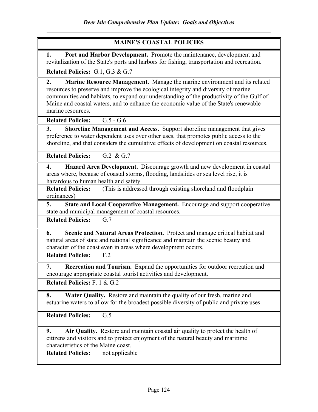## MAINE'S COASTAL POLICIES

1. Port and Harbor Development. Promote the maintenance, development and revitalization of the State's ports and harbors for fishing, transportation and recreation.

Related Policies: G.1, G.3 & G.7

2. Marine Resource Management. Manage the marine environment and its related resources to preserve and improve the ecological integrity and diversity of marine communities and habitats, to expand our understanding of the productivity of the Gulf of Maine and coastal waters, and to enhance the economic value of the State's renewable marine resources.

Related Policies: G.5 - G.6

3. Shoreline Management and Access. Support shoreline management that gives preference to water dependent uses over other uses, that promotes public access to the shoreline, and that considers the cumulative effects of development on coastal resources.

Related Policies: G.2 & G.7

4. Hazard Area Development. Discourage growth and new development in coastal areas where, because of coastal storms, flooding, landslides or sea level rise, it is hazardous to human health and safety.

Related Policies: (This is addressed through existing shoreland and floodplain ordinances)

5. State and Local Cooperative Management. Encourage and support cooperative state and municipal management of coastal resources.

Related Policies: G.7

6. Scenic and Natural Areas Protection. Protect and manage critical habitat and natural areas of state and national significance and maintain the scenic beauty and character of the coast even in areas where development occurs.

Related Policies: F.2

7. Recreation and Tourism. Expand the opportunities for outdoor recreation and encourage appropriate coastal tourist activities and development.

Related Policies: F. 1 & G.2

8. Water Quality. Restore and maintain the quality of our fresh, marine and estuarine waters to allow for the broadest possible diversity of public and private uses.

Related Policies: G.5

9. Air Quality. Restore and maintain coastal air quality to protect the health of citizens and visitors and to protect enjoyment of the natural beauty and maritime characteristics of the Maine coast.

Related Policies: not applicable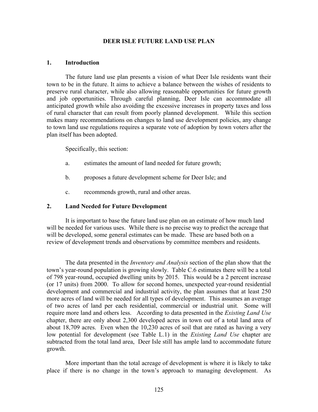#### DEER ISLE FUTURE LAND USE PLAN

#### 1. Introduction

 The future land use plan presents a vision of what Deer Isle residents want their town to be in the future. It aims to achieve a balance between the wishes of residents to preserve rural character, while also allowing reasonable opportunities for future growth and job opportunities. Through careful planning, Deer Isle can accommodate all anticipated growth while also avoiding the excessive increases in property taxes and loss of rural character that can result from poorly planned development. While this section makes many recommendations on changes to land use development policies, any change to town land use regulations requires a separate vote of adoption by town voters after the plan itself has been adopted.

Specifically, this section:

- a. estimates the amount of land needed for future growth;
- b. proposes a future development scheme for Deer Isle; and
- c. recommends growth, rural and other areas.

### 2. Land Needed for Future Development

It is important to base the future land use plan on an estimate of how much land will be needed for various uses. While there is no precise way to predict the acreage that will be developed, some general estimates can be made. These are based both on a review of development trends and observations by committee members and residents.

The data presented in the *Inventory and Analysis* section of the plan show that the town's year-round population is growing slowly. Table C.6 estimates there will be a total of 798 year-round, occupied dwelling units by 2015. This would be a 2 percent increase (or 17 units) from 2000. To allow for second homes, unexpected year-round residential development and commercial and industrial activity, the plan assumes that at least 250 more acres of land will be needed for all types of development. This assumes an average of two acres of land per each residential, commercial or industrial unit. Some will require more land and others less. According to data presented in the *Existing Land Use* chapter, there are only about 2,300 developed acres in town out of a total land area of about 18,709 acres. Even when the 10,230 acres of soil that are rated as having a very low potential for development (see Table L.1) in the *Existing Land Use* chapter are subtracted from the total land area, Deer Isle still has ample land to accommodate future growth.

More important than the total acreage of development is where it is likely to take place if there is no change in the town's approach to managing development. As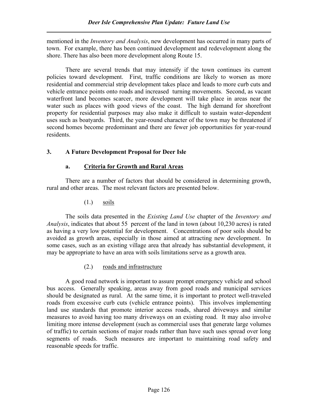mentioned in the *Inventory and Analysis*, new development has occurred in many parts of town. For example, there has been continued development and redevelopment along the shore. There has also been more development along Route 15.

There are several trends that may intensify if the town continues its current policies toward development. First, traffic conditions are likely to worsen as more residential and commercial strip development takes place and leads to more curb cuts and vehicle entrance points onto roads and increased turning movements. Second, as vacant waterfront land becomes scarcer, more development will take place in areas near the water such as places with good views of the coast. The high demand for shorefront property for residential purposes may also make it difficult to sustain water-dependent uses such as boatyards. Third, the year-round character of the town may be threatened if second homes become predominant and there are fewer job opportunities for year-round residents.

# 3. A Future Development Proposal for Deer Isle

# a. Criteria for Growth and Rural Areas

There are a number of factors that should be considered in determining growth, rural and other areas. The most relevant factors are presented below.

# (1.) soils

The soils data presented in the *Existing Land Use* chapter of the *Inventory and* Analysis, indicates that about 55 percent of the land in town (about 10,230 acres) is rated as having a very low potential for development. Concentrations of poor soils should be avoided as growth areas, especially in those aimed at attracting new development. In some cases, such as an existing village area that already has substantial development, it may be appropriate to have an area with soils limitations serve as a growth area.

# (2.) roads and infrastructure

A good road network is important to assure prompt emergency vehicle and school bus access. Generally speaking, areas away from good roads and municipal services should be designated as rural. At the same time, it is important to protect well-traveled roads from excessive curb cuts (vehicle entrance points). This involves implementing land use standards that promote interior access roads, shared driveways and similar measures to avoid having too many driveways on an existing road. It may also involve limiting more intense development (such as commercial uses that generate large volumes of traffic) to certain sections of major roads rather than have such uses spread over long segments of roads. Such measures are important to maintaining road safety and reasonable speeds for traffic.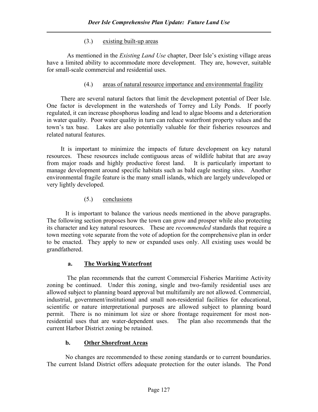## (3.) existing built-up areas

As mentioned in the *Existing Land Use* chapter, Deer Isle's existing village areas have a limited ability to accommodate more development. They are, however, suitable for small-scale commercial and residential uses.

## (4.) areas of natural resource importance and environmental fragility

There are several natural factors that limit the development potential of Deer Isle. One factor is development in the watersheds of Torrey and Lily Ponds. If poorly regulated, it can increase phosphorus loading and lead to algae blooms and a deterioration in water quality. Poor water quality in turn can reduce waterfront property values and the town's tax base. Lakes are also potentially valuable for their fisheries resources and related natural features.

It is important to minimize the impacts of future development on key natural resources. These resources include contiguous areas of wildlife habitat that are away from major roads and highly productive forest land. It is particularly important to manage development around specific habitats such as bald eagle nesting sites. Another environmental fragile feature is the many small islands, which are largely undeveloped or very lightly developed.

## (5.) conclusions

 It is important to balance the various needs mentioned in the above paragraphs. The following section proposes how the town can grow and prosper while also protecting its character and key natural resources. These are recommended standards that require a town meeting vote separate from the vote of adoption for the comprehensive plan in order to be enacted. They apply to new or expanded uses only. All existing uses would be grandfathered.

# a. The Working Waterfront

 The plan recommends that the current Commercial Fisheries Maritime Activity zoning be continued. Under this zoning, single and two-family residential uses are allowed subject to planning board approval but multifamily are not allowed. Commercial, industrial, government/institutional and small non-residential facilities for educational, scientific or nature interpretational purposes are allowed subject to planning board permit. There is no minimum lot size or shore frontage requirement for most nonresidential uses that are water-dependent uses. The plan also recommends that the current Harbor District zoning be retained.

# b. Other Shorefront Areas

 No changes are recommended to these zoning standards or to current boundaries. The current Island District offers adequate protection for the outer islands. The Pond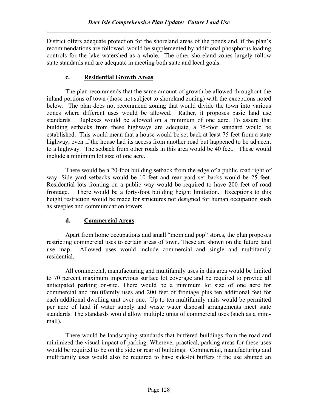District offers adequate protection for the shoreland areas of the ponds and, if the plan's recommendations are followed, would be supplemented by additional phosphorus loading controls for the lake watershed as a whole. The other shoreland zones largely follow state standards and are adequate in meeting both state and local goals.

## c. Residential Growth Areas

The plan recommends that the same amount of growth be allowed throughout the inland portions of town (those not subject to shoreland zoning) with the exceptions noted below. The plan does not recommend zoning that would divide the town into various zones where different uses would be allowed. Rather, it proposes basic land use standards. Duplexes would be allowed on a minimum of one acre. To assure that building setbacks from these highways are adequate, a 75-foot standard would be established. This would mean that a house would be set back at least 75 feet from a state highway, even if the house had its access from another road but happened to be adjacent to a highway. The setback from other roads in this area would be 40 feet. These would include a minimum lot size of one acre.

There would be a 20-foot building setback from the edge of a public road right of way. Side yard setbacks would be 10 feet and rear yard set backs would be 25 feet. Residential lots fronting on a public way would be required to have 200 feet of road frontage. There would be a forty-foot building height limitation. Exceptions to this height restriction would be made for structures not designed for human occupation such as steeples and communication towers.

# d. Commercial Areas

Apart from home occupations and small "mom and pop" stores, the plan proposes restricting commercial uses to certain areas of town. These are shown on the future land use map. Allowed uses would include commercial and single and multifamily residential.

All commercial, manufacturing and multifamily uses in this area would be limited to 70 percent maximum impervious surface lot coverage and be required to provide all anticipated parking on-site. There would be a minimum lot size of one acre for commercial and multifamily uses and 200 feet of frontage plus ten additional feet for each additional dwelling unit over one. Up to ten multifamily units would be permitted per acre of land if water supply and waste water disposal arrangements meet state standards. The standards would allow multiple units of commercial uses (such as a minimall).

There would be landscaping standards that buffered buildings from the road and minimized the visual impact of parking. Wherever practical, parking areas for these uses would be required to be on the side or rear of buildings. Commercial, manufacturing and multifamily uses would also be required to have side-lot buffers if the use abutted an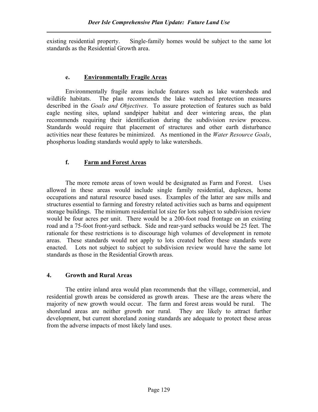existing residential property. Single-family homes would be subject to the same lot standards as the Residential Growth area.

### e. Environmentally Fragile Areas

 Environmentally fragile areas include features such as lake watersheds and wildlife habitats. The plan recommends the lake watershed protection measures described in the Goals and Objectives. To assure protection of features such as bald eagle nesting sites, upland sandpiper habitat and deer wintering areas, the plan recommends requiring their identification during the subdivision review process. Standards would require that placement of structures and other earth disturbance activities near these features be minimized. As mentioned in the Water Resource Goals, phosphorus loading standards would apply to lake watersheds.

## f. Farm and Forest Areas

The more remote areas of town would be designated as Farm and Forest. Uses allowed in these areas would include single family residential, duplexes, home occupations and natural resource based uses. Examples of the latter are saw mills and structures essential to farming and forestry related activities such as barns and equipment storage buildings. The minimum residential lot size for lots subject to subdivision review would be four acres per unit. There would be a 200-foot road frontage on an existing road and a 75-foot front-yard setback. Side and rear-yard setbacks would be 25 feet. The rationale for these restrictions is to discourage high volumes of development in remote areas. These standards would not apply to lots created before these standards were enacted. Lots not subject to subject to subdivision review would have the same lot standards as those in the Residential Growth areas.

## 4. Growth and Rural Areas

The entire inland area would plan recommends that the village, commercial, and residential growth areas be considered as growth areas. These are the areas where the majority of new growth would occur. The farm and forest areas would be rural. The shoreland areas are neither growth nor rural. They are likely to attract further development, but current shoreland zoning standards are adequate to protect these areas from the adverse impacts of most likely land uses.